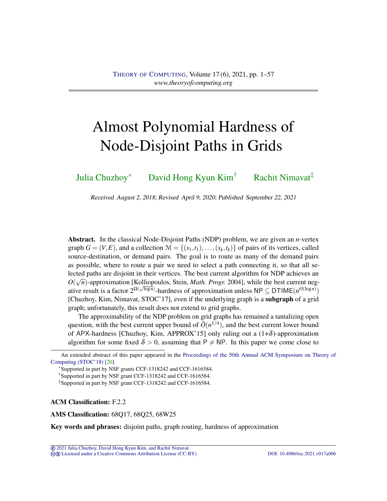# <span id="page-0-0"></span>Almost Polynomial Hardness of Node-Disjoint Paths in Grids

[Julia Chuzhoy](#page-55-0)<sup>∗</sup> [David Hong Kyun Kim](#page-55-1)† [Rachit Nimavat](#page-56-0)‡

Received August 2, 2018; Revised April 9, 2020; Published September 22, 2021

Abstract. In the classical Node-Disjoint Paths (NDP) problem, we are given an *n*-vertex graph  $G = (V, E)$ , and a collection  $\mathcal{M} = \{(s_1, t_1), \ldots, (s_k, t_k)\}\$  of pairs of its vertices, called source-destination, or demand pairs. The goal is to route as many of the demand pairs as possible, where to route a pair we need to select a path connecting it, so that all selected paths are disjoint in their vertices. The best current algorithm for NDP achieves an *O*( $\sqrt{n}$ )-approximation [Kolliopoulos, Stein, *Math. Progr.* 2004], while the best current negative result is a factor  $2^{\Omega(\sqrt{\log n})}$ -hardness of approximation unless  $NP \subseteq DTIME(n^{O(\log n)})$ [Chuzhoy, Kim, Nimavat, STOC'17], even if the underlying graph is a subgraph of a grid graph; unfortunately, this result does not extend to grid graphs.

The approximability of the NDP problem on grid graphs has remained a tantalizing open question, with the best current upper bound of  $\tilde{O}(n^{1/4})$ , and the best current lower bound of APX-hardness [Chuzhoy, Kim, APPROX'15] only ruling out a  $(1+\delta)$ -approximation algorithm for some fixed  $\delta > 0$ , assuming that P  $\neq$  NP. In this paper we come close to

ACM Classification: F.2.2

AMS Classification: 68Q17, 68Q25, 68W25

Key words and phrases: disjoint paths, graph routing, hardness of approximation

© [2021 Julia Chuzhoy, David Hong Kyun Kim, and Rachit Nimavat](http://theoryofcomputing.org/copyright2009.html)

cb [Licensed under a Creative Commons Attribution License \(CC-BY\)](http://creativecommons.org/licenses/by/3.0/) [DOI: 10.4086/toc.2021.v017a006](http://dx.doi.org/10.4086/toc.2021.v017a006)

An extended abstract of this paper appeared in the [Proceedings of the 50th Annual ACM Symposium on Theory of](http://doi.org/10.1145/3188745.3188772) [Computing \(STOC'18\) \[20\].](http://doi.org/10.1145/3188745.3188772)

<sup>∗</sup>Supported in part by NSF grants CCF-1318242 and CCF-1616584.

<sup>†</sup>Supported in part by NSF grant CCF-1318242 and CCF-1616584.

<sup>‡</sup>Supported in part by NSF grant CCF-1318242 and CCF-1616584.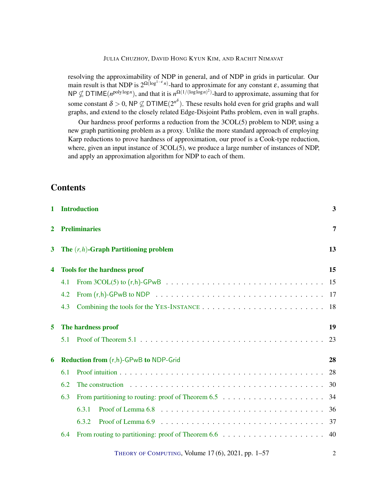resolving the approximability of NDP in general, and of NDP in grids in particular. Our main result is that NDP is  $2^{\Omega(\log^{1-\epsilon} n)}$ -hard to approximate for any constant  $\epsilon$ , assuming that NP  $\nsubseteq$  DTIME( $n^{\text{polylog }n}$ ), and that it is  $n^{\Omega(1/(\log \log n)^2)}$ -hard to approximate, assuming that for some constant  $\delta > 0$ , NP  $\nsubseteq$  DTIME( $2^{n^{\delta}}$ ). These results hold even for grid graphs and wall graphs, and extend to the closely related Edge-Disjoint Paths problem, even in wall graphs.

Our hardness proof performs a reduction from the 3COL(5) problem to NDP, using a new graph partitioning problem as a proxy. Unlike the more standard approach of employing Karp reductions to prove hardness of approximation, our proof is a Cook-type reduction, where, given an input instance of 3COL(5), we produce a large number of instances of NDP, and apply an approximation algorithm for NDP to each of them.

# **Contents**

| 1            |                                                                 | <b>Introduction</b>                                                                                                       | 3              |  |  |
|--------------|-----------------------------------------------------------------|---------------------------------------------------------------------------------------------------------------------------|----------------|--|--|
| $\mathbf{2}$ | <b>Preliminaries</b>                                            |                                                                                                                           |                |  |  |
| 3<br>4       | <b>The <math>(r, h)</math>-Graph Partitioning problem</b><br>13 |                                                                                                                           |                |  |  |
|              |                                                                 | <b>Tools for the hardness proof</b>                                                                                       | 15             |  |  |
|              | 4.1                                                             |                                                                                                                           | 15             |  |  |
|              | 4.2                                                             | From $(r,h)$ -GPwB to NDP $\ldots \ldots \ldots \ldots \ldots \ldots \ldots \ldots \ldots \ldots \ldots \ldots \ldots 17$ |                |  |  |
|              | 4.3                                                             |                                                                                                                           | 18             |  |  |
| 5            | The hardness proof                                              |                                                                                                                           |                |  |  |
|              | 5.1                                                             |                                                                                                                           | 23             |  |  |
| 6            | Reduction from (r,h)-GPwB to NDP-Grid                           |                                                                                                                           |                |  |  |
|              | 6.1                                                             |                                                                                                                           | 28             |  |  |
|              | 6.2                                                             | The construction $\ldots \ldots \ldots \ldots \ldots \ldots \ldots \ldots \ldots \ldots \ldots \ldots$                    | 30             |  |  |
|              | 6.3                                                             |                                                                                                                           | 34             |  |  |
|              |                                                                 | 6.3.1                                                                                                                     | 36             |  |  |
|              |                                                                 | 6.3.2                                                                                                                     |                |  |  |
|              | 6.4                                                             |                                                                                                                           | 40             |  |  |
|              |                                                                 | THEORY OF COMPUTING, Volume 17(6), 2021, pp. 1-57                                                                         | $\overline{c}$ |  |  |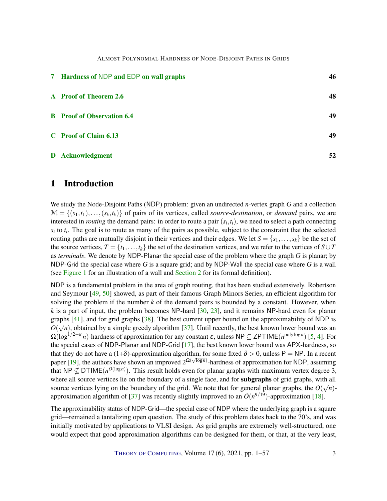<span id="page-2-1"></span>

| 7 Hardness of NDP and EDP on wall graphs | 46 |  |
|------------------------------------------|----|--|
| A Proof of Theorem 2.6                   | 48 |  |
| <b>B</b> Proof of Observation 6.4        | 49 |  |
| C Proof of Claim 6.13                    | 49 |  |
| D Acknowledgment                         | 52 |  |

# <span id="page-2-0"></span>1 Introduction

We study the Node-Disjoint Paths (NDP) problem: given an undirected *n*-vertex graph *G* and a collection  $\mathcal{M} = \{(s_1, t_1), \ldots, (s_k, t_k)\}\$  of pairs of its vertices, called *source-destination*, or *demand* pairs, we are interested in *routing* the demand pairs: in order to route a pair  $(s_i, t_i)$ , we need to select a path connecting  $s_i$  to  $t_i$ . The goal is to route as many of the pairs as possible, subject to the constraint that the selected routing paths are mutually disjoint in their vertices and their edges. We let  $S = \{s_1, \ldots, s_k\}$  be the set of the source vertices,  $T = \{t_1, \ldots, t_k\}$  the set of the destination vertices, and we refer to the vertices of  $S \cup T$ as *terminals*. We denote by NDP-Planar the special case of the problem where the graph *G* is planar; by NDP-Grid the special case where *G* is a square grid; and by NDP-Wall the special case where *G* is a wall (see [Figure](#page-4-0) [1](#page-4-0) for an illustration of a wall and [Section](#page-6-0) [2](#page-6-0) for its formal definition).

NDP is a fundamental problem in the area of graph routing, that has been studied extensively. Robertson and Seymour [\[49,](#page-55-2) [50\]](#page-55-3) showed, as part of their famous Graph Minors Series, an efficient algorithm for solving the problem if the number *k* of the demand pairs is bounded by a constant. However, when *k* is a part of input, the problem becomes NP-hard [\[30,](#page-53-1) [23\]](#page-53-2), and it remains NP-hard even for planar graphs [\[41\]](#page-54-0), and for grid graphs [\[38\]](#page-54-1). The best current upper bound on the approximability of NDP is  $O(\sqrt{n})$ , obtained by a simple greedy algorithm [\[37\]](#page-54-2). Until recently, the best known lower bound was an Ω(log1/2−<sup>ε</sup> *n*)-hardness of approximation for any constant ε, unless NP ⊆ ZPTIME(*n* polylog*n* ) [\[5,](#page-51-1) [4\]](#page-51-2). For the special cases of NDP-Planar and NDP-Grid [\[17\]](#page-52-0), the best known lower bound was APX-hardness, so that they do not have a  $(1+\delta)$ -approximation algorithm, for some fixed  $\delta > 0$ , unless P = NP. In a recent paper [\[19\]](#page-52-1), the authors have shown an improved  $2^{\Omega(\sqrt{\log n})}$ -hardness of approximation for NDP, assuming that NP  $\nsubseteq$  DTIME( $n^{O(\log n)}$ ). This result holds even for planar graphs with maximum vertex degree 3, where all source vertices lie on the boundary of a single face, and for **subgraphs** of grid graphs, with all source vertices lying on the boundary of the grid. We note that for general planar graphs, the  $O(\sqrt{n})$ -approximation algorithm of [\[37\]](#page-54-2) was recently slightly improved to an  $\tilde{O}(n^{9/19})$ -approximation [\[18\]](#page-52-2).

The approximability status of NDP-Grid—the special case of NDP where the underlying graph is a square grid—remained a tantalizing open question. The study of this problem dates back to the 70's, and was initially motivated by applications to VLSI design. As grid graphs are extremely well-structured, one would expect that good approximation algorithms can be designed for them, or that, at the very least,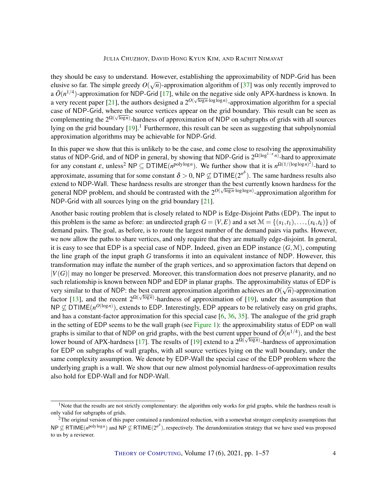<span id="page-3-0"></span>they should be easy to understand. However, establishing the approximability of NDP-Grid has been elusive so far. The simple greedy  $O(\sqrt{n})$ -approximation algorithm of [\[37\]](#page-54-2) was only recently improved to a  $\tilde{O}(n^{1/4})$ -approximation for NDP-Grid [\[17\]](#page-52-0), while on the negative side only APX-hardness is known. In a very recent paper [\[21\]](#page-53-3), the authors designed a  $2^{O(\sqrt{\log n} \cdot \log \log n)}$ -approximation algorithm for a special case of NDP-Grid, where the source vertices appear on the grid boundary. This result can be seen as √ complementing the 2<sup>Ω( $\sqrt{\log n}$ )</sup>-hardness of approximation of NDP on subgraphs of grids with all sources lying on the grid boundary [\[19\]](#page-52-1).<sup>1</sup> Furthermore, this result can be seen as suggesting that subpolynomial approximation algorithms may be achievable for NDP-Grid.

In this paper we show that this is unlikely to be the case, and come close to resolving the approximability status of NDP-Grid, and of NDP in general, by showing that NDP-Grid is 2<sup>Ω(log<sup>1−ε n)</sup>-hard to approximate</sup> for any constant  $\varepsilon$ , unless<sup>2</sup> NP  $\subseteq$  DTIME( $n^{\text{polylog }n}$ ). We further show that it is  $n^{\Omega(1/(\log \log n)^2)}$ -hard to approximate, assuming that for some constant  $\delta > 0$ , NP  $\nsubseteq$  DTIME( $2^{n^{\delta}}$ ). The same hardness results also extend to NDP-Wall. These hardness results are stronger than the best currently known hardness for the general NDP problem, and should be contrasted with the  $2^{O(\sqrt{\log n} \cdot \log \log n)}$ -approximation algorithm for NDP-Grid with all sources lying on the grid boundary [\[21\]](#page-53-3).

Another basic routing problem that is closely related to NDP is Edge-Disjoint Paths (EDP). The input to this problem is the same as before: an undirected graph  $G = (V, E)$  and a set  $\mathcal{M} = \{(s_1, t_1), \ldots, (s_k, t_k)\}\$  of demand pairs. The goal, as before, is to route the largest number of the demand pairs via paths. However, we now allow the paths to share vertices, and only require that they are mutually edge-disjoint. In general, it is easy to see that EDP is a special case of NDP. Indeed, given an EDP instance  $(G, M)$ , computing the line graph of the input graph *G* transforms it into an equivalent instance of NDP. However, this transformation may inflate the number of the graph vertices, and so approximation factors that depend on  $|V(G)|$  may no longer be preserved. Moreover, this transformation does not preserve planarity, and no such relationship is known between NDP and EDP in planar graphs. The approximability status of EDP is very similar to that of NDP: the best current approximation algorithm achieves an  $O(\sqrt{n})$ -approximation factor [\[13\]](#page-52-3), and the recent  $2^{\Omega(\sqrt{\log n})}$ -hardness of approximation of [\[19\]](#page-52-1), under the assumption that  $NP \nsubseteq DTIME(n^{O(log n)})$ , extends to EDP. Interestingly, EDP appears to be relatively easy on grid graphs, and has a constant-factor approximation for this special case [\[6,](#page-51-3) [36,](#page-54-3) [35\]](#page-54-4). The analogue of the grid graph in the setting of EDP seems to be the wall graph (see [Figure](#page-4-0) [1\)](#page-4-0): the approximability status of EDP on wall graphs is similar to that of NDP on grid graphs, with the best current upper bound of  $\tilde{O}(n^{1/4})$ , and the best lower bound of APX-hardness [\[17\]](#page-52-0). The results of [\[19\]](#page-52-1) extend to a  $2^{\Omega(\sqrt{\log n})}$ -hardness of approximation for EDP on subgraphs of wall graphs, with all source vertices lying on the wall boundary, under the same complexity assumption. We denote by EDP-Wall the special case of the EDP problem where the underlying graph is a wall. We show that our new almost polynomial hardness-of-approximation results also hold for EDP-Wall and for NDP-Wall.

<sup>&</sup>lt;sup>1</sup>Note that the results are not strictly complementary: the algorithm only works for grid graphs, while the hardness result is only valid for subgraphs of grids.

<sup>&</sup>lt;sup>2</sup>The original version of this paper contained a randomized reduction, with a somewhat stronger complexity assumptions that NP  $\nsubseteq$  RTIME(*n*<sup>polylog*n*</sup>) and NP  $\nsubseteq$  RTIME(2<sup>*n*§</sup>), respectively. The derandomization strategy that we have used was proposed to us by a reviewer.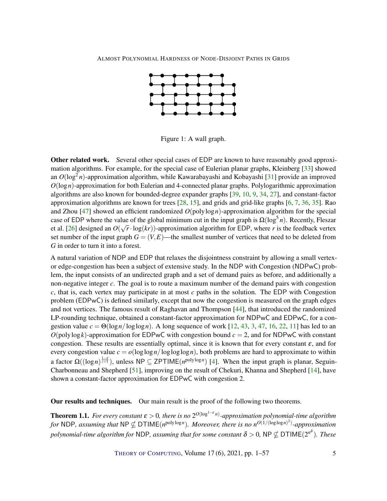<span id="page-4-2"></span>

<span id="page-4-0"></span>Figure 1: A wall graph.

Other related work. Several other special cases of EDP are known to have reasonably good approxi-mation algorithms. For example, for the special case of Eulerian planar graphs, Kleinberg [\[33\]](#page-54-5) showed an  $O(\log^2 n)$ -approximation algorithm, while Kawarabayashi and Kobayashi [\[31\]](#page-53-4) provide an improved *O*(log*n*)-approximation for both Eulerian and 4-connected planar graphs. Polylogarithmic approximation algorithms are also known for bounded-degree expander graphs [\[39,](#page-54-6) [10,](#page-52-4) [9,](#page-52-5) [34,](#page-54-7) [27\]](#page-53-5), and constant-factor approximation algorithms are known for trees [\[28,](#page-53-6) [15\]](#page-52-6), and grids and grid-like graphs [\[6,](#page-51-3) [7,](#page-51-4) [36,](#page-54-3) [35\]](#page-54-4). Rao and Zhou [\[47\]](#page-55-4) showed an efficient randomized *O*(polylog*n*)-approximation algorithm for the special case of EDP where the value of the global minimum cut in the input graph is Ω(log<sup>5</sup> *n*). Recently, Fleszar et al. [\[26\]](#page-53-7) designed an *O*(  $\sqrt{r} \cdot \log(kr)$ )-approximation algorithm for EDP, where *r* is the feedback vertex set number of the input graph  $G = (V, E)$ —the smallest number of vertices that need to be deleted from *G* in order to turn it into a forest.

A natural variation of NDP and EDP that relaxes the disjointness constraint by allowing a small vertexor edge-congestion has been a subject of extensive study. In the NDP with Congestion (NDPwC) problem, the input consists of an undirected graph and a set of demand pairs as before, and additionally a non-negative integer *c*. The goal is to route a maximum number of the demand pairs with congestion *c*, that is, each vertex may participate in at most *c* paths in the solution. The EDP with Congestion problem (EDPwC) is defined similarly, except that now the congestion is measured on the graph edges and not vertices. The famous result of Raghavan and Thompson [\[44\]](#page-54-8), that introduced the randomized LP-rounding technique, obtained a constant-factor approximation for NDPwC and EDPwC, for a congestion value  $c = \Theta(\log n / \log \log n)$ . A long sequence of work [\[12,](#page-52-7) [43,](#page-54-9) [3,](#page-51-5) [47,](#page-55-4) [16,](#page-52-8) [22,](#page-53-8) [11\]](#page-52-9) has led to an  $O(poly \log k)$ -approximation for EDPwC with congestion bound  $c = 2$ , and for NDPwC with constant congestion. These results are essentially optimal, since it is known that for every constant  $\varepsilon$ , and for every congestion value  $c = o(\log \log n / \log \log \log n)$ , both problems are hard to approximate to within a factor Ω((log*n*)<sup> $\frac{1-\varepsilon}{c+1}$ ), unless NP ⊆ ZPTIME(*n*<sup>polylog*n*</sup>) [\[4\]](#page-51-2). When the input graph is planar, Seguin-</sup> Charbonneau and Shepherd [\[51\]](#page-55-5), improving on the result of Chekuri, Khanna and Shepherd [\[14\]](#page-52-10), have shown a constant-factor approximation for EDPwC with congestion 2.

Our results and techniques. Our main result is the proof of the following two theorems.

<span id="page-4-1"></span>**Theorem 1.1.** For every constant  $\varepsilon > 0$ , there is no  $2^{O(\log^{1-\varepsilon} n)}$ -approximation polynomial-time algorithm *for* NDP, assuming that NP  $\nsubseteq$  DTIME( $n^{\text{poly}\log n}$ ). Moreover, there is no  $n^{O(1/(\log \log n)^2)}$ -approximation polynomial-time algorithm for NDP, assuming that for some constant  $\delta$   $>$  0, NP  $\nsubseteq$  DTIME(2<sup>n8</sup>). These

THEORY OF C[OMPUTING](http://dx.doi.org/10.4086/toc), Volume  $17(6)$ ,  $2021$ , pp.  $1-57$  5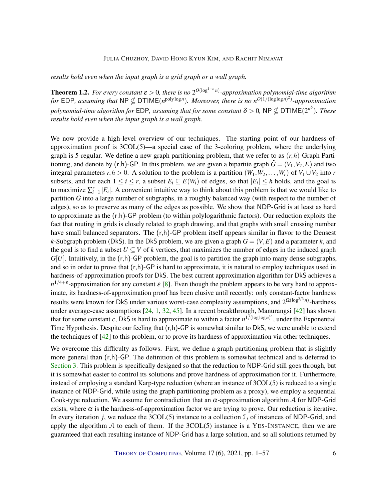<span id="page-5-1"></span>*results hold even when the input graph is a grid graph or a wall graph.*

<span id="page-5-0"></span>**Theorem 1.2.** For every constant  $\varepsilon > 0$ , there is no  $2^{O(\log^{1-\varepsilon} n)}$ -approximation polynomial-time algorithm *for* EDP, assuming that NP  $\nsubseteq$  DTIME( $n^{\text{poly}\log n}$ ). Moreover, there is no  $n^{O(1/(\log \log n)^2)}$ -approximation polynomial-time algorithm for EDP, assuming that for some constant  $\delta$  > 0, NP  $\nsubseteq$  DTIME(2<sup>n8</sup>). These *results hold even when the input graph is a wall graph.*

We now provide a high-level overview of our techniques. The starting point of our hardness-ofapproximation proof is 3COL(5)—a special case of the 3-coloring problem, where the underlying graph is 5-regular. We define a new graph partitioning problem, that we refer to as (*r*,*h*)-Graph Partitioning, and denote by  $(r,h)$ -GP. In this problem, we are given a bipartite graph  $\tilde{G} = (V_1, V_2, E)$  and two integral parameters  $r, h > 0$ . A solution to the problem is a partition  $(W_1, W_2, \ldots, W_r)$  of  $V_1 \cup V_2$  into *r* subsets, and for each  $1 \le i \le r$ , a subset  $E_i \subseteq E(W_i)$  of edges, so that  $|E_i| \le h$  holds, and the goal is to maximize  $\sum_{i=1}^{r} |E_i|$ . A convenient intuitive way to think about this problem is that we would like to partition  $\tilde{G}$  into a large number of subgraphs, in a roughly balanced way (with respect to the number of edges), so as to preserve as many of the edges as possible. We show that NDP-Grid is at least as hard to approximate as the  $(r,h)$ -GP problem (to within polylogarithmic factors). Our reduction exploits the fact that routing in grids is closely related to graph drawing, and that graphs with small crossing number have small balanced separators. The  $(r,h)$ -GP problem itself appears similar in flavor to the Densest *k*-Subgraph problem (DkS). In the DkS problem, we are given a graph  $G = (V, E)$  and a parameter *k*, and the goal is to find a subset  $U \subseteq V$  of  $k$  vertices, that maximizes the number of edges in the induced graph  $G[U]$ . Intuitively, in the  $(r,h)$ -GP problem, the goal is to partition the graph into many dense subgraphs, and so in order to prove that  $(r,h)$ -GP is hard to approximate, it is natural to employ techniques used in hardness-of-approximation proofs for DkS. The best current approximation algorithm for DkS achieves a  $n^{1/4+\varepsilon}$ -approximation for any constant  $\varepsilon$  [\[8\]](#page-52-11). Even though the problem appears to be very hard to approximate, its hardness-of-approximation proof has been elusive until recently: only constant-factor hardness results were known for DkS under various worst-case complexity assumptions, and 2<sup>Ω(log<sup>2/3</sup><sup>n)</sup>-hardness</sup> under average-case assumptions [\[24,](#page-53-9) [1,](#page-51-6) [32,](#page-53-10) [45\]](#page-54-10). In a recent breakthrough, Manurangsi [\[42\]](#page-54-11) has shown that for some constant *c*, DkS is hard to approximate to within a factor  $n^{1/(\log \log n)^c}$ , under the Exponential Time Hypothesis. Despite our feeling that  $(r,h)$ -GP is somewhat similar to DkS, we were unable to extend the techniques of [\[42\]](#page-54-11) to this problem, or to prove its hardness of approximation via other techniques.

We overcome this difficulty as follows. First, we define a graph partitioning problem that is slightly more general than (r,h)-GP. The definition of this problem is somewhat technical and is deferred to [Section](#page-12-0) [3.](#page-12-0) This problem is specifically designed so that the reduction to NDP-Grid still goes through, but it is somewhat easier to control its solutions and prove hardness of approximation for it. Furthermore, instead of employing a standard Karp-type reduction (where an instance of 3COL(5) is reduced to a single instance of NDP-Grid, while using the graph partitioning problem as a proxy), we employ a sequential Cook-type reduction. We assume for contradiction that an  $\alpha$ -approximation algorithm A for NDP-Grid exists, where  $\alpha$  is the hardness-of-approximation factor we are trying to prove. Our reduction is iterative. In every iteration *j*, we reduce the 3COL(5) instance to a collection  $\mathcal{I}_i$  of instances of NDP-Grid, and apply the algorithm  $\beta$  to each of them. If the 3COL(5) instance is a YES-INSTANCE, then we are guaranteed that each resulting instance of NDP-Grid has a large solution, and so all solutions returned by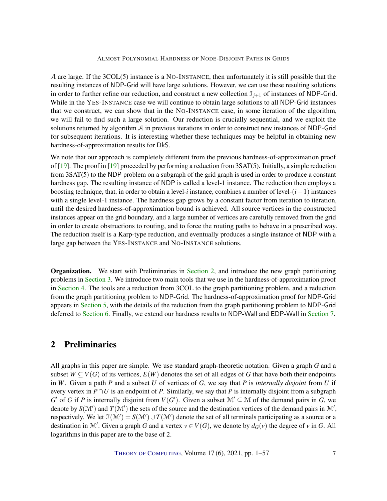<span id="page-6-1"></span>A are large. If the 3COL(5) instance is a NO-INSTANCE, then unfortunately it is still possible that the resulting instances of NDP-Grid will have large solutions. However, we can use these resulting solutions in order to further refine our reduction, and construct a new collection  $\mathcal{I}_{j+1}$  of instances of NDP-Grid. While in the YES-INSTANCE case we will continue to obtain large solutions to all NDP-Grid instances that we construct, we can show that in the NO-INSTANCE case, in some iteration of the algorithm, we will fail to find such a large solution. Our reduction is crucially sequential, and we exploit the solutions returned by algorithm A in previous iterations in order to construct new instances of NDP-Grid for subsequent iterations. It is interesting whether these techniques may be helpful in obtaining new hardness-of-approximation results for DkS.

We note that our approach is completely different from the previous hardness-of-approximation proof of [\[19\]](#page-52-1). The proof in [\[19\]](#page-52-1) proceeded by performing a reduction from 3SAT(5). Initially, a simple reduction from 3SAT(5) to the NDP problem on a subgraph of the grid graph is used in order to produce a constant hardness gap. The resulting instance of NDP is called a level-1 instance. The reduction then employs a boosting technique, that, in order to obtain a level-*i* instance, combines a number of level-(*i*−1) instances with a single level-1 instance. The hardness gap grows by a constant factor from iteration to iteration, until the desired hardness-of-approximation bound is achieved. All source vertices in the constructed instances appear on the grid boundary, and a large number of vertices are carefully removed from the grid in order to create obstructions to routing, and to force the routing paths to behave in a prescribed way. The reduction itself is a Karp-type reduction, and eventually produces a single instance of NDP with a large gap between the YES-INSTANCE and NO-INSTANCE solutions.

Organization. We start with Preliminaries in [Section](#page-6-0) [2,](#page-6-0) and introduce the new graph partitioning problems in [Section](#page-12-0) [3.](#page-12-0) We introduce two main tools that we use in the hardness-of-approximation proof in [Section](#page-14-0) [4.](#page-14-0) The tools are a reduction from 3COL to the graph partitioning problem, and a reduction from the graph partitioning problem to NDP-Grid. The hardness-of-approximation proof for NDP-Grid appears in [Section](#page-18-0) [5,](#page-18-0) with the details of the reduction from the graph partitioning problem to NDP-Grid deferred to [Section](#page-27-0) [6.](#page-27-0) Finally, we extend our hardness results to NDP-Wall and EDP-Wall in [Section](#page-45-0) [7.](#page-45-0)

# <span id="page-6-0"></span>2 Preliminaries

All graphs in this paper are simple. We use standard graph-theoretic notation. Given a graph *G* and a subset  $W \subseteq V(G)$  of its vertices,  $E(W)$  denotes the set of all edges of *G* that have both their endpoints in *W*. Given a path *P* and a subset *U* of vertices of *G*, we say that *P* is *internally disjoint* from *U* if every vertex in  $P \cap U$  is an endpoint of *P*. Similarly, we say that *P* is internally disjoint from a subgraph *G*<sup> $\prime$ </sup> of *G* if *P* is internally disjoint from *V*(*G*<sup> $\prime$ </sup>). Given a subset  $\mathcal{M}' \subseteq \mathcal{M}$  of the demand pairs in *G*, we denote by  $S(\mathcal{M}')$  and  $T(\mathcal{M}')$  the sets of the source and the destination vertices of the demand pairs in  $\mathcal{M}'$ , respectively. We let  $\mathcal{T}(\mathcal{M}') = S(\mathcal{M}') \cup T(\mathcal{M}')$  denote the set of all terminals participating as a source or a destination in M'. Given a graph *G* and a vertex  $v \in V(G)$ , we denote by  $d_G(v)$  the degree of *v* in *G*. All logarithms in this paper are to the base of 2.

THEORY OF C[OMPUTING](http://dx.doi.org/10.4086/toc), Volume 17(6), 2021, pp. 1–57 7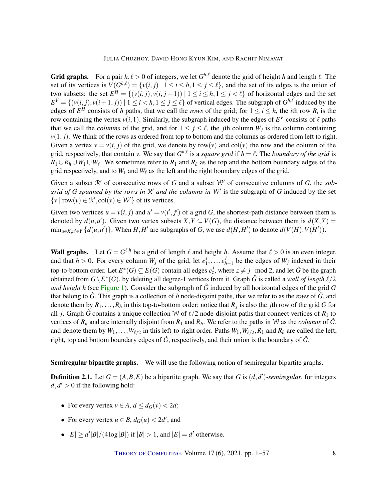**Grid graphs.** For a pair  $h, \ell > 0$  of integers, we let  $G^{h, \ell}$  denote the grid of height *h* and length  $\ell$ . The set of its vertices is  $V(G^{h,\ell}) = \{v(i,j) | 1 \le i \le h, 1 \le j \le \ell\}$ , and the set of its edges is the union of two subsets: the set  $E^H = \{ (v(i, j), v(i, j+1)) \mid 1 \le i \le h, 1 \le j < \ell \}$  of horizontal edges and the set  $E^V = \{ (v(i, j), v(i+1, j)) \mid 1 \le i < h, 1 \le j \le \ell \}$  of vertical edges. The subgraph of  $G^{h, \ell}$  induced by the edges of  $E^H$  consists of *h* paths, that we call the *rows* of the grid; for  $1 \le i \le h$ , the *i*th row  $R_i$  is the row containing the vertex  $v(i,1)$ . Similarly, the subgraph induced by the edges of  $E^V$  consists of  $\ell$  paths that we call the *columns* of the grid, and for  $1 \le j \le \ell$ , the *j*th column  $W_j$  is the column containing  $v(1, j)$ . We think of the rows as ordered from top to bottom and the columns as ordered from left to right. Given a vertex  $v = v(i, j)$  of the grid, we denote by row(*v*) and col(*v*) the row and the column of the grid, respectively, that contain *v*. We say that  $G^{h,\ell}$  is a *square grid* if  $h = \ell$ . The *boundary of the grid* is  $R_1 \cup R_h \cup W_1 \cup W_\ell$ . We sometimes refer to  $R_1$  and  $R_h$  as the top and the bottom boundary edges of the grid respectively, and to  $W_1$  and  $W_\ell$  as the left and the right boundary edges of the grid.

Given a subset  $\mathbb{R}'$  of consecutive rows of *G* and a subset  $\mathbb{W}'$  of consecutive columns of *G*, the *subgrid of G spanned by the rows in*  $\mathbb{R}'$  *and the columns in*  $\mathbb{W}'$  is the subgraph of *G* induced by the set  $\{v \mid row(v) \in \mathcal{R}', col(v) \in \mathcal{W}'\}$  of its vertices.

Given two vertices  $u = v(i, j)$  and  $u' = v(i', j')$  of a grid *G*, the shortest-path distance between them is denoted by  $d(u, u')$ . Given two vertex subsets  $X, Y \subseteq V(G)$ , the distance between them is  $d(X, Y) =$  $\min_{u \in X, u' \in Y} \{d(u, u')\}$ . When  $H, H'$  are subgraphs of G, we use  $d(H, H')$  to denote  $d(V(H), V(H'))$ .

**Wall graphs.** Let  $G = G^{\ell,h}$  be a grid of length  $\ell$  and height *h*. Assume that  $\ell > 0$  is an even integer, and that  $h > 0$ . For every column  $W_j$  of the grid, let  $e_1^j$  $j_1, \ldots, e_h^j$  $_{h-1}^{J}$  be the edges of  $W_j$  indexed in their top-to-bottom order. Let  $E^*(G) \subseteq E(G)$  contain all edges  $e^j_z$ , where  $z \neq j \mod 2$ , and let  $\hat{G}$  be the graph obtained from  $G \backslash E^*(G)$ , by deleting all degree-1 vertices from it. Graph  $\hat{G}$  is called a *wall of length*  $\ell/2$ *and height h* (see [Figure](#page-4-0) [1\)](#page-4-0). Consider the subgraph of  $\hat{G}$  induced by all horizontal edges of the grid  $G$ that belong to  $\hat{G}$ . This graph is a collection of *h* node-disjoint paths, that we refer to as the *rows* of  $\hat{G}$ , and denote them by  $R_1, \ldots, R_h$  in this top-to-bottom order; notice that  $R_j$  is also the *j*th row of the grid *G* for all *j*. Graph  $\hat{G}$  contains a unique collection W of  $\ell/2$  node-disjoint paths that connect vertices of  $R_1$  to vertices of  $R_h$  and are internally disjoint from  $R_1$  and  $R_h$ . We refer to the paths in W as the *columns* of  $\hat{G}$ , and denote them by  $W_1, \ldots, W_{\ell/2}$  in this left-to-right order. Paths  $W_1, W_{\ell/2}, R_1$  and  $R_h$  are called the left, right, top and bottom boundary edges of  $\hat{G}$ , respectively, and their union is the boundary of  $\hat{G}$ .

Semiregular bipartite graphs. We will use the following notion of semiregular bipartite graphs.

**Definition 2.1.** Let  $G = (A, B, E)$  be a bipartite graph. We say that *G* is  $(d, d')$ -semiregular, for integers  $d, d' > 0$  if the following hold:

- For every vertex  $v \in A$ ,  $d \leq d_G(v) < 2d$ ;
- For every vertex  $u \in B$ ,  $d_G(u) < 2d'$ ; and
- $|E| \ge d'|B|/(4\log|B|)$  if  $|B| > 1$ , and  $|E| = d'$  otherwise.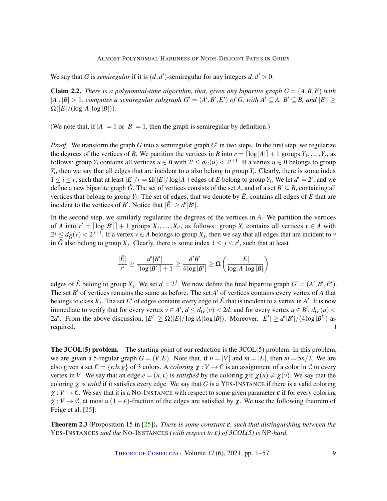<span id="page-8-1"></span>We say that *G* is *semiregular* if it is  $(d, d')$ -semiregular for any integers  $d, d' > 0$ .

<span id="page-8-0"></span>**Claim 2.2.** *There is a polynomial-time algorithm, that, given any bipartite graph*  $G = (A, B, E)$  *with*  $|A|, |B| > 1$ , computes a semiregular subgraph  $G' = (A', B', E')$  of G, with  $A' \subseteq A$ ,  $B' \subseteq B$ , and  $|E'| \ge$  $\Omega(|E|/(\log|A|\log|B|)).$ 

(We note that, if  $|A| = 1$  or  $|B| = 1$ , then the graph is semiregular by definition.)

*Proof.* We transform the graph *G* into a semiregular graph *G'* in two steps. In the first step, we regularize the degrees of the vertices of *B*. We partition the vertices in *B* into  $r = \lfloor \log |A| \rfloor + 1$  groups  $Y_1, \ldots, Y_r$ , as follows: group  $Y_i$  contains all vertices  $u \in B$  with  $2^i \leq d_G(u) < 2^{i+1}$ . If a vertex  $u \in B$  belongs to group  $Y_i$ , then we say that all edges that are incident to *u* also belong to group  $Y_i$ . Clearly, there is some index  $1 \le i \le r$ , such that at least  $|E|/r = \Omega(|E|/\log|A|)$  edges of *E* belong to group  $Y_i$ . We let  $d' = 2^i$ , and we define a new bipartite graph  $\hat{G}$ . The set of vertices consists of the set *A*, and of a set  $B' \subseteq B$ , containing all vertices that belong to group  $Y_i$ . The set of edges, that we denote by  $\hat{E}$ , contains all edges of  $E$  that are incident to the vertices of *B*<sup> $\prime$ </sup>. Notice that  $|\hat{E}| \ge d^{\prime} |B^{\prime}|$ .

In the second step, we similarly regularize the degrees of the vertices in *A*. We partition the vertices of *A* into  $r' = \lfloor \log |B'| \rfloor + 1$  groups  $X_1, \ldots, X_{r'}$ , as follows: group  $X_i$  contains all vertices  $v \in A$  with  $2^{j} \leq d_{\hat{G}}(v) < 2^{j+1}$ . If a vertex  $v \in A$  belongs to group  $X_j$ , then we say that all edges that are incident to *v* in  $\hat{G}$  also belong to group  $X_j$ . Clearly, there is some index  $1 \leq j \leq r'$ , such that at least

$$
\frac{|\hat{E}|}{r'} \ge \frac{d'|B'|}{\lceil \log |B'| \rceil + 1} \ge \frac{d'B'}{4\log |B'|} \ge \Omega\left(\frac{|E|}{\log |A| \log |B|}\right)
$$

edges of  $\hat{E}$  belong to group  $X_j$ . We set  $d = 2^j$ . We now define the final bipartite graph  $G' = (A', B', E')$ . The set  $B'$  of vertices remains the same as before. The set  $A'$  of vertices contains every vertex of  $A$  that belongs to class  $X_j$ . The set  $E'$  of edges contains every edge of  $\hat{E}$  that is incident to a vertex in A'. It is now immediate to verify that for every vertex  $v \in A'$ ,  $d \leq d_{G'}(v) < 2d$ , and for every vertex  $u \in B'$ ,  $d_{G'}(u) <$ 2*d'*. From the above discussion,  $|E'| \ge \Omega(|E|/\log|A|\log|B|)$ . Moreover,  $|E'| \ge d'|B'|/(4\log|B'|)$  as required.  $\Box$ 

The 3COL(5) problem. The starting point of our reduction is the 3COL(5) problem. In this problem, we are given a 5-regular graph  $G = (V, E)$ . Note that, if  $n = |V|$  and  $m = |E|$ , then  $m = 5n/2$ . We are also given a set  $C = \{r, b, g\}$  of 3 colors. A *coloring*  $\chi : V \to C$  is an assignment of a color in C to every vertex in *V*. We say that an edge  $e = (u, v)$  is *satisfied* by the coloring  $\chi$  if  $\chi(u) \neq \chi(v)$ . We say that the coloring  $\chi$  is *valid* if it satisfies every edge. We say that *G* is a YES-INSTANCE if there is a valid coloring  $\chi: V \to \mathcal{C}$ . We say that it is a NO-INSTANCE with respect to some given parameter  $\varepsilon$  if for every coloring  $\chi: V \to \mathcal{C}$ , at most a  $(1-\varepsilon)$ -fraction of the edges are satisfied by  $\chi$ . We use the following theorem of Feige et al. [\[25\]](#page-53-11):

Theorem 2.3 (Proposition 15 in [\[25\]](#page-53-11)). *There is some constant* ε*, such that distinguishing between the* YES-INSTANCES *and the* NO-INSTANCES *(with respect to* ε*) of 3COL(5) is* NP*-hard.*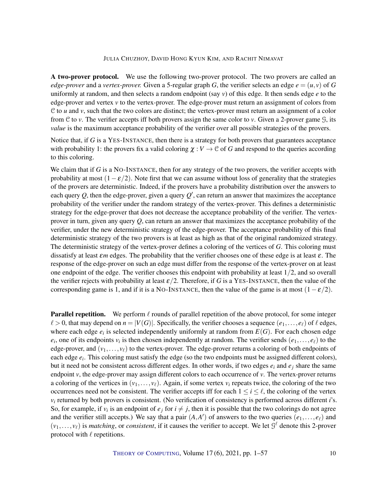A two-prover protocol. We use the following two-prover protocol. The two provers are called an *edge-prover* and a *vertex-prover*. Given a 5-regular graph *G*, the verifier selects an edge  $e = (u, v)$  of *G* uniformly at random, and then selects a random endpoint (say *v*) of this edge. It then sends edge *e* to the edge-prover and vertex *v* to the vertex-prover. The edge-prover must return an assignment of colors from  $C$  to  $u$  and  $v$ , such that the two colors are distinct; the vertex-prover must return an assignment of a color from C to *v*. The verifier accepts iff both provers assign the same color to *v*. Given a 2-prover game G, its *value* is the maximum acceptance probability of the verifier over all possible strategies of the provers.

Notice that, if *G* is a YES-INSTANCE, then there is a strategy for both provers that guarantees acceptance with probability 1: the provers fix a valid coloring  $\chi : V \to \mathcal{C}$  of *G* and respond to the queries according to this coloring.

We claim that if *G* is a NO-INSTANCE, then for any strategy of the two provers, the verifier accepts with probability at most  $(1 - \varepsilon/2)$ . Note first that we can assume without loss of generality that the strategies of the provers are deterministic. Indeed, if the provers have a probability distribution over the answers to each query  $Q$ , then the edge-prover, given a query  $Q'$ , can return an answer that maximizes the acceptance probability of the verifier under the random strategy of the vertex-prover. This defines a deterministic strategy for the edge-prover that does not decrease the acceptance probability of the verifier. The vertexprover in turn, given any query *Q*, can return an answer that maximizes the acceptance probability of the verifier, under the new deterministic strategy of the edge-prover. The acceptance probability of this final deterministic strategy of the two provers is at least as high as that of the original randomized strategy. The deterministic strategy of the vertex-prover defines a coloring of the vertices of *G*. This coloring must dissatisfy at least ε*m* edges. The probability that the verifier chooses one of these edge is at least ε. The response of the edge-prover on such an edge must differ from the response of the vertex-prover on at least one endpoint of the edge. The verifier chooses this endpoint with probability at least  $1/2$ , and so overall the verifier rejects with probability at least  $\varepsilon/2$ . Therefore, if *G* is a YES-INSTANCE, then the value of the corresponding game is 1, and if it is a NO-INSTANCE, then the value of the game is at most  $(1 - \varepsilon/2)$ .

**Parallel repetition.** We perform  $\ell$  rounds of parallel repetition of the above protocol, for some integer  $\ell > 0$ , that may depend on  $n = |V(G)|$ . Specifically, the verifier chooses a sequence  $(e_1, \ldots, e_\ell)$  of  $\ell$  edges, where each edge  $e_i$  is selected independently uniformly at random from  $E(G)$ . For each chosen edge  $e_i$ , one of its endpoints  $v_i$  is then chosen independently at random. The verifier sends  $(e_1, \ldots, e_\ell)$  to the edge-prover, and  $(v_1, \ldots, v_\ell)$  to the vertex-prover. The edge-prover returns a coloring of both endpoints of each edge  $e_i$ . This coloring must satisfy the edge (so the two endpoints must be assigned different colors), but it need not be consistent across different edges. In other words, if two edges  $e_i$  and  $e_j$  share the same endpoint *v*, the edge-prover may assign different colors to each occurrence of *v*. The vertex-prover returns a coloring of the vertices in  $(v_1, \ldots, v_\ell)$ . Again, if some vertex  $v_i$  repeats twice, the coloring of the two occurrences need not be consistent. The verifier accepts iff for each  $1 \le i \le \ell$ , the coloring of the vertex *v<sup>i</sup>* returned by both provers is consistent. (No verification of consistency is performed across different *i*'s. So, for example, if  $v_i$  is an endpoint of  $e_j$  for  $i \neq j$ , then it is possible that the two colorings do not agree and the verifier still accepts.) We say that a pair  $(A, A')$  of answers to the two queries  $(e_1, \ldots, e_\ell)$  and  $(v_1,..., v_\ell)$  is *matching*, or *consistent*, if it causes the verifier to accept. We let  $\mathcal{G}^{\ell}$  denote this 2-prover protocol with  $\ell$  repetitions.

THEORY OF C[OMPUTING](http://dx.doi.org/10.4086/toc), Volume 17(6), 2021, pp. 1–57 10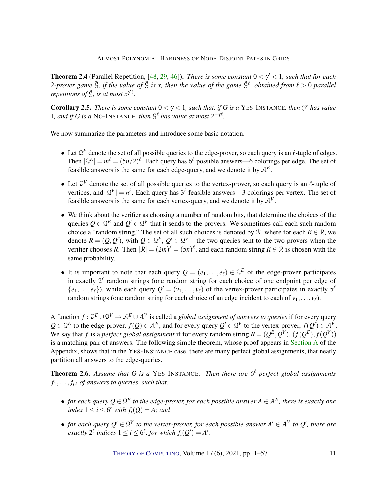<span id="page-10-2"></span>**Theorem 2.4** (Parallel Repetition, [\[48,](#page-55-6) [29,](#page-53-12) [46\]](#page-54-12)). *There is some constant*  $0 < \gamma' < 1$ , such that for each 2-prover game  $\tilde{S}$ , if the value of  $\tilde{S}$  is x, then the value of the game  $\tilde{S}^{\ell}$ , obtained from  $\ell > 0$  parallel *repetitions of*  $\tilde{S}$ *, is at most*  $x^{\gamma \ell}$ *.* 

<span id="page-10-1"></span>**Corollary 2.5.** *There is some constant*  $0 < \gamma < 1$ *, such that, if G is a* YES-INSTANCE*, then*  $\mathcal{G}^{\ell}$  *has value* 1, and if G is a NO-INSTANCE, then  $\mathcal{G}^{\ell}$  has value at most  $2^{-\gamma\ell}$ .

We now summarize the parameters and introduce some basic notation.

- Let  $\mathbb{Q}^E$  denote the set of all possible queries to the edge-prover, so each query is an  $\ell$ -tuple of edges. Then  $|\mathcal{Q}^E| = m^{\ell} = (5n/2)^{\ell}$ . Each query has  $6^{\ell}$  possible answers—6 colorings per edge. The set of feasible answers is the same for each edge-query, and we denote it by A*<sup>E</sup>* .
- Let  $\mathbb{Q}^V$  denote the set of all possible queries to the vertex-prover, so each query is an  $\ell$ -tuple of vertices, and  $|Q^V| = n^{\ell}$ . Each query has  $3^{\ell}$  feasible answers – 3 colorings per vertex. The set of feasible answers is the same for each vertex-query, and we denote it by  $A<sup>V</sup>$ .
- We think about the verifier as choosing a number of random bits, that determine the choices of the queries  $Q \in \mathcal{Q}^E$  and  $Q' \in \mathcal{Q}^V$  that it sends to the provers. We sometimes call each such random choice a "random string." The set of all such choices is denoted by  $\mathcal{R}$ , where for each  $R \in \mathcal{R}$ , we denote  $R = (Q, Q')$ , with  $Q \in \mathbb{Q}^E$ ,  $Q' \in \mathbb{Q}^V$ —the two queries sent to the two provers when the verifier chooses R. Then  $|\mathcal{R}| = (2m)^{\ell} = (5n)^{\ell}$ , and each random string  $R \in \mathcal{R}$  is chosen with the same probability.
- It is important to note that each query  $Q = (e_1, \ldots, e_\ell) \in \mathbb{Q}^E$  of the edge-prover participates in exactly  $2^{\ell}$  random strings (one random string for each choice of one endpoint per edge of  $\{e_1,\ldots,e_\ell\}$ ), while each query  $Q'=(v_1,\ldots,v_\ell)$  of the vertex-prover participates in exactly  $5^\ell$ random strings (one random string for each choice of an edge incident to each of  $v_1, \ldots, v_\ell$ ).

A function  $f: \Omega^E \cup \Omega^V \to \mathcal{A}^E \cup \mathcal{A}^V$  is called a *global assignment of answers to queries* if for every query  $Q \in \mathcal{Q}^E$  to the edge-prover,  $f(Q) \in \mathcal{A}^E$ , and for every query  $Q' \in \mathcal{Q}^V$  to the vertex-prover,  $f(Q') \in \mathcal{A}^V$ . We say that *f* is a *perfect global assignment* if for every random string  $R = (Q^E, Q^V)$ ,  $(f(Q^E), f(Q^V))$ is a matching pair of answers. The following simple theorem, whose proof appears in [Section](#page-47-0) [A](#page-47-0) of the Appendix, shows that in the YES-INSTANCE case, there are many perfect global assignments, that neatly partition all answers to the edge-queries.

<span id="page-10-0"></span>Theorem 2.6. *Assume that G is a* YES-INSTANCE*. Then there are* 6 ` *perfect global assignments*  $f_1, \ldots, f_{6^{\ell}}$  *of answers to queries, such that:* 

- $\bullet$  *for each query*  $Q \in \mathcal{Q}^E$  to the edge-prover, for each possible answer  $A \in \mathcal{A}^E$ , there is exactly one  $index\ 1 \leq i \leq 6^{\ell}$  with  $f_i(Q) = A$ ; and
- *for each query*  $Q' \in Q^V$  to the vertex-prover, for each possible answer  $A' \in A^V$  to  $Q'$ , there are *exactly*  $2^{\ell}$  *indices*  $1 \leq i \leq 6^{\ell}$ *, for which*  $f_i(Q') = A'$ *.*

THEORY OF C[OMPUTING](http://dx.doi.org/10.4086/toc), Volume 17(6), 2021, pp. 1–57 11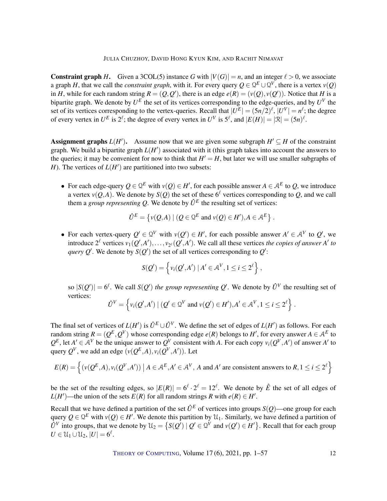**Constraint graph** *H***.** Given a 3COL(5) instance *G* with  $|V(G)| = n$ , and an integer  $\ell > 0$ , we associate a graph *H*, that we call the *constraint graph*, with it. For every query  $Q \in \mathcal{Q}^E \cup \mathcal{Q}^V$ , there is a vertex  $v(Q)$ in *H*, while for each random string  $R = (Q, Q')$ , there is an edge  $e(R) = (v(Q), v(Q'))$ . Notice that *H* is a bipartite graph. We denote by  $U^E$  the set of its vertices corresponding to the edge-queries, and by  $U^V$  the set of its vertices corresponding to the vertex-queries. Recall that  $|U^E| = (5n/2)^{\ell}$ ,  $|U^V| = n^{\ell}$ ; the degree of every vertex in  $U^E$  is  $2^{\ell}$ ; the degree of every vertex in  $U^V$  is  $5^{\ell}$ , and  $|E(H)| = |\mathcal{R}| = (5n)^{\ell}$ .

Assignment graphs  $L(H')$ . Assume now that we are given some subgraph  $H' \subseteq H$  of the constraint graph. We build a bipartite graph  $L(H')$  associated with it (this graph takes into account the answers to the queries; it may be convenient for now to think that  $H' = H$ , but later we will use smaller subgraphs of *H*). The vertices of  $L(H')$  are partitioned into two subsets:

• For each edge-query  $Q \in \mathbb{Q}^E$  with  $v(Q) \in H'$ , for each possible answer  $A \in \mathcal{A}^E$  to  $Q$ , we introduce a vertex  $v(Q, A)$ . We denote by  $S(Q)$  the set of these  $6^\ell$  vertices corresponding to  $Q$ , and we call them a *group representing Q*. We denote by  $\hat{U}^E$  the resulting set of vertices:

$$
\hat{U}^E = \{ v(Q, A) \mid (Q \in \mathcal{Q}^E \text{ and } v(Q) \in H'), A \in \mathcal{A}^E \}.
$$

• For each vertex-query  $Q' \in Q^V$  with  $v(Q') \in H'$ , for each possible answer  $A' \in A^V$  to  $Q'$ , we introduce  $2^{\ell}$  vertices  $v_1(Q', A'), \ldots, v_{2^{\ell}}(Q', A')$ . We call all these vertices *the copies of answer A' to query Q*<sup>'</sup>. We denote by  $S(Q')$  the set of all vertices corresponding to  $Q'$ :

$$
S(Q') = \left\{ v_i(Q', A') \mid A' \in \mathcal{A}^V, 1 \leq i \leq 2^{\ell} \right\},\
$$

so  $|S(Q')| = 6^{\ell}$ . We call  $S(Q')$  the group representing Q'. We denote by  $\hat{U}^V$  the resulting set of vertices:

$$
\hat{U}^V = \left\{ v_i(Q', A') \mid (Q' \in \mathcal{Q}^V \text{ and } v(Q') \in H'), A' \in \mathcal{A}^V, 1 \leq i \leq 2^{\ell} \right\}.
$$

The final set of vertices of  $L(H')$  is  $\hat{U}^E \cup \hat{U}^V$ . We define the set of edges of  $L(H')$  as follows. For each random string  $R = (Q^E, Q^V)$  whose corresponding edge  $e(R)$  belongs to  $H'$ , for every answer  $A \in \mathcal{A}^E$  to  $Q^E$ , let  $A' \in A^V$  be the unique answer to  $Q^V$  consistent with *A*. For each copy  $v_i(Q^V, A')$  of answer *A'* to query  $Q^V$ , we add an edge  $(\nu(Q^E, A), \nu_i(Q^V, A'))$ . Let

$$
E(R) = \left\{ (v(Q^E, A), v_i(Q^V, A')) \mid A \in A^E, A' \in A^V, A \text{ and } A' \text{ are consistent answers to } R, 1 \le i \le 2^{\ell} \right\}
$$

be the set of the resulting edges, so  $|E(R)| = 6^{\ell} \cdot 2^{\ell} = 12^{\ell}$ . We denote by  $\hat{E}$  the set of all edges of *L*(*H*<sup> $\prime$ </sup>)—the union of the sets *E*(*R*) for all random strings *R* with  $e(R) \in H'$ .

Recall that we have defined a partition of the set  $\hat{U}^E$  of vertices into groups  $S(Q)$ —one group for each query  $Q \in \mathcal{Q}^E$  with  $v(Q) \in H'$ . We denote this partition by  $\mathcal{U}_1$ . Similarly, we have defined a partition of  $\hat{U}^V$  into groups, that we denote by  $\mathcal{U}_2 = \{ S(Q') \mid Q' \in \mathcal{Q}^V \text{ and } v(Q') \in H' \}$ . Recall that for each group  $U \in \mathcal{U}_1 \cup \mathcal{U}_2$ ,  $|U| = 6^{\ell}$ .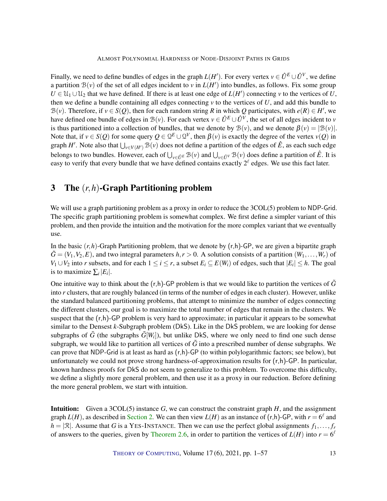Finally, we need to define bundles of edges in the graph  $L(H')$ . For every vertex  $v \in \hat{U}^E \cup \hat{U}^V$ , we define a partition  $B(v)$  of the set of all edges incident to *v* in  $L(H')$  into bundles, as follows. Fix some group  $U \in \mathcal{U}_1 \cup \mathcal{U}_2$  that we have defined. If there is at least one edge of  $L(H')$  connecting *v* to the vertices of *U*, then we define a bundle containing all edges connecting  $\nu$  to the vertices of  $U$ , and add this bundle to B(*v*). Therefore, if  $v \in S(Q)$ , then for each random string R in which Q participates, with  $e(R) \in H'$ , we have defined one bundle of edges in  $B(v)$ . For each vertex  $v \in \hat{U}^E \cup \hat{U}^V$ , the set of all edges incident to *v* is thus partitioned into a collection of bundles, that we denote by  $\mathcal{B}(v)$ , and we denote  $\beta(v) = |\mathcal{B}(v)|$ . Note that, if  $v \in S(Q)$  for some query  $Q \in Q^E \cup Q^V$ , then  $\beta(v)$  is exactly the degree of the vertex  $v(Q)$  in graph *H'*. Note also that  $\bigcup_{v \in V(H')} B(v)$  does not define a partition of the edges of  $\hat{E}$ , as each such edge belongs to two bundles. However, each of  $\bigcup_{v \in \hat{U}^E} B(v)$  and  $\bigcup_{v \in \hat{U}^V} B(v)$  does define a partition of  $\hat{E}$ . It is easy to verify that every bundle that we have defined contains exactly  $2^{\ell}$  edges. We use this fact later.

# <span id="page-12-0"></span>3 The (*r*,*h*)-Graph Partitioning problem

We will use a graph partitioning problem as a proxy in order to reduce the 3COL(5) problem to NDP-Grid. The specific graph partitioning problem is somewhat complex. We first define a simpler variant of this problem, and then provide the intuition and the motivation for the more complex variant that we eventually use.

In the basic  $(r, h)$ -Graph Partitioning problem, that we denote by  $(r, h)$ -GP, we are given a bipartite graph  $\tilde{G} = (V_1, V_2, E)$ , and two integral parameters  $h, r > 0$ . A solution consists of a partition  $(W_1, \ldots, W_r)$  of *V*<sub>1</sub> ∪ *V*<sub>2</sub> into *r* subsets, and for each  $1 \le i \le r$ , a subset  $E_i \subseteq E(W_i)$  of edges, such that  $|E_i| \le h$ . The goal is to maximize  $\sum_i |E_i|$ .

One intuitive way to think about the  $(r,h)$ -GP problem is that we would like to partition the vertices of  $\tilde{G}$ into *r* clusters, that are roughly balanced (in terms of the number of edges in each cluster). However, unlike the standard balanced partitioning problems, that attempt to minimize the number of edges connecting the different clusters, our goal is to maximize the total number of edges that remain in the clusters. We suspect that the (r,h)-GP problem is very hard to approximate; in particular it appears to be somewhat similar to the Densest *k*-Subgraph problem (DkS). Like in the DkS problem, we are looking for dense subgraphs of  $\tilde{G}$  (the subgraphs  $\tilde{G}[W_i]$ ), but unlike DkS, where we only need to find one such dense subgraph, we would like to partition all vertices of  $\tilde{G}$  into a prescribed number of dense subgraphs. We can prove that NDP-Grid is at least as hard as  $(r,h)$ -GP (to within polylogarithmic factors; see below), but unfortunately we could not prove strong hardness-of-approximation results for  $(r,h)$ -GP. In particular, known hardness proofs for DkS do not seem to generalize to this problem. To overcome this difficulty, we define a slightly more general problem, and then use it as a proxy in our reduction. Before defining the more general problem, we start with intuition.

Intuition: Given a 3COL(5) instance *G*, we can construct the constraint graph *H*, and the assignment graph  $L(H)$ , as described in [Section](#page-6-0) [2.](#page-6-0) We can then view  $L(H)$  as an instance of  $(r,h)$ -GP, with  $r = 6^{\ell}$  and  $h = |\mathcal{R}|$ . Assume that *G* is a YES-INSTANCE. Then we can use the perfect global assignments  $f_1, \ldots, f_r$ of answers to the queries, given by [Theorem](#page-10-0) [2.6,](#page-10-0) in order to partition the vertices of  $L(H)$  into  $r = 6^{\ell}$ 

THEORY OF C[OMPUTING](http://dx.doi.org/10.4086/toc), Volume 17(6), 2021, pp. 1–57 13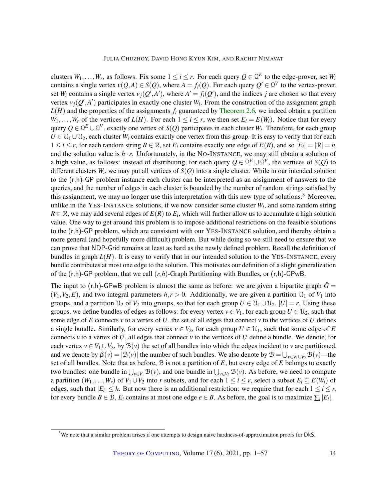clusters  $W_1, \ldots, W_r$ , as follows. Fix some  $1 \leq i \leq r$ . For each query  $Q \in \mathcal{Q}^E$  to the edge-prover, set  $W_i$ contains a single vertex  $v(Q, A) \in S(Q)$ , where  $A = f_i(Q)$ . For each query  $Q' \in Q^V$  to the vertex-prover, set  $W_i$  contains a single vertex  $v_j(Q', A')$ , where  $A' = f_i(Q')$ , and the indices *j* are chosen so that every vertex  $v_j(Q', A')$  participates in exactly one cluster  $W_i$ . From the construction of the assignment graph  $L(H)$  and the properties of the assignments  $f_i$  guaranteed by [Theorem](#page-10-0) [2.6,](#page-10-0) we indeed obtain a partition  $W_1, \ldots, W_r$  of the vertices of  $L(H)$ . For each  $1 \leq i \leq r$ , we then set  $E_i = E(W_i)$ . Notice that for every query  $Q \in \Omega^E \cup \Omega^V$ , exactly one vertex of  $S(Q)$  participates in each cluster  $W_i$ . Therefore, for each group  $U \in \mathcal{U}_1 \cup \mathcal{U}_2$ , each cluster  $W_i$  contains exactly one vertex from this group. It is easy to verify that for each  $1 \le i \le r$ , for each random string  $R \in \mathcal{R}$ , set  $E_i$  contains exactly one edge of  $E(R)$ , and so  $|E_i| = |\mathcal{R}| = h$ , and the solution value is  $h \cdot r$ . Unfortunately, in the NO-INSTANCE, we may still obtain a solution of a high value, as follows: instead of distributing, for each query  $Q \in \mathcal{Q}^E \cup \mathcal{Q}^V$ , the vertices of  $S(Q)$  to different clusters *W<sup>i</sup>* , we may put all vertices of *S*(*Q*) into a single cluster. While in our intended solution to the (r,h)-GP problem instance each cluster can be interpreted as an assignment of answers to the queries, and the number of edges in each cluster is bounded by the number of random strings satisfied by this assignment, we may no longer use this interpretation with this new type of solutions.<sup>3</sup> Moreover, unlike in the YES-INSTANCE solutions, if we now consider some cluster *W<sup>i</sup>* , and some random string  $R \in \mathcal{R}$ , we may add several edges of  $E(R)$  to  $E_i$ , which will further allow us to accumulate a high solution value. One way to get around this problem is to impose additional restrictions on the feasible solutions to the (r,h)-GP problem, which are consistent with our YES-INSTANCE solution, and thereby obtain a more general (and hopefully more difficult) problem. But while doing so we still need to ensure that we can prove that NDP-Grid remains at least as hard as the newly defined problem. Recall the definition of bundles in graph  $L(H)$ . It is easy to verify that in our intended solution to the YES-INSTANCE, every bundle contributes at most one edge to the solution. This motivates our definition of a slight generalization of the (r,h)-GP problem, that we call (*r*,*h*)-Graph Partitioning with Bundles, or (r,h)-GPwB.

The input to  $(r,h)$ -GPwB problem is almost the same as before: we are given a bipartite graph  $\tilde{G}$  =  $(V_1, V_2, E)$ , and two integral parameters  $h, r > 0$ . Additionally, we are given a partition  $\mathcal{U}_1$  of  $V_1$  into groups, and a partition  $\mathcal{U}_2$  of  $V_2$  into groups, so that for each group  $U \in \mathcal{U}_1 \cup \mathcal{U}_2$ ,  $|U| = r$ . Using these groups, we define bundles of edges as follows: for every vertex  $v \in V_1$ , for each group  $U \in \mathcal{U}_2$ , such that some edge of  $E$  connects  $\nu$  to a vertex of  $U$ , the set of all edges that connect  $\nu$  to the vertices of  $U$  defines a single bundle. Similarly, for every vertex  $v \in V_2$ , for each group  $U \in \mathcal{U}_1$ , such that some edge of E connects  $\nu$  to a vertex of *U*, all edges that connect  $\nu$  to the vertices of *U* define a bundle. We denote, for each vertex  $v \in V_1 \cup V_2$ , by  $\mathcal{B}(v)$  the set of all bundles into which the edges incident to *v* are partitioned, and we denote by  $\beta(v) = |\mathcal{B}(v)|$  the number of such bundles. We also denote by  $\mathcal{B} = \bigcup_{v \in V_1 \cup V_2} \mathcal{B}(v)$ —the set of all bundles. Note that as before, B is not a partition of *E*, but every edge of *E* belongs to exactly two bundles: one bundle in  $\bigcup_{v \in V_1} \mathcal{B}(v)$ , and one bundle in  $\bigcup_{v \in V_2} \mathcal{B}(v)$ . As before, we need to compute a partition  $(W_1, \ldots, W_r)$  of  $V_1 \cup V_2$  into *r* subsets, and for each  $1 \le i \le r$ , select a subset  $E_i \subseteq E(W_i)$  of edges, such that  $|E_i| \leq h$ . But now there is an additional restriction: we require that for each  $1 \leq i \leq r$ , for every bundle  $B \in \mathcal{B}$ ,  $E_i$  contains at most one edge  $e \in B$ . As before, the goal is to maximize  $\sum_i |E_i|$ .

<sup>&</sup>lt;sup>3</sup>We note that a similar problem arises if one attempts to design naive hardness-of-approximation proofs for DkS.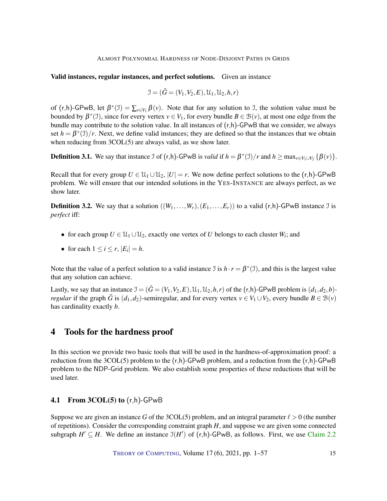#### Valid instances, regular instances, and perfect solutions. Given an instance

$$
\mathcal{I} = (\tilde{G} = (V_1, V_2, E), \mathcal{U}_1, \mathcal{U}_2, h, r)
$$

of  $(r,h)$ -GPwB, let  $\beta^*(\mathcal{I}) = \sum_{v \in V_1} \beta(v)$ . Note that for any solution to  $\mathcal{I}$ , the solution value must be bounded by  $\beta^*(1)$ , since for every vertex  $v \in V_1$ , for every bundle  $B \in \mathcal{B}(v)$ , at most one edge from the bundle may contribute to the solution value. In all instances of (r,h)-GPwB that we consider, we always set  $h = \beta^*(\mathcal{I})/r$ . Next, we define valid instances; they are defined so that the instances that we obtain when reducing from  $3COL(5)$  are always valid, as we show later.

**Definition 3.1.** We say that instance  $\Im$  of  $(r,h)$ -GPwB is *valid* if  $h = \beta^*(\Im)/r$  and  $h \ge \max_{v \in V_1 \cup V_2} {\beta(v)}$ .

Recall that for every group  $U \in \mathcal{U}_1 \cup \mathcal{U}_2$ ,  $|U| = r$ . We now define perfect solutions to the  $(r,h)$ -GPwB problem. We will ensure that our intended solutions in the YES-INSTANCE are always perfect, as we show later.

**Definition 3.2.** We say that a solution  $((W_1, \ldots, W_r), (E_1, \ldots, E_r))$  to a valid  $(r, h)$ -GPwB instance J is *perfect* iff:

- for each group  $U \in \mathcal{U}_1 \cup \mathcal{U}_2$ , exactly one vertex of *U* belongs to each cluster  $W_i$ ; and
- for each  $1 \le i \le r$ ,  $|E_i| = h$ .

Note that the value of a perfect solution to a valid instance  $\Im$  is  $h \cdot r = \beta^*(\Im)$ , and this is the largest value that any solution can achieve.

Lastly, we say that an instance  $\mathcal{I} = (\tilde{G} = (V_1, V_2, E), \mathcal{U}_1, \mathcal{U}_2, h, r)$  of the  $(r, h)$ -GPwB problem is  $(d_1, d_2, b)$ *regular* if the graph  $\tilde{G}$  is ( $d_1, d_2$ )-semiregular, and for every vertex  $v \in V_1 \cup V_2$ , every bundle  $B \in \mathcal{B}(v)$ has cardinality exactly *b*.

# <span id="page-14-0"></span>4 Tools for the hardness proof

In this section we provide two basic tools that will be used in the hardness-of-approximation proof: a reduction from the  $3COL(5)$  problem to the  $(r,h)$ -GPwB problem, and a reduction from the  $(r,h)$ -GPwB problem to the NDP-Grid problem. We also establish some properties of these reductions that will be used later.

#### <span id="page-14-1"></span>4.1 From  $3COL(5)$  to  $(r,h)$ -GPwB

Suppose we are given an instance *G* of the 3COL(5) problem, and an integral parameter  $\ell > 0$  (the number of repetitions). Consider the corresponding constraint graph *H*, and suppose we are given some connected subgraph  $H' \subseteq H$ . We define an instance  $\mathfrak{I}(H')$  of  $(r,h)$ -GPwB, as follows. First, we use [Claim](#page-8-0) [2.2](#page-8-0)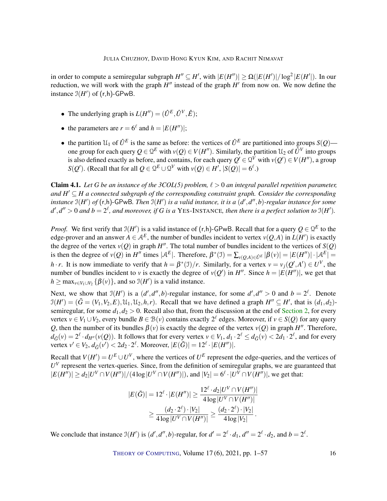in order to compute a semiregular subgraph  $H'' \subseteq H'$ , with  $|E(H'')| \ge \Omega(|E(H')|/\log^2|E(H'|)$ . In our reduction, we will work with the graph  $H''$  instead of the graph  $H'$  from now on. We now define the instance  $\mathfrak{I}(H')$  of  $(r,h)$ -GPwB.

- The underlying graph is  $L(H'') = (\hat{U}^E, \hat{U}^V, \hat{E})$ ;
- the parameters are  $r = 6^{\ell}$  and  $h = |E(H'')|$ ;
- the partition  $\mathcal{U}_1$  of  $\hat{U}^E$  is the same as before: the vertices of  $\hat{U}^E$  are partitioned into groups  $S(Q)$  one group for each query  $Q \in \Omega^E$  with  $v(Q) \in V(H'')$ . Similarly, the partition  $\mathfrak{U}_2$  of  $\hat{U}^V$  into groups is also defined exactly as before, and contains, for each query  $Q' \in Q^V$  with  $v(Q') \in V(H'')$ , a group *S*(*Q*<sup>'</sup>). (Recall that for all  $Q \in \mathbb{Q}^E \cup \mathbb{Q}^V$  with  $v(Q) \in H'$ ,  $|S(Q)| = 6^{\ell}$ .)

<span id="page-15-0"></span>**Claim 4.1.** Let G be an instance of the 3COL(5) problem,  $\ell > 0$  an integral parallel repetition parameter, *and H* <sup>0</sup> ⊆ *H a connected subgraph of the corresponding constraint graph. Consider the corresponding instance* I(*H* 0 ) *of* (r,h)-GPwB*. Then* I(*H* 0 ) *is a valid instance, it is a* (*d* 0 ,*d* 00 ,*b*)*-regular instance for some*  $d', d'' > 0$  and  $b = 2^{\ell}$ , and moreover, if G is a YES-INSTANCE, then there is a perfect solution to  $\mathfrak{I}(H').$ 

*Proof.* We first verify that  $\mathfrak{I}(H')$  is a valid instance of  $(r,h)$ -GPwB. Recall that for a query  $Q \in \mathfrak{Q}^E$  to the edge-prover and an answer  $A \in \mathcal{A}^E$ , the number of bundles incident to vertex  $v(Q, A)$  in  $L(H')$  is exactly the degree of the vertex  $v(Q)$  in graph  $H''$ . The total number of bundles incident to the vertices of  $S(Q)$ is then the degree of  $v(Q)$  in  $H''$  times  $|A^E|$ . Therefore,  $\beta^*(\mathcal{I}) = \sum_{v(Q,A) \in \hat{U}^E} |\beta(v)| = |E(H'')| \cdot |A^E|$ *h* · *r*. It is now immediate to verify that  $h = \beta^*(1)/r$ . Similarly, for a vertex  $v = v_j(Q', A') \in U^V$ , the number of bundles incident to *v* is exactly the degree of  $v(Q')$  in *H*<sup>n</sup>. Since  $h = |E(H'')|$ , we get that  $h \ge \max_{v \in V_1 \cup V_2} {\{\beta(v)\}}$ , and so  $\mathfrak{I}(H')$  is a valid instance.

Next, we show that  $\mathcal{I}(H')$  is a  $(d', d'', b)$ -regular instance, for some  $d', d'' > 0$  and  $b = 2^{\ell}$ . Denote  $\mathfrak{I}(H') = (\tilde{G} = (V_1, V_2, E), \mathfrak{U}_1, \mathfrak{U}_2, h, r)$ . Recall that we have defined a graph  $H'' \subseteq H'$ , that is  $(d_1, d_2)$ semiregular, for some  $d_1$ ,  $d_2 > 0$ . Recall also that, from the discussion at the end of [Section](#page-6-0) [2,](#page-6-0) for every vertex  $v \in V_1 \cup V_2$ , every bundle  $B \in \mathcal{B}(v)$  contains exactly  $2^{\ell}$  edges. Moreover, if  $v \in S(Q)$  for any query *Q*, then the number of its bundles  $\beta(v)$  is exactly the degree of the vertex  $v(Q)$  in graph  $H''$ . Therefore,  $d_{\tilde{G}}(v) = 2^{\ell} \cdot d_{H''}(v(Q))$ . It follows that for every vertex  $v \in V_1$ ,  $d_1 \cdot 2^{\ell} \leq d_{\tilde{G}}(v) < 2d_1 \cdot 2^{\ell}$ , and for every vertex  $v' \in V_2$ ,  $d_{\tilde{G}}(v') < 2d_2 \cdot 2^{\ell}$ . Moreover,  $|E(\tilde{G})| = 12^{\ell} \cdot |E(H'')|$ .

Recall that  $V(H') = U^E \cup U^V$ , where the vertices of  $U^E$  represent the edge-queries, and the vertices of  $U^V$  represent the vertex-queries. Since, from the definition of semiregular graphs, we are guaranteed that  $|E(H'')| \ge d_2 |U^V \cap V(H'')|/(4 \log |U^V \cap V(H'')|)$ , and  $|V_2| = 6^{\ell} \cdot |U^V \cap V(H'')|$ , we get that:

$$
|E(\tilde{G})| = 12^{\ell} \cdot |E(H'')| \ge \frac{12^{\ell} \cdot d_2 |U^V \cap V(H'')|}{4 \log |U^V \cap V(H'')|}
$$
  
 
$$
\ge \frac{(d_2 \cdot 2^{\ell}) \cdot |V_2|}{4 \log |U^V \cap V(H'')|} \ge \frac{(d_2 \cdot 2^{\ell}) \cdot |V_2|}{4 \log |V_2|}.
$$

We conclude that instance  $\mathcal{I}(H')$  is  $(d', d'', b)$ -regular, for  $d' = 2^{\ell} \cdot d_1$ ,  $d'' = 2^{\ell} \cdot d_2$ , and  $b = 2^{\ell}$ .

THEORY OF C[OMPUTING](http://dx.doi.org/10.4086/toc), Volume 17(6), 2021, pp. 1–57 16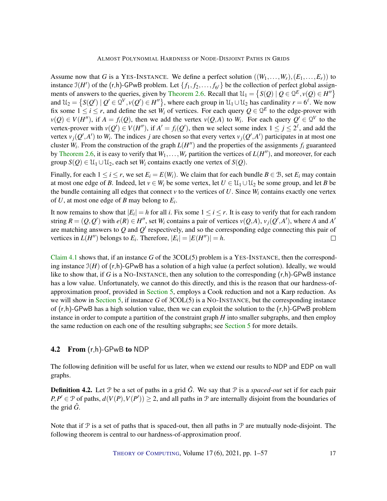Assume now that *G* is a YES-INSTANCE. We define a perfect solution  $((W_1, \ldots, W_r), (E_1, \ldots, E_r))$  to instance  $\mathfrak{I}(H')$  of the  $(r,h)$ -GPwB problem. Let  $\{f_1, f_2, \ldots, f_{6^{\ell}}\}$  be the collection of perfect global assign-ments of answers to the queries, given by [Theorem](#page-10-0) [2.6.](#page-10-0) Recall that  $\mathcal{U}_1 = \{ S(Q) \mid Q \in \mathcal{Q}^E, v(Q) \in H'' \}$ and  $\mathcal{U}_2 = \{ S(Q') \mid Q' \in \mathcal{Q}^V, v(Q') \in H'' \}$ , where each group in  $\mathcal{U}_1 \cup \mathcal{U}_2$  has cardinality  $r = 6^{\ell}$ . We now fix some  $1 \le i \le r$ , and define the set  $W_i$  of vertices. For each query  $Q \in \mathcal{Q}^E$  to the edge-prover with  $v(Q) \in V(H'')$ , if  $A = f_i(Q)$ , then we add the vertex  $v(Q, A)$  to  $W_i$ . For each query  $Q' \in \mathcal{Q}^V$  to the vertex-prover with  $v(Q') \in V(H'')$ , if  $A' = f_i(Q')$ , then we select some index  $1 \le j \le 2^{\ell}$ , and add the vertex  $v_j(Q', A')$  to  $W_i$ . The indices *j* are chosen so that every vertex  $v_j(Q', A')$  participates in at most one cluster  $W_i$ . From the construction of the graph  $L(H'')$  and the properties of the assignments  $f_i$  guaranteed by [Theorem](#page-10-0) [2.6,](#page-10-0) it is easy to verify that  $W_1, \ldots, W_r$  partition the vertices of  $L(H'')$ , and moreover, for each group  $S(Q) \in \mathcal{U}_1 \cup \mathcal{U}_2$ , each set  $W_i$  contains exactly one vertex of  $S(Q)$ .

Finally, for each  $1 \le i \le r$ , we set  $E_i = E(W_i)$ . We claim that for each bundle  $B \in \mathcal{B}$ , set  $E_i$  may contain at most one edge of *B*. Indeed, let  $v \in W_i$  be some vertex, let  $U \in U_1 \cup U_2$  be some group, and let *B* be the bundle containing all edges that connect  $\nu$  to the vertices of U. Since  $W_i$  contains exactly one vertex of *U*, at most one edge of *B* may belong to *E<sup>i</sup>* .

It now remains to show that  $|E_i| = h$  for all *i*. Fix some  $1 \le i \le r$ . It is easy to verify that for each random string  $R = (Q, Q')$  with  $e(R) \in H''$ , set  $W_i$  contains a pair of vertices  $v(Q, A)$ ,  $v_j(Q', A')$ , where A and A' are matching answers to  $Q$  and  $Q'$  respectively, and so the corresponding edge connecting this pair of vertices in  $L(H'')$  belongs to  $E_i$ . Therefore,  $|E_i| = |E(H'')| = h$ .  $\Box$ 

[Claim](#page-15-0) [4.1](#page-15-0) shows that, if an instance *G* of the 3COL(5) problem is a YES-INSTANCE, then the corresponding instance  $\mathfrak{I}(H)$  of  $(r,h)$ -GPwB has a solution of a high value (a perfect solution). Ideally, we would like to show that, if *G* is a NO-INSTANCE, then any solution to the corresponding (r,h)-GPwB instance has a low value. Unfortunately, we cannot do this directly, and this is the reason that our hardness-ofapproximation proof, provided in [Section](#page-18-0) [5,](#page-18-0) employs a Cook reduction and not a Karp reduction. As we will show in [Section](#page-18-0) [5,](#page-18-0) if instance *G* of 3COL(5) is a NO-INSTANCE, but the corresponding instance of  $(r,h)$ -GPwB has a high solution value, then we can exploit the solution to the  $(r,h)$ -GPwB problem instance in order to compute a partition of the constraint graph *H* into smaller subgraphs, and then employ the same reduction on each one of the resulting subgraphs; see [Section](#page-18-0) [5](#page-18-0) for more details.

### <span id="page-16-0"></span>4.2 From (r,h)-GPwB to NDP

The following definition will be useful for us later, when we extend our results to NDP and EDP on wall graphs.

**Definition 4.2.** Let  $\mathcal{P}$  be a set of paths in a grid  $\hat{G}$ . We say that  $\mathcal{P}$  is a *spaced-out* set if for each pair  $P, P' \in \mathcal{P}$  of paths,  $d(V(P), V(P')) \geq 2$ , and all paths in  $\mathcal{P}$  are internally disjoint from the boundaries of the grid  $\hat{G}$ .

Note that if  $P$  is a set of paths that is spaced-out, then all paths in  $P$  are mutually node-disjoint. The following theorem is central to our hardness-of-approximation proof.

THEORY OF C[OMPUTING](http://dx.doi.org/10.4086/toc), Volume 17 (6), 2021, pp. 1–57 17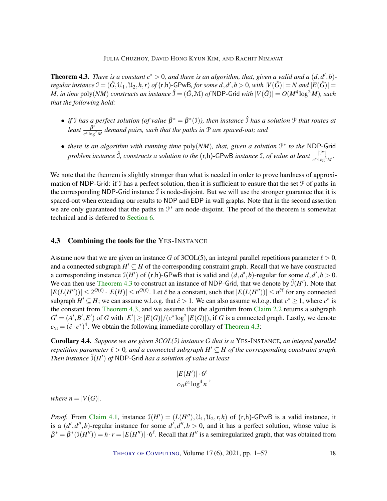<span id="page-17-1"></span>**Theorem 4.3.** There is a constant  $c^* > 0$ , and there is an algorithm, that, given a valid and a  $(d, d', b)$ *regular instance*  $\mathfrak{I} = (\tilde{G},\mathfrak{U}_1,\mathfrak{U}_2,h,r)$  *of* (r,h)-GPwB, for some  $d,d',b>0$ , with  $|V(\tilde{G})|=N$  and  $|E(\tilde{G})|=$ *M, in time*  $\text{poly}(NM)$  *constructs an instance*  $\hat{\theta} = (\hat{G}, \mathcal{M})$  *of <code>NDP-Grid</code> with*  $|V(\hat{G})| = O(M^4 \log^2 M)$ *, such that the following hold:*

- *if* I has a perfect solution (of value  $\beta^* = \beta^*(1)$ ), then instance  $\hat{1}$  has a solution  $\hat{P}$  that routes at  $least = \frac{\beta^*}{\beta^*}$ *c* ∗ log<sup>2</sup> *M demand pairs, such that the paths in* P *are spaced-out; and*
- *there is an algorithm with running time* poly(*NM*)*, that, given a solution* P ∗ *to the* NDP-Grid *problem instance*  $\hat{J}$ , constructs a solution to the  $(r,h)$ -GPwB instance I, of value at least  $\frac{|\mathcal{P}^*|}{r^* \log^2 n}$  $\frac{|J'|}{c^*\cdot \log^3 M}$ .

We note that the theorem is slightly stronger than what is needed in order to prove hardness of approximation of NDP-Grid: if I has a perfect solution, then it is sufficient to ensure that the set P of paths in the corresponding NDP-Grid instance  $\hat{J}$  is node-disjoint. But we will use the stronger guarantee that it is spaced-out when extending our results to NDP and EDP in wall graphs. Note that in the second assertion we are only guaranteed that the paths in  $\mathcal{P}^*$  are node-disjoint. The proof of the theorem is somewhat technical and is deferred to [Section](#page-27-0) [6.](#page-27-0)

### <span id="page-17-0"></span>4.3 Combining the tools for the YES-INSTANCE

Assume now that we are given an instance *G* of 3COL(5), an integral parallel repetitions parameter  $\ell > 0$ , and a connected subgraph  $H' \subseteq H$  of the corresponding constraint graph. Recall that we have constructed a corresponding instance  $J(H')$  of  $(r,h)$ -GPwB that is valid and  $(d,d',b)$ -regular for some  $d,d',b>0$ . We can then use [Theorem](#page-17-1) [4.3](#page-17-1) to construct an instance of NDP-Grid, that we denote by  $\hat{J}(H')$ . Note that  $|E(L(H''))| \leq 2^{O(\ell)} \cdot |E(H)| \leq n^{O(\ell)}$ . Let  $\hat{c}$  be a constant, such that  $|E(L(H''))| \leq n^{\hat{c}\ell}$  for any connected subgraph  $H' \subseteq H$ ; we can assume w.l.o.g. that  $\hat{c} > 1$ . We can also assume w.l.o.g. that  $c^* \geq 1$ , where  $c^*$  is the constant from [Theorem](#page-17-1) [4.3,](#page-17-1) and we assume that the algorithm from [Claim](#page-8-0) [2.2](#page-8-0) returns a subgraph  $G' = (A', B', E')$  of *G* with  $|E'| \ge |E(G)|/(c^* \log^2 |E(G)|)$ , if *G* is a connected graph. Lastly, we denote  $c_{\text{YI}} = (\hat{c} \cdot c^*)^4$ . We obtain the following immediate corollary of [Theorem](#page-17-1) [4.3:](#page-17-1)

<span id="page-17-2"></span>Corollary 4.4. *Suppose we are given 3COL(5) instance G that is a* YES-INSTANCE*, an integral parallel repetition parameter*  $\ell > 0$ , and a connected subgraph  $H' \subseteq H$  of the corresponding constraint graph. *Then instance*  $\hat{\mathfrak{I}}(H')$  *of* NDP-Grid *has a solution of value at least* 

$$
\frac{|E(H')|\cdot 6^{\ell}}{c_{\text{YI}}\ell^4\log^4 n},
$$

*where*  $n = |V(G)|$ *.* 

*Proof.* From [Claim](#page-15-0) [4.1,](#page-15-0) instance  $\mathcal{I}(H') = (L(H''), \mathcal{U}_1, \mathcal{U}_2, r, h)$  of  $(r, h)$ -GPwB is a valid instance, it is a  $(d', d'', b)$ -regular instance for some  $d', d'', b > 0$ , and it has a perfect solution, whose value is  $\beta^* = \beta^*(\mathfrak{I}(H'')) = h \cdot r = |E(H'')| \cdot 6^{\ell}$ . Recall that  $H''$  is a semiregularized graph, that was obtained from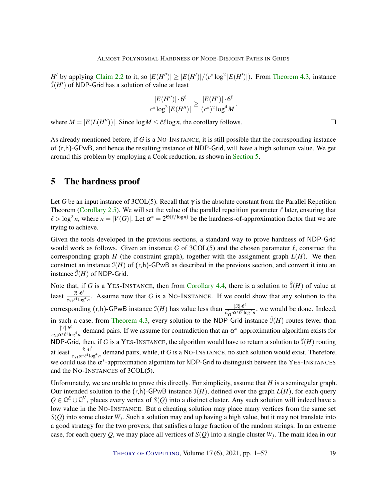*H*<sup> $\prime$ </sup> by applying [Claim](#page-8-0) [2.2](#page-8-0) to it, so  $|E(H'')| \ge |E(H')|/(c^* \log^2 |E(H')|)$ . From [Theorem](#page-17-1) [4.3,](#page-17-1) instance  $\hat{J}(H')$  of NDP-Grid has a solution of value at least

$$
\frac{|E(H'')|\cdot 6^\ell}{c^*\log^2|E(H'')|} \geq \frac{|E(H')|\cdot 6^\ell}{(c^*)^2\log^4 M},
$$

where  $M = |E(L(H''))|$ . Since  $\log M \leq \hat{c} \ell \log n$ , the corollary follows.

As already mentioned before, if *G* is a NO-INSTANCE, it is still possible that the corresponding instance of (r,h)-GPwB, and hence the resulting instance of NDP-Grid, will have a high solution value. We get around this problem by employing a Cook reduction, as shown in [Section](#page-18-0) [5.](#page-18-0)

# <span id="page-18-0"></span>5 The hardness proof

Let *G* be an input instance of 3COL(5). Recall that  $\gamma$  is the absolute constant from the Parallel Repetition Theorem [\(Corollary](#page-10-1) [2.5\)](#page-10-1). We will set the value of the parallel repetition parameter  $\ell$  later, ensuring that  $\ell > \log^2 n$ , where  $n = |V(G)|$ . Let  $\alpha^* = 2^{\Theta(\ell/\log n)}$  be the hardness-of-approximation factor that we are trying to achieve.

Given the tools developed in the previous sections, a standard way to prove hardness of NDP-Grid would work as follows. Given an instance G of  $3COL(5)$  and the chosen parameter  $\ell$ , construct the corresponding graph *H* (the constraint graph), together with the assignment graph  $L(H)$ . We then construct an instance  $\mathfrak{I}(H)$  of  $(r,h)$ -GPwB as described in the previous section, and convert it into an instance  $\hat{\mathcal{I}}(H)$  of NDP-Grid.

Note that, if *G* is a YES-INSTANCE, then from [Corollary](#page-17-2) [4.4,](#page-17-2) there is a solution to  $\hat{J}(H)$  of value at least  $\frac{|\mathcal{R}| \cdot 6^\ell}{\mathcal{R} - \ell^4 \log 6}$  $\frac{|X| \cdot 6^{\circ}}{c_{YI} \ell^4 \log^4 n}$ . Assume now that *G* is a NO-INSTANCE. If we could show that any solution to the corresponding  $(r,h)$ -GPwB instance  $\mathcal{I}(H)$  has value less than  $\frac{|\mathcal{R}|\cdot 6^{\ell}|}{\sigma^2 \sigma^* \ell^2}$  $\frac{|X| \cdot 6^{\circ}}{c_{\text{YI}}^2 \cdot \alpha^* \ell^7 \log^7 n}$ , we would be done. Indeed, in such a case, from [Theorem](#page-17-1) [4.3,](#page-17-1) every solution to the NDP-Grid instance  $\hat{J}(H)$  routes fewer than  $|\mathcal{R}| \cdot 6^\ell$  $\frac{|\mathcal{R}|\cdot6^t}{c_{\text{YI}}\alpha^*\ell^4\log^4 n}$  demand pairs. If we assume for contradiction that an  $\alpha^*$ -approximation algorithm exists for NDP-Grid, then, if *G* is a YES-INSTANCE, the algorithm would have to return a solution to  $\hat{\mathcal{I}}(H)$  routing at least  $\frac{|\mathcal{R}| \cdot 6^\ell}{\alpha \sqrt{6}}$  $\frac{|X| \cdot 6^2}{c_{Y1} \alpha^* \ell^4 \log^4 n}$  demand pairs, while, if *G* is a NO-INSTANCE, no such solution would exist. Therefore, we could use the  $\alpha^*$ -approximation algorithm for NDP-Grid to distinguish between the YES-INSTANCES and the NO-INSTANCES of 3COL(5).

Unfortunately, we are unable to prove this directly. For simplicity, assume that *H* is a semiregular graph. Our intended solution to the  $(r,h)$ -GPwB instance  $\mathcal{I}(H)$ , defined over the graph  $L(H)$ , for each query  $Q \in \mathcal{Q}^E \cup \mathcal{Q}^V$ , places every vertex of *S*(*Q*) into a distinct cluster. Any such solution will indeed have a low value in the NO-INSTANCE. But a cheating solution may place many vertices from the same set *S*(*Q*) into some cluster *W<sup>j</sup>* . Such a solution may end up having a high value, but it may not translate into a good strategy for the two provers, that satisfies a large fraction of the random strings. In an extreme case, for each query *Q*, we may place all vertices of *S*(*Q*) into a single cluster *W<sup>j</sup>* . The main idea in our

THEORY OF C[OMPUTING](http://dx.doi.org/10.4086/toc), Volume 17 (6), 2021, pp. 1–57 19

 $\Box$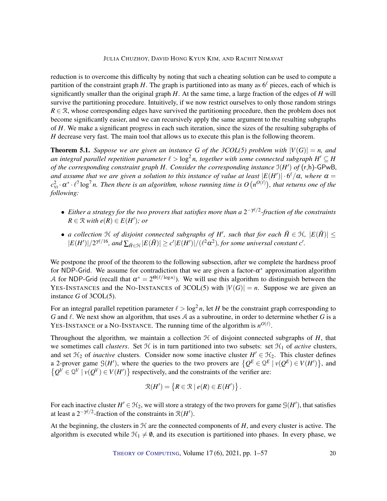reduction is to overcome this difficulty by noting that such a cheating solution can be used to compute a partition of the constraint graph *H*. The graph is partitioned into as many as  $6^\ell$  pieces, each of which is significantly smaller than the original graph *H*. At the same time, a large fraction of the edges of *H* will survive the partitioning procedure. Intuitively, if we now restrict ourselves to only those random strings  $R \in \mathcal{R}$ , whose corresponding edges have survived the partitioning procedure, then the problem does not become significantly easier, and we can recursively apply the same argument to the resulting subgraphs of *H*. We make a significant progress in each such iteration, since the sizes of the resulting subgraphs of *H* decrease very fast. The main tool that allows us to execute this plan is the following theorem.

<span id="page-19-0"></span>**Theorem 5.1.** Suppose we are given an instance G of the 3COL(5) problem with  $|V(G)| = n$ , and an integral parallel repetition parameter  $\ell > \log^2 n$ , together with some connected subgraph  $H' \subseteq H$ *of the corresponding constraint graph H. Consider the corresponding instance* I(*H* 0 ) *of* (r,h)-GPwB*, and assume that we are given a solution to this instance of value at least*  $|E(H')|\cdot 6^{\ell}/\alpha$ *, where*  $\alpha=$  $c_{\rm YI}^2\cdot\alpha^*\cdot\ell^7\log^7n.$  Then there is an algorithm, whose running time is  $O\big(n^{O(\ell)}\big)$ , that returns one of the *following:*

- Either a strategy for the two provers that satisfies more than a 2<sup>-γℓ/2</sup>-fraction of the constraints  $R \in \mathcal{R}$  *with*  $e(R) \in E(H')$ *; or*
- *a collection*  $H$  *of disjoint connected subgraphs of*  $H'$ *, such that for each*  $\tilde{H} \in H$ *,*  $|E(\tilde{H})| \le$  $|E(H')|/2^{\gamma\ell/16}$ , and  $\sum_{\tilde{H}\in\mathcal{H}}|E(\tilde{H})|\geq c'|E(H')|/(\ell^2\alpha^2)$ , for some universal constant  $c'$ .

We postpone the proof of the theorem to the following subsection, after we complete the hardness proof for NDP-Grid. We assume for contradiction that we are given a factor- $\alpha^*$  approximation algorithm A for NDP-Grid (recall that  $\alpha^* = 2^{\Theta(\ell/\log n)}$ ). We will use this algorithm to distinguish between the YES-INSTANCES and the NO-INSTANCES of 3COL(5) with  $|V(G)| = n$ . Suppose we are given an instance *G* of 3COL(5).

For an integral parallel repetition parameter  $\ell > \log^2 n$ , let *H* be the constraint graph corresponding to *G* and  $\ell$ . We next show an algorithm, that uses A as a subroutine, in order to determine whether G is a YES-INSTANCE or a NO-INSTANCE. The running time of the algorithm is  $n^{O(\ell)}$ .

Throughout the algorithm, we maintain a collection  $H$  of disjoint connected subgraphs of  $H$ , that we sometimes call *clusters*. Set  $H$  is in turn partitioned into two subsets: set  $H_1$  of *active* clusters, and set  $\mathcal{H}_2$  of *inactive* clusters. Consider now some inactive cluster  $H' \in \mathcal{H}_2$ . This cluster defines a 2-prover game  $\mathcal{G}(H')$ , where the queries to the two provers are  $\{Q^E \in \mathcal{Q}^E \mid v(Q^E) \in V(H')\}$ , and  $\{Q^V \in \mathbb{Q}^V \mid v(Q^V) \in V(H')\}$  respectively, and the constraints of the verifier are:

$$
\mathcal{R}(H') = \{ R \in \mathcal{R} \mid e(R) \in E(H') \}.
$$

For each inactive cluster  $H' \in \mathcal{H}_2$ , we will store a strategy of the two provers for game  $\mathcal{G}(H')$ , that satisfies at least a  $2^{-\gamma\ell/2}$ -fraction of the constraints in  $\mathcal{R}(H')$ .

At the beginning, the clusters in  $H$  are the connected components of  $H$ , and every cluster is active. The algorithm is executed while  $\mathcal{H}_1 \neq \emptyset$ , and its execution is partitioned into phases. In every phase, we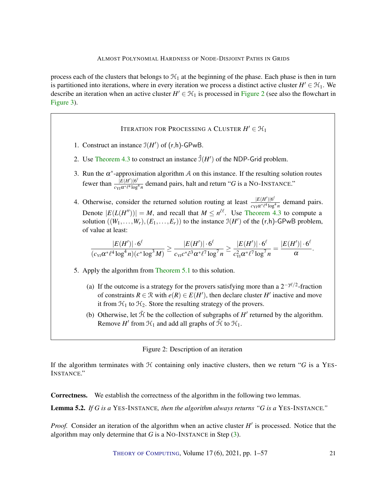process each of the clusters that belongs to  $\mathcal{H}_1$  at the beginning of the phase. Each phase is then in turn is partitioned into iterations, where in every iteration we process a distinct active cluster  $H' \in \mathcal{H}_1$ . We describe an iteration when an active cluster  $H' \in \mathcal{H}_1$  is processed in [Figure](#page-20-0) [2](#page-20-0) (see also the flowchart in [Figure](#page-21-0) [3\)](#page-21-0).

Iteration for Processing a Cluster  $H' \in \mathcal{H}_1$ 

- 1. Construct an instance  $\mathfrak{I}(H')$  of  $(r,h)$ -GPwB.
- 2. Use [Theorem](#page-17-1) [4.3](#page-17-1) to construct an instance  $\hat{J}(H')$  of the NDP-Grid problem.
- <span id="page-20-1"></span>3. Run the  $\alpha^*$ -approximation algorithm A on this instance. If the resulting solution routes fewer than  $\frac{|E(H')|6^{\ell}}{2mQ^* \ell^4 \log^2}$  $\frac{|E(H)||^6}{c_{\text{YI}} \alpha^* \ell^4 \log^4 n}$  demand pairs, halt and return "*G* is a NO-INSTANCE."
- 4. Otherwise, consider the returned solution routing at least  $\frac{|E(H')|6^{\ell}}{\sqrt{2\pi}}$  $rac{|E(H)|^{10}}{c_{\text{YI}}\alpha * l^4 \log^4 n}$  demand pairs. Denote  $|E(L(H''))| = M$ , and recall that  $M \leq n^{\hat{c}\hat{c}}$ . Use [Theorem](#page-17-1) [4.3](#page-17-1) to compute a solution  $((W_1, \ldots, W_r), (E_1, \ldots, E_r))$  to the instance  $\mathfrak{I}(H')$  of the  $(r, h)$ -GPwB problem, of value at least:

$$
\frac{|E(H')|\cdot 6^\ell}{(c_{\scriptscriptstyle {\it Y1}}\alpha^\ast\ell^4\log^4n)(c^\ast\log^3M)}\geq \frac{|E(H')|\cdot 6^\ell}{c_{\scriptscriptstyle {\it Y1}}c^\ast\ell^3\alpha^\ast\ell^7\log^7n}\geq \frac{|E(H')|\cdot 6^\ell}{c_{\scriptscriptstyle {\it Y1}}^2\alpha^\ast\ell^7\log^7n}=\frac{|E(H')|\cdot 6^\ell}{\alpha}.
$$

- 5. Apply the algorithm from [Theorem](#page-19-0) [5.1](#page-19-0) to this solution.
	- (a) If the outcome is a strategy for the provers satisfying more than a  $2^{-\gamma\ell/2}$ -fraction of constraints  $R \in \mathcal{R}$  with  $e(R) \in E(H')$ , then declare cluster *H'* inactive and move it from  $\mathcal{H}_1$  to  $\mathcal{H}_2$ . Store the resulting strategy of the provers.
	- (b) Otherwise, let  $\tilde{\mathcal{H}}$  be the collection of subgraphs of  $H'$  returned by the algorithm. Remove *H'* from  $\mathcal{H}_1$  and add all graphs of  $\tilde{\mathcal{H}}$  to  $\mathcal{H}_1$ .

#### <span id="page-20-0"></span>Figure 2: Description of an iteration

If the algorithm terminates with  $H$  containing only inactive clusters, then we return " $G$  is a YES-INSTANCE."

Correctness. We establish the correctness of the algorithm in the following two lemmas.

Lemma 5.2. *If G is a* YES-INSTANCE*, then the algorithm always returns "G is a* YES-INSTANCE*."*

Proof. Consider an iteration of the algorithm when an active cluster *H'* is processed. Notice that the algorithm may only determine that *G* is a NO-INSTANCE in Step [\(3\)](#page-20-1).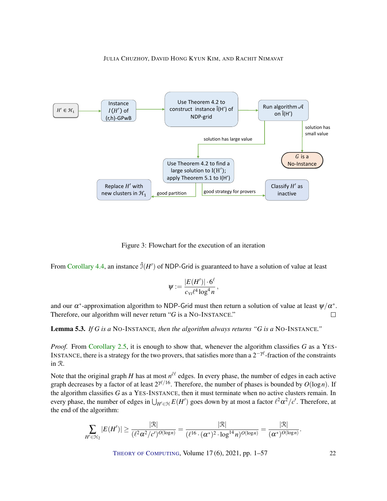



<span id="page-21-0"></span>Figure 3: Flowchart for the execution of an iteration

From [Corollary](#page-17-2) [4.4,](#page-17-2) an instance  $\hat{\mathcal{I}}(H')$  of NDP-Grid is guaranteed to have a solution of value at least

$$
\psi := \frac{|E(H')| \cdot 6^{\ell}}{c_{\text{VI}} \ell^4 \log^4 n},
$$

and our  $\alpha^*$ -approximation algorithm to NDP-Grid must then return a solution of value at least  $\psi/\alpha^*$ . Therefore, our algorithm will never return "*G* is a NO-INSTANCE."  $\Box$ 

Lemma 5.3. *If G is a* NO-INSTANCE*, then the algorithm always returns "G is a* NO-INSTANCE*."*

*Proof.* From [Corollary](#page-10-1) [2.5,](#page-10-1) it is enough to show that, whenever the algorithm classifies *G* as a YES-INSTANCE, there is a strategy for the two provers, that satisfies more than a  $2^{-\gamma\ell}$ -fraction of the constraints in R.

Note that the original graph *H* has at most  $n^{\hat{c}\ell}$  edges. In every phase, the number of edges in each active graph decreases by a factor of at least  $2^{\gamma \ell/16}$ . Therefore, the number of phases is bounded by  $O(\log n)$ . If the algorithm classifies *G* as a YES-INSTANCE, then it must terminate when no active clusters remain. In every phase, the number of edges in  $\bigcup_{H'\in\mathcal{H}}E(H')$  goes down by at most a factor  $\ell^2\alpha^2/c'.$  Therefore, at the end of the algorithm:

$$
\sum_{H'\in\mathfrak{H}_2}|E(H')|\geq \frac{|\mathfrak{R}|}{(\ell^2\alpha^2/c')^{O(\log n)}}=\frac{|\mathfrak{R}|}{(\ell^{16}\cdot(\alpha^*)^2\cdot\log^{14}n)^{O(\log n)}}=\frac{|\mathfrak{R}|}{(\alpha^*)^{O(\log n)}}.
$$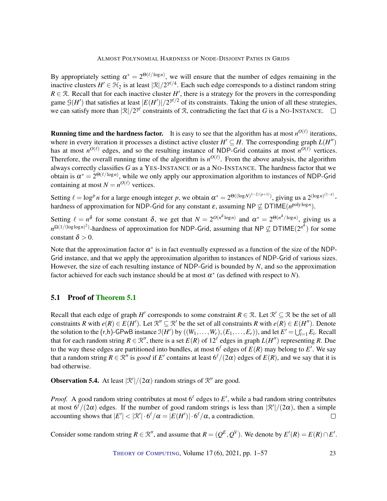By appropriately setting  $\alpha^* = 2^{\Theta(\ell/\log n)}$ , we will ensure that the number of edges remaining in the inactive clusters  $H' \in H_2$  is at least  $|\mathcal{R}|/2^{\gamma\ell/4}$ . Each such edge corresponds to a distinct random string  $R \in \mathcal{R}$ . Recall that for each inactive cluster *H*<sup> $\prime$ </sup>, there is a strategy for the provers in the corresponding game  $\mathcal{G}(H')$  that satisfies at least  $|E(H')|/2^{\gamma\ell/2}$  of its constraints. Taking the union of all these strategies, we can satisfy more than  $|\mathcal{R}|/2^{\gamma\ell}$  constraints of  $\mathcal{R}$ , contradicting the fact that *G* is a NO-INSTANCE.

**Running time and the hardness factor.** It is easy to see that the algorithm has at most  $n^{O(\ell)}$  iterations, where in every iteration it processes a distinct active cluster  $H' \subseteq H$ . The corresponding graph  $L(H'')$ has at most  $n^{O(\ell)}$  edges, and so the resulting instance of NDP-Grid contains at most  $n^{O(\ell)}$  vertices. Therefore, the overall running time of the algorithm is  $n^{O(\ell)}$ . From the above analysis, the algorithm always correctly classifies *G* as a YES-INSTANCE or as a NO-INSTANCE. The hardness factor that we obtain is  $\alpha^* = 2^{\Theta(\ell/\log n)}$ , while we only apply our approximation algorithm to instances of NDP-Grid containing at most  $N = n^{O(\ell)}$  vertices.

Setting  $\ell = \log^p n$  for a large enough integer p, we obtain  $\alpha^* = 2^{\Theta((\log N)^{1-2/(p+1)})}$ , giving us a  $2^{(\log n)^{(1-\epsilon)}}$ . hardness of approximation for NDP-Grid for any constant  $\varepsilon$ , assuming NP  $\not\subseteq$  DTIME $(n^{\text{poly}\log n})$ .

Setting  $\ell = n^{\delta}$  for some constant  $\delta$ , we get that  $N = 2^{O(n^{\delta} \log n)}$  and  $\alpha^* = 2^{\Theta(n^{\delta}/\log n)}$ , giving us a *n*<sup>2(1/(loglog*n*)<sup>2</sup>)-hardness of approximation for NDP-Grid, assuming that NP ⊈ DTIME(2<sup>*n*</sub><sup>δ</sup>) for some</sup></sup> constant  $\delta > 0$ .

Note that the approximation factor  $\alpha^*$  is in fact eventually expressed as a function of the size of the NDP-Grid instance, and that we apply the approximation algorithm to instances of NDP-Grid of various sizes. However, the size of each resulting instance of NDP-Grid is bounded by *N*, and so the approximation factor achieved for each such instance should be at most  $\alpha^*$  (as defined with respect to *N*).

### <span id="page-22-0"></span>5.1 Proof of [Theorem](#page-19-0) [5.1](#page-19-0)

Recall that each edge of graph *H*<sup> $\prime$ </sup> corresponds to some constraint  $R \in \mathcal{R}$ . Let  $\mathcal{R}' \subseteq \mathcal{R}$  be the set of all constraints *R* with  $e(R) \in E(H')$ . Let  $\mathcal{R}'' \subseteq \mathcal{R}'$  be the set of all constraints *R* with  $e(R) \in E(H'')$ . Denote the solution to the  $(r,h)$ -GPwB instance  $\mathfrak{I}(H')$  by  $((W_1,\ldots,W_r),(E_1,\ldots,E_r))$ , and let  $E'=\bigcup_{i=1}^r E_i$ . Recall that for each random string  $R \in \mathbb{R}^n$ , there is a set  $E(R)$  of  $12^{\ell}$  edges in graph  $L(H'')$  representing R. Due to the way these edges are partitioned into bundles, at most  $6^\ell$  edges of  $E(R)$  may belong to  $E'$ . We say that a random string  $R \in \mathbb{R}^n$  is good if  $E'$  contains at least  $6^{\ell}/(2\alpha)$  edges of  $E(R)$ , and we say that it is bad otherwise.

**Observation 5.4.** At least  $\left|\mathcal{R}'\right|/(2\alpha)$  random strings of  $\mathcal{R}''$  are good.

*Proof.* A good random string contributes at most  $6^\ell$  edges to  $E'$ , while a bad random string contributes at most  $6^{\ell}/(2\alpha)$  edges. If the number of good random strings is less than  $\frac{1}{2}$ ( $\frac{1}{2}\alpha$ ), then a simple accounting shows that  $|E'| < |\mathcal{R}'| \cdot 6^{\ell}/\alpha = |E(H')| \cdot 6^{\ell}/\alpha$ , a contradiction.  $\Box$ 

Consider some random string  $R \in \mathbb{R}^n$ , and assume that  $R = (Q^E, Q^V)$ . We denote by  $E'(R) = E(R) \cap E'$ .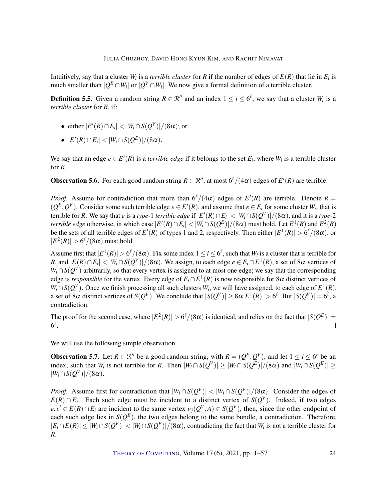Intuitively, say that a cluster  $W_i$  is a *terrible cluster* for  $R$  if the number of edges of  $E(R)$  that lie in  $E_i$  is much smaller than  $|Q^E \cap W_i|$  or  $|Q^V \cap W_i|$ . We now give a formal definition of a terrible cluster.

**Definition 5.5.** Given a random string  $R \in \mathbb{R}^n$  and an index  $1 \le i \le 6^\ell$ , we say that a cluster  $W_i$  is a *terrible cluster* for *R*, if:

- either  $|E'(R) \cap E_i| < |W_i \cap S(Q^V)|/(8\alpha)$ ; or
- $\bullet$  |*E'*(*R*)∩*E<sub>i</sub>*|  $\lt |W_i \cap S(Q^E)|/(8α)$ .

We say that an edge  $e \in E'(R)$  is a *terrible edge* if it belongs to the set  $E_i$ , where  $W_i$  is a terrible cluster for *R*.

**Observation 5.6.** For each good random string  $R \in \mathbb{R}^n$ , at most  $6^{\ell}/(4\alpha)$  edges of  $E'(R)$  are terrible.

*Proof.* Assume for contradiction that more than  $6^{\ell}/(4\alpha)$  edges of  $E'(R)$  are terrible. Denote  $R =$  $(Q^E, Q^V)$ . Consider some such terrible edge  $e \in E'(R)$ , and assume that  $e \in E_i$  for some cluster  $W_i$ , that is terrible for *R*. We say that *e* is a *type-*1 *terrible edge* if  $|E'(R) \cap E_i| < |W_i \cap S(Q^V)|/(8\alpha)$ , and it is a *type-*2 *terrible edge* otherwise, in which case  $|E'(R) \cap E_i| < |W_i \cap S(Q^E)|/(8\alpha)$  must hold. Let  $E^1(R)$  and  $E^2(R)$ be the sets of all terrible edges of  $E'(R)$  of types 1 and 2, respectively. Then either  $|E^1(R)| > 6^{\ell}/(8\alpha)$ , or  $|E^2(R)| > 6^{\ell}/(8\alpha)$  must hold.

Assume first that  $|E^1(R)| > 6^{\ell}/(8\alpha)$ . Fix some index  $1 \le i \le 6^{\ell}$ , such that  $W_i$  is a cluster that is terrible for *R*, and  $|E(R) \cap E_i| < |W_i \cap S(Q^V)|/(8\alpha)$ . We assign, to each edge  $e \in E_i \cap E^1(R)$ , a set of 8 $\alpha$  vertices of  $W_i \cap S(Q^V)$  arbitrarily, so that every vertex is assigned to at most one edge; we say that the corresponding edge is *responsible* for the vertex. Every edge of  $E_i \cap E^1(R)$  is now responsible for 8 $\alpha$  distinct vertices of  $W_i \cap S(Q^V)$ . Once we finish processing all such clusters  $W_i$ , we will have assigned, to each edge of  $E^1(R)$ , a set of 8 $\alpha$  distinct vertices of  $S(Q^V)$ . We conclude that  $|S(Q^V)| \geq 8\alpha|E^1(R)| > 6^\ell.$  But  $|S(Q^V)| = 6^\ell,$  a contradiction.

The proof for the second case, where  $|E^2(R)| > 6^{\ell}/(8\alpha)$  is identical, and relies on the fact that  $|S(Q^E)| =$  $6^\ell.$  $\Box$ 

We will use the following simple observation.

<span id="page-23-0"></span>**Observation 5.7.** Let  $R \in \mathbb{R}^n$  be a good random string, with  $R = (Q^E, Q^V)$ , and let  $1 \le i \le 6^\ell$  be an index, such that  $W_i$  is not terrible for R. Then  $|W_i \cap S(Q^V)| \ge |W_i \cap S(Q^E)|/(8\alpha)$  and  $|W_i \cap S(Q^E)| \ge$  $|W_i \cap S(Q^V)|/(8\alpha).$ 

*Proof.* Assume first for contradiction that  $|W_i \cap S(Q^V)| < |W_i \cap S(Q^E)|/(8\alpha)$ . Consider the edges of  $E(R) \cap E_i$ . Each such edge must be incident to a distinct vertex of  $S(Q^V)$ . Indeed, if two edges  $e, e' \in E(R) \cap E_i$  are incident to the same vertex  $v_j(Q^V, A) \in S(Q^V)$ , then, since the other endpoint of each such edge lies in  $S(Q^E)$ , the two edges belong to the same bundle, a contradiction. Therefore,  $|E_i \cap E(R)| \le |W_i \cap S(Q^V)| < |W_i \cap S(Q^E)|/(8\alpha)$ , contradicting the fact that  $W_i$  is not a terrible cluster for *R*.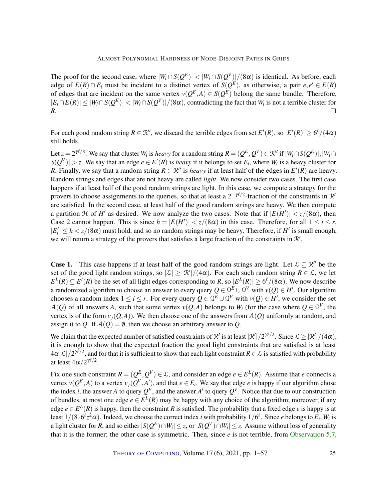The proof for the second case, where  $|W_i \cap S(Q^E)| < |W_i \cap S(Q^V)|/(8\alpha)$  is identical. As before, each edge of  $E(R) \cap E_i$  must be incident to a distinct vertex of  $S(Q^E)$ , as otherwise, a pair  $e, e' \in E(R)$ of edges that are incident on the same vertex  $v(Q^E, A) \in S(Q^E)$  belong the same bundle. Therefore,  $|E_i \cap E(R)| \le |W_i \cap S(Q^E)| < |W_i \cap S(Q^V)|/(8\alpha)$ , contradicting the fact that  $W_i$  is not a terrible cluster for *R*.  $\Box$ 

For each good random string  $R \in \mathbb{R}^n$ , we discard the terrible edges from set  $E'(R)$ , so  $|E'(R)| \geq 6^{\ell}/(4\alpha)$ still holds.

Let  $z = 2^{\gamma \ell/8}$ . We say that cluster  $W_i$  is *heavy* for a random string  $R = (Q^E, Q^V) \in \mathbb{R}''$  if  $|W_i \cap S(Q^E)|, |W_i \cap S(Q^E)|$  $|S(Q^V)| > z$ . We say that an edge  $e \in E'(R)$  is *heavy* if it belongs to set  $E_i$ , where  $W_i$  is a heavy cluster for *R*. Finally, we say that a random string  $R \in \mathbb{R}^n$  is *heavy* if at least half of the edges in  $E'(R)$  are heavy. Random strings and edges that are not heavy are called *light*. We now consider two cases. The first case happens if at least half of the good random strings are light. In this case, we compute a strategy for the provers to choose assignments to the queries, so that at least a  $2^{-\gamma\ell/2}$ -fraction of the constraints in  $\mathcal{R}'$ are satisfied. In the second case, at least half of the good random strings are heavy. We then compute a partition  $\mathcal H$  of  $H'$  as desired. We now analyze the two cases. Note that if  $|E(H')| < z/(8\alpha)$ , then Case 2 cannot happen. This is since  $h = |E(H')| < z/(8\alpha)$  in this case. Therefore, for all  $1 \le i \le r$ ,  $|E'_i| \leq h \lt z/(8\alpha)$  must hold, and so no random strings may be heavy. Therefore, if *H*' is small enough, we will return a strategy of the provers that satisfies a large fraction of the constraints in  $\mathcal{R}'$ .

**Case 1.** This case happens if at least half of the good random strings are light. Let  $\mathcal{L} \subseteq \mathbb{R}^n$  be the set of the good light random strings, so  $|\mathcal{L}| \geq |\mathcal{R}'|/(4\alpha)$ . For each such random string  $R \in \mathcal{L}$ , we let  $E^L(R) \subseteq E'(R)$  be the set of all light edges corresponding to *R*, so  $|E^L(R)| \ge 6^{\ell}/(8\alpha)$ . We now describe a randomized algorithm to choose an answer to every query  $Q \in \mathcal{Q}^E \cup \mathcal{Q}^V$  with  $v(Q) \in H'$ . Our algorithm chooses a random index  $1 \le i \le r$ . For every query  $Q \in \mathcal{Q}^E \cup \mathcal{Q}^V$  with  $v(Q) \in H'$ , we consider the set  $A(Q)$  of all answers *A*, such that some vertex  $v(Q, A)$  belongs to  $W_i$  (for the case where  $Q \in \mathcal{Q}^V$ , the vertex is of the form  $v_j(Q, A)$ ). We then choose one of the answers from  $A(Q)$  uniformly at random, and assign it to *Q*. If  $A(O) = \emptyset$ , then we choose an arbitrary answer to *Q*.

We claim that the expected number of satisfied constraints of  $\mathcal{R}'$  is at least  $|\mathcal{R}'|/2^{\gamma\ell/2}$ . Since  $\mathcal{L} \geq |\mathcal{R}'|/(4\alpha)$ , it is enough to show that the expected fraction the good light constraints that are satisfied is at least  $4\alpha |\mathcal{L}|/2^{\gamma\ell/2},$  and for that it is sufficient to show that each light constraint  $R\in\mathcal{L}$  is satisfied with probability at least  $4\alpha/2^{\gamma\ell/2}$ .

Fix one such constraint  $R = (Q^E, Q^V) \in \mathcal{L}$ , and consider an edge  $e \in E^L(R)$ . Assume that *e* connects a vertex  $v(Q^E, A)$  to a vertex  $v_j(Q^V, A')$ , and that  $e \in E_i$ . We say that edge *e* is happy if our algorithm chose the index *i*, the answer *A* to query  $Q^E$ , and the answer *A'* to query  $Q^V$ . Notice that due to our construction of bundles, at most one edge  $e \in E^L(R)$  may be happy with any choice of the algorithm; moreover, if any edge  $e \in E^L(R)$  is happy, then the constraint R is satisfied. The probability that a fixed edge  $e$  is happy is at least  $1/(8\cdot6^\ell z^2\alpha)$ . Indeed, we choose the correct index *i* with probability  $1/6^\ell$ . Since *e* belongs to  $E_i$ ,  $W_i$  is a light cluster for  $R$ , and so either  $|S(Q^E)\cap W_i|\leq z$ , or  $|S(Q^V)\cap W_i|\leq z$ . Assume without loss of generality that it is the former; the other case is symmetric. Then, since *e* is not terrible, from [Observation](#page-23-0) [5.7,](#page-23-0)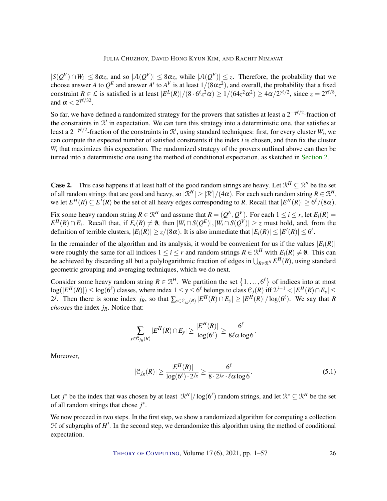$|S(Q^V) \cap W_i| \leq 8\alpha z$ , and so  $|A(Q^V)| \leq 8\alpha z$ , while  $|A(Q^E)| \leq z$ . Therefore, the probability that we choose answer *A* to  $Q^E$  and answer *A'* to  $A^V$  is at least  $1/(8\alpha z^2)$ , and overall, the probability that a fixed constraint  $R \in \mathcal{L}$  is satisfied is at least  $|E^L(R)|/(8 \cdot 6^{\ell} z^2 \alpha) \ge 1/(64z^2 \alpha^2) \ge 4\alpha/2^{\gamma \ell/2}$ , since  $z = 2^{\gamma \ell/8}$ , and  $\alpha < 2^{\gamma \ell / 32}$ .

So far, we have defined a randomized strategy for the provers that satisfies at least a  $2^{-\gamma\ell/2}$ -fraction of the constraints in  $\mathcal{R}'$  in expectation. We can turn this strategy into a deterministic one, that satisfies at least a  $2^{-\gamma\ell/2}$ -fraction of the constraints in  $\mathcal{R}'$ , using standard techniques: first, for every cluster  $W_i$ , we can compute the expected number of satisfied constraints if the index *i* is chosen, and then fix the cluster  $W_i$  that maximizes this expectation. The randomized strategy of the provers outlined above can then be turned into a deterministic one using the method of conditional expectation, as sketched in [Section](#page-6-0) [2.](#page-6-0)

**Case 2.** This case happens if at least half of the good random strings are heavy. Let  $\mathbb{R}^H \subseteq \mathbb{R}^V$  be the set of all random strings that are good and heavy, so  $|\mathcal{R}^H| \geq |\mathcal{R}'|/(4\alpha)$ . For each such random string  $R \in \mathcal{R}^H$ , we let  $E^H(R) \subseteq E'(R)$  be the set of all heavy edges corresponding to *R*. Recall that  $|E^H(R)| \ge 6^{\ell}/(8\alpha)$ .

Fix some heavy random string  $R \in \mathbb{R}^H$  and assume that  $R = (Q^E, Q^V)$ . For each  $1 \le i \le r$ , let  $E_i(R)$  =  $E^H(R) \cap E_i$ . Recall that, if  $E_i(R) \neq \emptyset$ , then  $|W_i \cap S(Q^E)|, |W_i \cap S(Q^V)| \geq z$  must hold, and, from the definition of terrible clusters,  $|E_i(R)| \ge z/(8\alpha)$ . It is also immediate that  $|E_i(R)| \le |E'(R)| \le 6^{\ell}$ .

In the remainder of the algorithm and its analysis, it would be convenient for us if the values  $|E_i(R)|$ were roughly the same for all indices  $1 \le i \le r$  and random strings  $R \in \mathbb{R}^H$  with  $E_i(R) \ne \emptyset$ . This can be achieved by discarding all but a polylogarithmic fraction of edges in  $\bigcup_{R\in\mathcal{R}^H}E^H(R)$ , using standard geometric grouping and averaging techniques, which we do next.

Consider some heavy random string  $R \in \mathbb{R}^H$ . We partition the set  $\{1,\ldots,6^\ell\}$  of indices into at most  $\log(|E^H(R)|)$  ≤  $\log(6^{\ell})$  classes, where index 1 ≤ *y* ≤ 6<sup> $\ell$ </sup> belongs to class  $\mathcal{C}_j(R)$  iff 2<sup>*j*−1</sup> <  $|E^H(R) \cap E_y|$  ≤ 2<sup>*j*</sup>. Then there is some index *j<sub>R</sub>*, so that  $\sum_{y \in \mathcal{C}_{j_R}(R)} |E^H(R) \cap E_y| \ge |E^H(R)| / \log(6^{\ell})$ . We say that *R chooses* the index *jR*. Notice that:

$$
\sum_{y \in \mathcal{C}_{j_R}(R)} |E^H(R) \cap E_y| \geq \frac{|E^H(R)|}{\log(6^{\ell})} \geq \frac{6^{\ell}}{8 \ell \alpha \log 6}.
$$

Moreover,

<span id="page-25-0"></span>
$$
|\mathcal{C}_{j_R}(R)| \ge \frac{|E^H(R)|}{\log(6^\ell) \cdot 2^{j_R}} \ge \frac{6^\ell}{8 \cdot 2^{j_R} \cdot \ell \alpha \log 6}.
$$
\n
$$
(5.1)
$$

Let *j*<sup>\*</sup> be the index that was chosen by at least  $|\mathcal{R}^H|/\log(6^\ell)$  random strings, and let  $\mathcal{R}^* \subseteq \mathcal{R}^H$  be the set of all random strings that chose *j* ∗ .

We now proceed in two steps. In the first step, we show a randomized algorithm for computing a collection  $H$  of subgraphs of  $H'$ . In the second step, we derandomize this algorithm using the method of conditional expectation.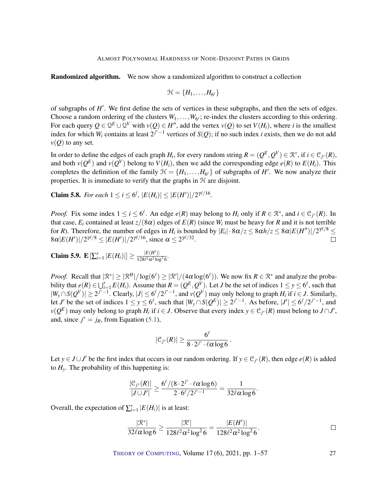Randomized algorithm. We now show a randomized algorithm to construct a collection

$$
\mathcal{H} = \{H_1, \ldots, H_{6^{\ell}}\}
$$

of subgraphs of *H'*. We first define the sets of vertices in these subgraphs, and then the sets of edges. Choose a random ordering of the clusters  $W_1, \ldots, W_{6}$ ; re-index the clusters according to this ordering. For each query  $Q \in \mathcal{Q}^E \cup \mathcal{Q}^V$  with  $v(Q) \in H''$ , add the vertex  $v(Q)$  to set  $V(H_i)$ , where *i* is the smallest index for which  $W_i$  contains at least  $2^{j^*-1}$  vertices of  $S(Q)$ ; if no such index *i* exists, then we do not add  $v(Q)$  to any set.

In order to define the edges of each graph  $H_i$ , for every random string  $R = (Q^E, Q^V) \in \mathbb{R}^*$ , if  $i \in \mathbb{C}_{j^*}(R)$ , and both  $v(Q^E)$  and  $v(Q^V)$  belong to  $V(H_i)$ , then we add the corresponding edge  $e(R)$  to  $E(H_i)$ . This completes the definition of the family  $\mathcal{H} = \{H_1, \ldots, H_{6^{\ell}}\}$  of subgraphs of *H'*. We now analyze their properties. It is immediate to verify that the graphs in  $H$  are disjoint.

<span id="page-26-0"></span>**Claim 5.8.** For each  $1 \le i \le 6^{\ell}$ ,  $|E(H_i)| \le |E(H')|/2^{\gamma \ell/16}$ .

*Proof.* Fix some index  $1 \le i \le 6^{\ell}$ . An edge  $e(R)$  may belong to  $H_i$  only if  $R \in \mathbb{R}^*$ , and  $i \in \mathcal{C}_{j^*}(R)$ . In that case,  $E_i$  contained at least  $z/(8\alpha)$  edges of  $E(R)$  (since  $W_i$  must be heavy for  $R$  and it is not terrible for *R*). Therefore, the number of edges in  $H_i$  is bounded by  $|E_i|\cdot 8\alpha/z \leq 8\alpha h/z \leq 8\alpha |E(H'')|/2^{\gamma\ell/8} \leq$  $8\alpha |E(H')| / 2^{\gamma \ell/8} \le |E(H')| / 2^{\gamma \ell/16}$ , since  $\alpha \le 2^{\gamma \ell/32}$ .  $\Box$ 

<span id="page-26-1"></span>**Claim 5.9.**  $\mathbf{E} \left[ \sum_{i=1}^r |E(H_i)| \right] \ge \frac{|E(H')|}{128\ell^2 \alpha^2 \log^2 n}$  $\frac{|E(H)|}{128\ell^2\alpha^2\log^2 6}$ 

*Proof.* Recall that  $|\mathcal{R}^*| \geq |\mathcal{R}^H|/\log(6^\ell) \geq |\mathcal{R}'|/(4\alpha \log(6^\ell))$ . We now fix  $R \in \mathcal{R}^*$  and analyze the probability that  $e(R) \in \bigcup_{i=1}^{r} E(H_i)$ . Assume that  $R = (Q^E, Q^V)$ . Let *J* be the set of indices  $1 \le y \le 6^{\ell}$ , such that  $|W_y \cap S(Q^V)| \ge 2^{j^*-1}$ . Clearly,  $|J| \le 6^{\ell}/2^{j^*-1}$ , and  $v(Q^V)$  may only belong to graph  $H_i$  if  $i \in J$ . Similarly, let *J'* be the set of indices  $1 \le y \le 6^\ell$ , such that  $|W_y \cap S(Q^E)| \ge 2^{j^*-1}$ . As before,  $|J'| \le 6^\ell / 2^{j^*-1}$ , and  $\nu(Q^E)$  may only belong to graph *H<sub>i</sub>* if *i* ∈ *J*. Observe that every index  $y \in C_{j^*}(R)$  must belong to  $J \cap J'$ , and, since  $j^* = j_R$ , from Equation [\(5.1\)](#page-25-0),

$$
|\mathfrak{C}_{j^*}(R)|\geq \frac{6^\ell}{8\cdot 2^{j^*}\cdot \ell\alpha\log 6}\,.
$$

Let  $y \in J \cup J'$  be the first index that occurs in our random ordering. If  $y \in C_{j^*}(R)$ , then edge  $e(R)$  is added to  $H<sub>y</sub>$ . The probability of this happening is:

$$
\frac{|\mathcal{C}_{j^*}(R)|}{|J \cup J'|} \ge \frac{6^{\ell}/(8 \cdot 2^{j^*} \cdot \ell \alpha \log 6)}{2 \cdot 6^{\ell}/2^{j^* - 1}} = \frac{1}{32 \ell \alpha \log 6}.
$$

Overall, the expectation of  $\sum_{i=1}^{r} |E(H_i)|$  is at least:

$$
\frac{|\mathcal{R}^*|}{32\ell\alpha\log 6} \ge \frac{|\mathcal{R}'|}{128\ell^2\alpha^2\log^2 6} = \frac{|E(H')|}{128\ell^2\alpha^2\log^2 6}.
$$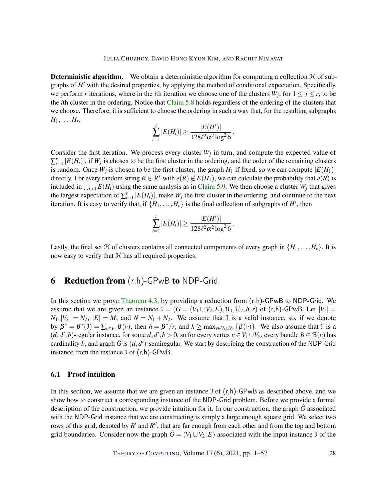**Deterministic algorithm.** We obtain a deterministic algorithm for computing a collection  $H$  of subgraphs of *H'* with the desired properties, by applying the method of conditional expectation. Specifically, we perform *r* iterations, where in the *i*th iteration we choose one of the clusters  $W_j$ , for  $1 \le j \le r$ , to be the *i*th cluster in the ordering. Notice that [Claim](#page-26-0) [5.8](#page-26-0) holds regardless of the ordering of the clusters that we choose. Therefore, it is sufficient to choose the ordering in such a way that, for the resulting subgraphs  $H_1,\ldots,H_r$ 

$$
\sum_{i=1}^r |E(H_i)| \ge \frac{|E(H')|}{128\ell^2 \alpha^2 \log^2 6}
$$

.

Consider the first iteration. We process every cluster  $W_j$  in turn, and compute the expected value of  $\sum_{i=1}^r |E(H_i)|$ , if  $W_j$  is chosen to be the first cluster in the ordering, and the order of the remaining clusters is random. Once  $W_j$  is chosen to be the first cluster, the graph  $H_1$  if fixed, so we can compute  $|E(H_1)|$ directly. For every random string  $R \in \mathbb{R}^*$  with  $e(R) \notin E(H_1)$ , we can calculate the probability that  $e(R)$  is included in  $\bigcup_{i>1} E(H_i)$  using the same analysis as in [Claim](#page-26-1) [5.9.](#page-26-1) We then choose a cluster  $W_j$  that gives the largest expectation of  $\sum_{i=1}^{r} |E(H_i)|$ , make  $W_j$  the first cluster in the ordering, and continue to the next iteration. It is easy to verify that, if  $\{H_1, \ldots, H_r\}$  is the final collection of subgraphs of  $H'$ , then

$$
\sum_{i=1}^r |E(H_i)| \ge \frac{|E(H')|}{128\ell^2 \alpha^2 \log^2 6}.
$$

Lastly, the final set  $\mathcal{H}$  of clusters contains all connected components of every graph in  $\{H_1, \ldots, H_r\}$ . It is now easy to verify that  $H$  has all required properties.

# <span id="page-27-0"></span>**6 Reduction from** (r,h)-GPwB **to** NDP-Grid

In this section we prove [Theorem](#page-17-1) [4.3,](#page-17-1) by providing a reduction from  $(r,h)$ -GPwB to NDP-Grid. We assume that we are given an instance  $\mathcal{I} = (\tilde{G} = (V_1 \cup V_2, E), \mathcal{U}_1, \mathcal{U}_2, h, r)$  of (r,h)-GPwB. Let  $|V_1|$  $N_1, |V_2| = N_2, |E| = M$ , and  $N = N_1 + N_2$ . We assume that I is a valid instance, so, if we denote by  $\beta^* = \beta^*(\mathcal{I}) = \sum_{v \in V_1} \beta(v)$ , then  $h = \beta^*/r$ , and  $h \ge \max_{v \in V_1 \cup V_2} {\beta(v)}$ . We also assume that  $\mathcal{I}$  is a  $(d, d', b)$ -regular instance, for some  $d, d', b > 0$ , so for every vertex  $v \in V_1 \cup V_2$ , every bundle  $B \in \mathcal{B}(v)$  has cardinality *b*, and graph  $\tilde{G}$  is  $(d, d')$ -semiregular. We start by describing the construction of the NDP-Grid instance from the instance  $\mathcal{I}$  of  $(r,h)$ -GPwB.

#### <span id="page-27-1"></span>6.1 Proof intuition

In this section, we assume that we are given an instance  $\mathcal I$  of  $(r,h)$ -GPwB as described above, and we show how to construct a corresponding instance of the NDP-Grid problem. Before we provide a formal description of the construction, we provide intuition for it. In our construction, the graph *G*ˆ associated with the NDP-Grid instance that we are constructing is simply a large enough square grid. We select two rows of this grid, denoted by  $R'$  and  $R''$ , that are far enough from each other and from the top and bottom grid boundaries. Consider now the graph  $\tilde{G} = (V_1 \cup V_2, E)$  associated with the input instance J of the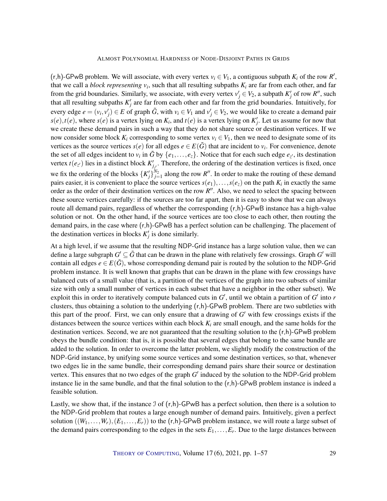$(r,h)$ -GPwB problem. We will associate, with every vertex  $v_i \in V_1$ , a contiguous subpath  $K_i$  of the row  $R'$ , that we call a *block representing*  $v_i$ , such that all resulting subpaths  $K_i$  are far from each other, and far from the grid boundaries. Similarly, we associate, with every vertex  $v'_j \in V_2$ , a subpath  $K'_j$  of row  $R''$ , such that all resulting subpaths  $K_j'$  are far from each other and far from the grid boundaries. Intuitively, for every edge  $e = (v_i, v'_j) \in E$  of graph  $\tilde{G}$ , with  $v_i \in V_1$  and  $v'_j \in V_2$ , we would like to create a demand pair  $s(e)$ , *t*(*e*), where  $s(e)$  is a vertex lying on  $K_i$ , and  $t(e)$  is a vertex lying on  $K'_j$ . Let us assume for now that we create these demand pairs in such a way that they do not share source or destination vertices. If we now consider some block  $K_i$  corresponding to some vertex  $v_i \in V_1$ , then we need to designate some of its vertices as the source vertices  $s(e)$  for all edges  $e \in E(\tilde{G})$  that are incident to  $v_i$ . For convenience, denote the set of all edges incident to  $v_i$  in  $\tilde{G}$  by  $\{e_1,\ldots,e_z\}$ . Notice that for each such edge  $e_{z'}$ , its destination vertex  $t(e_z)$  lies in a distinct block  $K'_{j_z}$ . Therefore, the ordering of the destination vertices is fixed, once we fix the ordering of the blocks  $\{K'_j\}_{j=1}^{N_2}$  along the row *R*''. In order to make the routing of these demand pairs easier, it is convenient to place the source vertices  $s(e_1),...,s(e_z)$  on the path  $K_i$  in exactly the same order as the order of their destination vertices on the row  $R''$ . Also, we need to select the spacing between these source vertices carefully: if the sources are too far apart, then it is easy to show that we can always route all demand pairs, regardless of whether the corresponding (r,h)-GPwB instance has a high-value solution or not. On the other hand, if the source vertices are too close to each other, then routing the demand pairs, in the case where (r,h)-GPwB has a perfect solution can be challenging. The placement of the destination vertices in blocks  $K'_j$  is done similarly.

At a high level, if we assume that the resulting NDP-Grid instance has a large solution value, then we can define a large subgraph  $G' \subseteq \tilde{G}$  that can be drawn in the plane with relatively few crossings. Graph  $G'$  will contain all edges  $e \in E(\tilde{G})$ , whose corresponding demand pair is routed by the solution to the NDP-Grid problem instance. It is well known that graphs that can be drawn in the plane with few crossings have balanced cuts of a small value (that is, a partition of the vertices of the graph into two subsets of similar size with only a small number of vertices in each subset that have a neighbor in the other subset). We exploit this in order to iteratively compute balanced cuts in  $G'$ , until we obtain a partition of  $G'$  into  $r$ clusters, thus obtaining a solution to the underlying  $(r,h)$ -GPwB problem. There are two subtleties with this part of the proof. First, we can only ensure that a drawing of  $G'$  with few crossings exists if the distances between the source vertices within each block  $K_i$  are small enough, and the same holds for the destination vertices. Second, we are not guaranteed that the resulting solution to the  $(r,h)$ -GPwB problem obeys the bundle condition: that is, it is possible that several edges that belong to the same bundle are added to the solution. In order to overcome the latter problem, we slightly modify the construction of the NDP-Grid instance, by unifying some source vertices and some destination vertices, so that, whenever two edges lie in the same bundle, their corresponding demand pairs share their source or destination vertex. This ensures that no two edges of the graph  $G'$  induced by the solution to the NDP-Grid problem instance lie in the same bundle, and that the final solution to the  $(r,h)$ -GPwB problem instance is indeed a feasible solution.

Lastly, we show that, if the instance  $\Im$  of  $(r,h)$ -GPwB has a perfect solution, then there is a solution to the NDP-Grid problem that routes a large enough number of demand pairs. Intuitively, given a perfect solution  $((W_1, \ldots, W_r), (E_1, \ldots, E_r))$  to the  $(r, h)$ -GPwB problem instance, we will route a large subset of the demand pairs corresponding to the edges in the sets  $E_1, \ldots, E_r$ . Due to the large distances between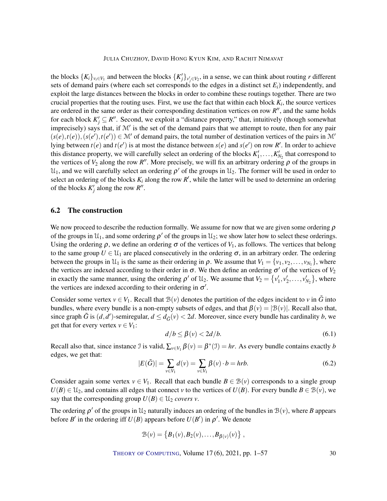the blocks  $\{K_i\}_{i \in V_1}$  and between the blocks  $\{K'_j\}_{v'_j \in V_2}$ , in a sense, we can think about routing *r* different sets of demand pairs (where each set corresponds to the edges in a distinct set  $E_i$ ) independently, and exploit the large distances between the blocks in order to combine these routings together. There are two crucial properties that the routing uses. First, we use the fact that within each block *K<sup>i</sup>* , the source vertices are ordered in the same order as their corresponding destination vertices on row  $R''$ , and the same holds for each block  $K'_j \subseteq R''$ . Second, we exploit a "distance property," that, intuitively (though somewhat imprecisely) says that, if  $\mathcal{M}'$  is the set of the demand pairs that we attempt to route, then for any pair  $(s(e),t(e)),(s(e'),t(e')) \in M'$  of demand pairs, the total number of destination vertices of the pairs in M' lying between  $t(e)$  and  $t(e')$  is at most the distance between  $s(e)$  and  $s(e')$  on row R'. In order to achieve this distance property, we will carefully select an ordering of the blocks  $K'_1, \ldots, K'_{N_2}$  that correspond to the vertices of  $V_2$  along the row *R*<sup>"</sup>. More precisely, we will fix an arbitrary ordering  $\rho$  of the groups in  $\mathcal{U}_1$ , and we will carefully select an ordering  $\rho'$  of the groups in  $\mathcal{U}_2$ . The former will be used in order to select an ordering of the blocks  $K_i$  along the row  $R'$ , while the latter will be used to determine an ordering of the blocks  $K'_j$  along the row  $R''$ .

### <span id="page-29-0"></span>6.2 The construction

We now proceed to describe the reduction formally. We assume for now that we are given some ordering  $\rho$ of the groups in  $\mathcal{U}_1$ , and some ordering  $\rho'$  of the groups in  $\mathcal{U}_2$ ; we show later how to select these orderings. Using the ordering  $\rho$ , we define an ordering  $\sigma$  of the vertices of  $V_1$ , as follows. The vertices that belong to the same group  $U \in \mathcal{U}_1$  are placed consecutively in the ordering  $\sigma$ , in an arbitrary order. The ordering between the groups in  $\mathcal{U}_1$  is the same as their ordering in  $\rho$ . We assume that  $V_1 = \{v_1, v_2, \dots, v_{N_1}\}\,$ , where the vertices are indexed according to their order in  $\sigma$ . We then define an ordering  $\sigma'$  of the vertices of  $V_2$ in exactly the same manner, using the ordering  $\rho'$  of  $\mathfrak{U}_2$ . We assume that  $V_2 = \{v'_1, v'_2, \dots, v'_{N_2}\}\,$ , where the vertices are indexed according to their ordering in  $\sigma'$ .

Consider some vertex  $v \in V_1$ . Recall that  $\mathcal{B}(v)$  denotes the partition of the edges incident to *v* in  $\tilde{G}$  into bundles, where every bundle is a non-empty subsets of edges, and that  $\beta(v) = |\mathcal{B}(v)|$ . Recall also that, since graph  $\tilde{G}$  is  $(d, d')$ -semiregular,  $d \leq d_{\tilde{G}}(v) < 2d$ . Moreover, since every bundle has cardinality *b*, we get that for every vertex  $v \in V_1$ :

<span id="page-29-1"></span>
$$
d/b \le \beta(v) < 2d/b. \tag{6.1}
$$

Recall also that, since instance J is valid,  $\sum_{v \in V_1} \beta(v) = \beta^*(\mathcal{I}) = hr$ . As every bundle contains exactly *b* edges, we get that:

<span id="page-29-2"></span>
$$
|E(\tilde{G})| = \sum_{v \in V_1} d(v) = \sum_{v \in V_1} \beta(v) \cdot b = hrb.
$$
 (6.2)

Consider again some vertex  $v \in V_1$ . Recall that each bundle  $B \in \mathcal{B}(v)$  corresponds to a single group  $U(B) \in U_2$ , and contains all edges that connect *v* to the vertices of  $U(B)$ . For every bundle  $B \in \mathcal{B}(v)$ , we say that the corresponding group  $U(B) \in \mathcal{U}_2$  *covers v*.

The ordering  $\rho'$  of the groups in  $\mathcal{U}_2$  naturally induces an ordering of the bundles in  $\mathcal{B}(v)$ , where *B* appears before *B'* in the ordering iff  $U(B)$  appears before  $U(B')$  in  $\rho'$ . We denote

$$
\mathcal{B}(v) = \left\{ B_1(v), B_2(v), \ldots, B_{\beta(v)}(v) \right\},\,
$$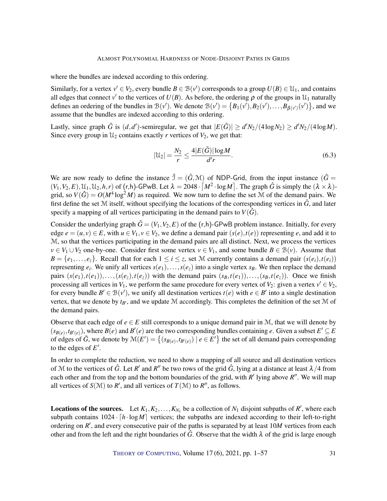where the bundles are indexed according to this ordering.

Similarly, for a vertex  $v' \in V_2$ , every bundle  $B \in B(v')$  corresponds to a group  $U(B) \in \mathcal{U}_1$ , and contains all edges that connect  $v'$  to the vertices of  $U(B)$ . As before, the ordering  $\rho$  of the groups in  $\mathcal{U}_1$  naturally defines an ordering of the bundles in  $B(v')$ . We denote  $B(v') = \{B_1(v'), B_2(v'), \ldots, B_{\beta(v')}(v')\}$ , and we assume that the bundles are indexed according to this ordering.

Lastly, since graph  $\tilde{G}$  is  $(d,d')$ -semiregular, we get that  $|E(\tilde{G})| \ge d'N_2/(4\log N_2) \ge d'N_2/(4\log M)$ . Since every group in  $\mathcal{U}_2$  contains exactly *r* vertices of  $V_2$ , we get that:

<span id="page-30-0"></span>
$$
|\mathcal{U}_2| = \frac{N_2}{r} \le \frac{4|E(\tilde{G})|\log M}{d'r}.
$$
\n(6.3)

We are now ready to define the instance  $\hat{J} = (\hat{G}, \mathcal{M})$  of NDP-Grid, from the input instance  $(\tilde{G} =$  $(V_1, V_2, E), U_1, U_2, h, r)$  of  $(r, h)$ -GPwB. Let  $\lambda = 2048 \cdot [M^2 \cdot \log M]$ . The graph  $\hat{G}$  is simply the  $(\lambda \times \lambda)$ grid, so  $V(\hat{G}) = O(M^4 \log^2 M)$  as required. We now turn to define the set M of the demand pairs. We first define the set  $M$  itself, without specifying the locations of the corresponding vertices in  $\hat{G}$ , and later specify a mapping of all vertices participating in the demand pairs to  $V(\hat{G})$ .

Consider the underlying graph  $\tilde{G} = (V_1, V_2, E)$  of the (r,h)-GPwB problem instance. Initially, for every edge  $e = (u, v) \in E$ , with  $u \in V_1, v \in V_2$ , we define a demand pair  $(s(e), t(e))$  representing *e*, and add it to M, so that the vertices participating in the demand pairs are all distinct. Next, we process the vertices *v* ∈ *V*<sub>1</sub> ∪ *V*<sub>2</sub> one-by-one. Consider first some vertex *v* ∈ *V*<sub>1</sub>, and some bundle *B* ∈ *B*(*v*). Assume that  $B = \{e_1, \ldots, e_z\}$ . Recall that for each  $1 \leq i \leq z$ , set M currently contains a demand pair  $(s(e_i), t(e_i))$ representing  $e_i$ . We unify all vertices  $s(e_1), \ldots, s(e_z)$  into a single vertex  $s_B$ . We then replace the demand pairs  $(s(e_1), t(e_1)), \ldots, (s(e_{\overline{z}}), t(e_{\overline{z}}))$  with the demand pairs  $(s_B, t(e_1)), \ldots, (s_B, t(e_{\overline{z}}))$ . Once we finish processing all vertices in  $V_1$ , we perform the same procedure for every vertex of  $V_2$ : given a vertex  $v' \in V_2$ , for every bundle  $B' \in B(v')$ , we unify all destination vertices  $t(e)$  with  $e \in B'$  into a single destination vertex, that we denote by  $t_{B}$ , and we update M accordingly. This completes the definition of the set M of the demand pairs.

Observe that each edge of  $e \in E$  still corresponds to a unique demand pair in M, that we will denote by  $(s_{B(e)}, t_{B'(e)})$ , where  $B(e)$  and  $B'(e)$  are the two corresponding bundles containing *e*. Given a subset  $E' \subseteq E$ of edges of  $\tilde{G}$ , we denote by  $\mathcal{M}(E') = \{(s_{B(e)}, t_{B'(e)}) \mid e \in E'\}$  the set of all demand pairs corresponding to the edges of  $E'$ .

In order to complete the reduction, we need to show a mapping of all source and all destination vertices of M to the vertices of  $\hat{G}$ . Let  $R'$  and  $R''$  be two rows of the grid  $\hat{G}$ , lying at a distance at least  $\lambda/4$  from each other and from the top and the bottom boundaries of the grid, with  $R'$  lying above  $R''$ . We will map all vertices of  $S(\mathcal{M})$  to  $R'$ , and all vertices of  $T(\mathcal{M})$  to  $R''$ , as follows.

**Locations of the sources.** Let  $K_1, K_2, \ldots, K_{N_1}$  be a collection of  $N_1$  disjoint subpaths of  $R'$ , where each subpath contains  $1024 \cdot [h \cdot \log M]$  vertices; the subpaths are indexed according to their left-to-right ordering on *R'*, and every consecutive pair of the paths is separated by at least 10*M* vertices from each other and from the left and the right boundaries of  $\hat{G}$ . Observe that the width  $\lambda$  of the grid is large enough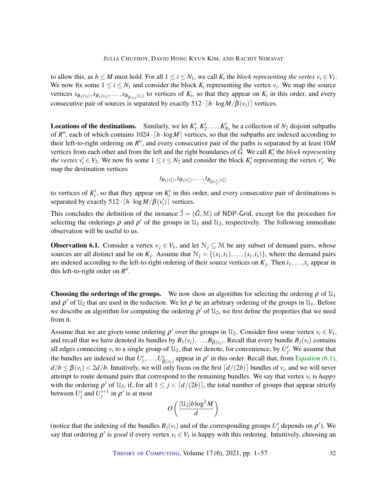to allow this, as  $h \leq M$  must hold. For all  $1 \leq i \leq N_1$ , we call  $K_i$  the *block representing the vertex*  $v_i \in V_1$ . We now fix some  $1 \le i \le N_1$  and consider the block  $K_i$  representing the vertex  $v_i$ . We map the source vertices  $s_{B_1(v_i)}, s_{B_2(v_i)}, \ldots, s_{B_{\beta(v_i)}(v_i)}$  to vertices of  $K_i$ , so that they appear on  $K_i$  in this order, and every consecutive pair of sources is separated by exactly  $512 \cdot [h \cdot \log M/\beta(v_i)]$  vertices.

**Locations of the destinations.** Similarly, we let  $K'_1, K'_2, \ldots, K'_{N_2}$  be a collection of  $N_2$  disjoint subpaths of  $R''$ , each of which contains  $1024 \cdot [h \cdot \log M]$  vertices, so that the subpaths are indexed according to their left-to-right ordering on  $R''$ , and every consecutive pair of the paths is separated by at least 10*M* vertices from each other and from the left and the right boundaries of  $\hat{G}$ . We call  $K_i'$  the *block representing the vertex*  $v'_i \in V_2$ . We now fix some  $1 \le i \le N_2$  and consider the block  $K'_i$  representing the vertex  $v'_i$ . We map the destination vertices

$$
t_{B_1(v'_i)}, t_{B_2(v'_i)}, \ldots, t_{B_{\beta(v'_i)}(v'_i)}
$$

to vertices of  $K_i'$ , so that they appear on  $K_i'$  in this order, and every consecutive pair of destinations is separated by exactly  $512 \cdot [h \cdot \log M/\beta(v_i')]$  vertices.

This concludes the definition of the instance  $\hat{\mathcal{I}} = (\hat{G}, \mathcal{M})$  of NDP-Grid, except for the procedure for selecting the orderings  $\rho$  and  $\rho'$  of the groups in  $\mathcal{U}_1$  and  $\mathcal{U}_2$ , respectively. The following immediate observation will be useful to us.

<span id="page-31-0"></span>**Observation 6.1.** Consider a vertex  $v_j \in V_1$ , and let  $\mathcal{N}_j \subseteq \mathcal{M}$  be any subset of demand pairs, whose sources are all distinct and lie on  $K_j$ . Assume that  $\mathcal{N}_j = \{(s_1,t_1), \ldots, (s_y,t_y)\}$ , where the demand pairs are indexed according to the left-to-right ordering of their source vertices on *K<sup>j</sup>* . Then *t*1,...,*t<sup>y</sup>* appear in this left-to-right order on  $R''$ .

**Choosing the orderings of the groups.** We now show an algorithm for selecting the ordering  $\rho$  of  $\mathcal{U}_1$ and  $\rho'$  of  $\mathfrak{U}_2$  that are used in the reduction. We let  $\rho$  be an arbitrary ordering of the groups in  $\mathfrak{U}_1$ . Before we describe an algorithm for computing the ordering  $\rho'$  of  $\mathfrak{U}_2$ , we first define the properties that we need from it.

Assume that we are given some ordering  $\rho'$  over the groups in  $\mathcal{U}_2$ . Consider first some vertex  $v_i \in V_1$ , and recall that we have denoted its bundles by  $B_1(v_i), \ldots, B_{\beta(v_i)}$ . Recall that every bundle  $B_j(v_i)$  contains all edges connecting  $v_i$  to a single group of  $\mathcal{U}_2$ , that we denote, for convenience, by  $U_j^i$ . We assume that the bundles are indexed so that  $U_1^i, \ldots, U_{\beta_i(v_i)}^i$  appear in  $\rho'$  in this order. Recall that, from [Equation](#page-29-1) [\(6.1\)](#page-29-1),  $d/b \leq \beta(v_i) < 2d/b$ . Intuitively, we will only focus on the first  $\lceil d/(2b) \rceil$  bundles of  $v_i$ , and we will never attempt to route demand pairs that correspond to the remaining bundles. We say that vertex *v<sup>i</sup>* is *happy* with the ordering  $\rho'$  of  $\mathfrak{U}_2$ , if, for all  $1 \leq j < \lceil d/(2b) \rceil$ , the total number of groups that appear strictly between  $U_j^i$  and  $U_j^{i+1}$  in  $\rho'$  is at most

$$
O\left(\frac{|\mathfrak{U}_2|b\log^2 M}{d}\right)
$$

(notice that the indexing of the bundles  $B_j(v_i)$  and of the corresponding groups  $U_j^i$  depends on  $\rho'$ ). We say that ordering  $\rho'$  is *good* if every vertex  $v_i \in V_1$  is happy with this ordering. Intuitively, choosing an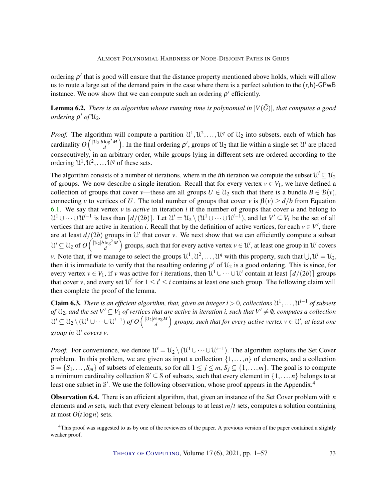ordering  $\rho'$  that is good will ensure that the distance property mentioned above holds, which will allow us to route a large set of the demand pairs in the case where there is a perfect solution to the (r,h)-GPwB instance. We now show that we can compute such an ordering  $\rho'$  efficiently.

**Lemma 6.2.** *There is an algorithm whose running time is polynomial in*  $|V(\tilde{G})|$ *, that computes a good ordering*  $\rho'$  *of*  $\mathfrak{U}_2$ *.* 

*Proof.* The algorithm will compute a partition  $\mathcal{U}^1, \mathcal{U}^2, \ldots, \mathcal{U}^q$  of  $\mathcal{U}_2$  into subsets, each of which has cardinality  $O\left(\frac{|\mathcal{U}_2|b\log^2 M}{d}\right)$  $\frac{\log^2 M}{d}$ ). In the final ordering  $\rho'$ , groups of  $\mathcal{U}_2$  that lie within a single set  $\mathcal{U}^i$  are placed consecutively, in an arbitrary order, while groups lying in different sets are ordered according to the ordering  $\mathcal{U}^1, \mathcal{U}^2, \ldots, \mathcal{U}^q$  of these sets.

The algorithm consists of a number of iterations, where in the *i*th iteration we compute the subset  $\mathcal{U}^i \subseteq \mathcal{U}_2$ of groups. We now describe a single iteration. Recall that for every vertex  $v \in V_1$ , we have defined a collection of groups that cover *v*—these are all groups  $U \in \mathcal{U}_2$  such that there is a bundle  $B \in \mathcal{B}(v)$ , connecting *v* to vertices of *U*. The total number of groups that cover *v* is  $\beta(v) \ge d/b$  from Equation [6.1.](#page-29-1) We say that vertex *v* is *active* in iteration *i* if the number of groups that cover *u* and belong to  $\mathcal{U}^1 \cup \cdots \cup \mathcal{U}^{i-1}$  is less than  $\lceil d/(2b) \rceil$ . Let  $\mathcal{U}' = \mathcal{U}_2 \setminus (\mathcal{U}^1 \cup \cdots \cup \mathcal{U}^{i-1})$ , and let  $V' \subseteq V_1$  be the set of all vertices that are active in iteration *i*. Recall that by the definition of active vertices, for each  $v \in V'$ , there are at least  $d/(2b)$  groups in  $\mathcal{U}'$  that cover *v*. We next show that we can efficiently compute a subset  $\mathcal{U}^i \subseteq \mathcal{U}_2$  of  $O\left(\frac{|\mathcal{U}_2| b \log^2 M}{d}\right)$  $\frac{\log^2 M}{d}$  groups, such that for every active vertex  $v \in \mathcal{U}'$ , at least one group in  $\mathcal{U}^i$  covers *v*. Note that, if we manage to select the groups  $\mathcal{U}^1, \mathcal{U}^2, \dots, \mathcal{U}^q$  with this property, such that  $\bigcup_i \mathcal{U}^i = \mathcal{U}_2$ , then it is immediate to verify that the resulting ordering  $\rho'$  of  $\mathfrak{U}_2$  is a good ordering. This is since, for every vertex  $v \in V_1$ , if *v* was active for *i* iterations, then  $\mathcal{U}^1 \cup \cdots \cup \mathcal{U}^i$  contain at least  $\lceil d/(2b) \rceil$  groups that cover *v*, and every set  $\mathcal{U}^{i'}$  for  $1 \leq i' \leq i$  contains at least one such group. The following claim will then complete the proof of the lemma.

<span id="page-32-1"></span>**Claim 6.3.** There is an efficient algorithm, that, given an integer  $i > 0$ , collections  $\mathcal{U}^1, \ldots, \mathcal{U}^{i-1}$  of subsets *of*  $\mathfrak{U}_2$ , and the set  $V' \subseteq V_1$  of vertices that are active in iteration i, such that  $V' \neq \emptyset$ , computes a collection  $\mathcal{U}^i \subseteq \mathcal{U}_2 \setminus (\mathcal{U}^1 \cup \cdots \cup \mathcal{U}^{i-1})$  of  $O\left(\frac{|\mathcal{U}_2| b \log M}{d}\right)$  $\left(\frac{d\log M}{d}\right)$  groups, such that for every active vertex  $v\in \mathcal{U}'$ , at least one *group in* U *i covers v.*

*Proof.* For convenience, we denote  $\mathcal{U}' = \mathcal{U}_2 \setminus (\mathcal{U}^1 \cup \cdots \cup \mathcal{U}^{i-1})$ . The algorithm exploits the Set Cover problem. In this problem, we are given as input a collection  $\{1, \ldots, n\}$  of elements, and a collection  $S = \{S_1, \ldots, S_m\}$  of subsets of elements, so for all  $1 \le j \le m$ ,  $S_j \subseteq \{1, \ldots, m\}$ . The goal is to compute a minimum cardinality collection  $S' \subseteq S$  of subsets, such that every element in  $\{1,\ldots,n\}$  belongs to at least one subset in S'. We use the following observation, whose proof appears in the Appendix.<sup>4</sup>

<span id="page-32-0"></span>Observation 6.4. There is an efficient algorithm, that, given an instance of the Set Cover problem with *n* elements and *m* sets, such that every element belongs to at least  $m/t$  sets, computes a solution containing at most  $O(t \log n)$  sets.

<sup>&</sup>lt;sup>4</sup>This proof was suggested to us by one of the reviewers of the paper. A previous version of the paper contained a slightly weaker proof.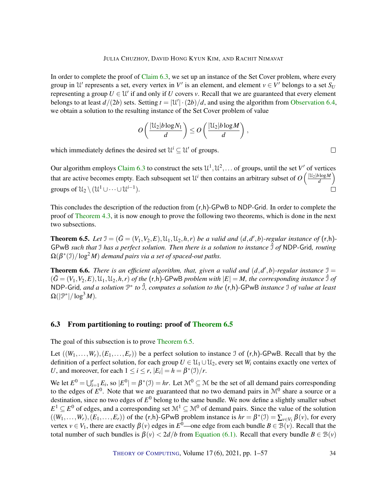In order to complete the proof of [Claim](#page-32-1) [6.3,](#page-32-1) we set up an instance of the Set Cover problem, where every group in  $\mathcal{U}'$  represents a set, every vertex in  $V'$  is an element, and element  $v \in V'$  belongs to a set  $S_U$ representing a group  $U \in \mathcal{U}'$  if and only if *U* covers *v*. Recall that we are guaranteed that every element belongs to at least  $d/(2b)$  sets. Setting  $t = |\mathcal{U}'| \cdot (2b)/d$ , and using the algorithm from [Observation](#page-32-0) [6.4,](#page-32-0) we obtain a solution to the resulting instance of the Set Cover problem of value

$$
O\left(\frac{|\mathcal{U}_2|b\log N_1}{d}\right) \leq O\left(\frac{|\mathcal{U}_2|b\log M}{d}\right),
$$

which immediately defines the desired set  $\mathcal{U}^i \subseteq \mathcal{U}'$  of groups.

Our algorithm employs [Claim](#page-32-1) [6.3](#page-32-1) to construct the sets  $\mathcal{U}^1, \mathcal{U}^2, \dots$  of groups, until the set V' of vertices that are active becomes empty. Each subsequent set  $\mathcal{U}^i$  then contains an arbitrary subset of  $O\left(\frac{|\mathcal{U}_2| b \log M}{d}\right)$  $\frac{\partial \log M}{d}$ groups of  $\mathcal{U}_2 \setminus (\mathcal{U}^1 \cup \dots \cup \mathcal{U}^{i-1}).$  $\Box$ 

This concludes the description of the reduction from  $(r,h)$ -GPwB to NDP-Grid. In order to complete the proof of [Theorem](#page-17-1) [4.3,](#page-17-1) it is now enough to prove the following two theorems, which is done in the next two subsections.

<span id="page-33-1"></span>**Theorem 6.5.** Let  $\mathfrak{I} = (\tilde{G} = (V_1, V_2, E), \mathfrak{U}_1, \mathfrak{U}_2, h, r)$  be a valid and  $(d, d', b)$ -regular instance of  $(\mathsf{r}, \mathsf{h})$ -GPwB *such that* I has a perfect solution. Then there is a solution to instance  $\hat{J}$  of NDP-Grid, routing  $\Omega(\beta^*(\mathfrak{I})/\log^2 M)$  demand pairs via a set of spaced-out paths.

<span id="page-33-2"></span>**Theorem 6.6.** *There is an efficient algorithm, that, given a valid and*  $(d, d', b)$ *-regular instance*  $\mathcal{I} =$  $(\tilde{G} = (V_1, V_2, E), \mathcal{U}_1, \mathcal{U}_2, h, r)$  of the  $(r, h)$ -GPwB problem with  $|E| = M$ , the corresponding instance  $\hat{\mathcal{I}}$  of NDP-Grid*, and a solution* P ∗ *to* ˆI*, computes a solution to the* (r,h)-GPwB *instance* I *of value at least*  $\Omega(|\mathcal{P}^*|/\log^3 M).$ 

### <span id="page-33-0"></span>6.3 From partitioning to routing: proof of [Theorem](#page-33-1) [6.5](#page-33-1)

The goal of this subsection is to prove [Theorem](#page-33-1) [6.5.](#page-33-1)

Let  $((W_1, \ldots, W_r), (E_1, \ldots, E_r))$  be a perfect solution to instance J of  $(r,h)$ -GPwB. Recall that by the definition of a perfect solution, for each group  $U \in \mathcal{U}_1 \cup \mathcal{U}_2$ , every set  $W_i$  contains exactly one vertex of *U*, and moreover, for each  $1 \le i \le r$ ,  $|E_i| = h = \beta^*(\mathcal{I})/r$ .

We let  $E^0 = \bigcup_{i=1}^r E_i$ , so  $|E^0| = \beta^*(\mathfrak{I}) = hr$ . Let  $\mathfrak{M}^0 \subseteq \mathfrak{M}$  be the set of all demand pairs corresponding to the edges of  $E^0$ . Note that we are guaranteed that no two demand pairs in  $\mathcal{M}^0$  share a source or a destination, since no two edges of *E* <sup>0</sup> belong to the same bundle. We now define a slightly smaller subset  $E^1 \subseteq E^0$  of edges, and a corresponding set  $\mathcal{M}^1 \subseteq \mathcal{M}^0$  of demand pairs. Since the value of the solution  $((W_1,\ldots,W_r),(E_1,\ldots,E_r))$  of the  $(r,h)$ -GPwB problem instance is  $hr = \beta^*(\mathcal{I}) = \sum_{v \in V_1} \beta(v)$ , for every vertex  $v \in V_1$ , there are exactly  $\beta(v)$  edges in  $E^0$ —one edge from each bundle  $B \in \mathcal{B}(v)$ . Recall that the total number of such bundles is  $\beta(v) < 2d/b$  from [Equation](#page-29-1) [\(6.1\)](#page-29-1). Recall that every bundle  $B \in \mathcal{B}(v)$ 

 $\Box$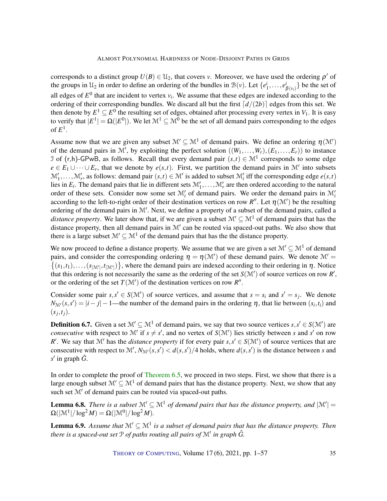corresponds to a distinct group  $U(B) \in \mathcal{U}_2$ , that covers *v*. Moreover, we have used the ordering  $\rho'$  of the groups in  $\mathcal{U}_2$  in order to define an ordering of the bundles in  $\mathcal{B}(v)$ . Let  $\{e_1^i, \ldots, e_{\beta(v_i)}^i\}$  be the set of all edges of  $E^0$  that are incident to vertex  $v_i$ . We assume that these edges are indexed according to the ordering of their corresponding bundles. We discard all but the first  $\lceil d/(2b) \rceil$  edges from this set. We then denote by  $E^1 \subseteq E^0$  the resulting set of edges, obtained after processing every vertex in  $V_1$ . It is easy to verify that  $|E^1| = \Omega(|E^0|).$  We let  $\mathcal{M}^1 \subseteq \mathcal{M}^0$  be the set of all demand pairs corresponding to the edges of  $E^1$ .

Assume now that we are given any subset  $\mathcal{M}' \subseteq \mathcal{M}^1$  of demand pairs. We define an ordering  $\eta(\mathcal{M}')$ of the demand pairs in M', by exploiting the perfect solution  $((W_1, \ldots, W_r), (E_1, \ldots, E_r))$  to instance I of  $(r,h)$ -GPwB, as follows. Recall that every demand pair  $(s,t) \in M<sup>1</sup>$  corresponds to some edge  $e \in E_1 \cup \cdots \cup E_r$ , that we denote by  $e(s,t)$ . First, we partition the demand pairs in M' into subsets  $\mathcal{M}'_1,\ldots,\mathcal{M}'_r$ , as follows: demand pair  $(s,t) \in \mathcal{M}'$  is added to subset  $\mathcal{M}'_i$  iff the corresponding edge  $e(s,t)$ lies in  $E_i$ . The demand pairs that lie in different sets  $\mathcal{M}'_1, \ldots, \mathcal{M}'_r$  are then ordered according to the natural order of these sets. Consider now some set  $\mathcal{M}'_i$  of demand pairs. We order the demand pairs in  $\mathcal{M}'_i$ according to the left-to-right order of their destination vertices on row  $R''$ . Let  $\eta(\mathcal{M}')$  be the resulting ordering of the demand pairs in  $M'$ . Next, we define a property of a subset of the demand pairs, called a *distance property.* We later show that, if we are given a subset  $\mathcal{M}' \subseteq \mathcal{M}^1$  of demand pairs that has the distance property, then all demand pairs in  $\mathcal{M}'$  can be routed via spaced-out paths. We also show that there is a large subset  $\mathcal{M}' \subseteq \mathcal{M}^1$  of the demand pairs that has the the distance property.

We now proceed to define a distance property. We assume that we are given a set  $\mathcal{M}' \subset \mathcal{M}^1$  of demand pairs, and consider the corresponding ordering  $\eta = \eta(\mathcal{M}')$  of these demand pairs. We denote  $\mathcal{M}' =$  $\{(s_1,t_1),\ldots,(s_{|\mathcal{M}'|},t_{|\mathcal{M}'|})\}$ , where the demand pairs are indexed according to their ordering in  $\eta$ . Notice that this ordering is not necessarily the same as the ordering of the set  $S(\mathcal{M}')$  of source vertices on row  $R'$ , or the ordering of the set  $T(\mathcal{M}')$  of the destination vertices on row  $R''$ .

Consider some pair  $s, s' \in S(\mathcal{M}')$  of source vertices, and assume that  $s = s_i$  and  $s' = s_j$ . We denote  $N_{\mathcal{M}'}(s, s') = |i - j| - 1$ —the number of the demand pairs in the ordering  $\eta$ , that lie between  $(s_i, t_i)$  and  $(s_j,t_j)$ .

**Definition 6.7.** Given a set  $\mathcal{M}' \subseteq \mathcal{M}^1$  of demand pairs, we say that two source vertices  $s, s' \in S(\mathcal{M}')$  are *consecutive* with respect to M' if  $s \neq s'$ , and no vertex of  $S(M')$  lies strictly between *s* and *s'* on row *R'*. We say that  $\mathcal{M}'$  has the *distance property* if for every pair  $s, s' \in S(\mathcal{M}')$  of source vertices that are consecutive with respect to  $\mathcal{M}', N_{\mathcal{M}'}(s, s') < d(s, s')/4$  holds, where  $d(s, s')$  is the distance between *s* and *s* 0 in graph *G*ˆ.

In order to complete the proof of [Theorem](#page-33-1) [6.5,](#page-33-1) we proceed in two steps. First, we show that there is a large enough subset  $\mathcal{M}' \subset \mathcal{M}^1$  of demand pairs that has the distance property. Next, we show that any such set  $M'$  of demand pairs can be routed via spaced-out paths.

<span id="page-34-0"></span>**Lemma 6.8.** *There is a subset*  $\mathcal{M}' \subseteq \mathcal{M}^1$  *of demand pairs that has the distance property, and*  $|\mathcal{M}'|$  =  $\Omega(|\mathfrak{M}^1|/\log^2 M) = \Omega(|\mathfrak{M}^0|/\log^2 M).$ 

<span id="page-34-1"></span>**Lemma 6.9.** Assume that  $\mathcal{M}' \subseteq \mathcal{M}^1$  is a subset of demand pairs that has the distance property. Then there is a spaced-out set  $\mathbb P$  of paths routing all pairs of  $\mathbb M'$  in graph  $\hat G.$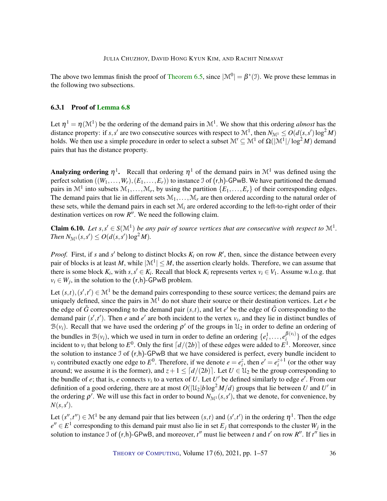The above two lemmas finish the proof of [Theorem](#page-33-1) [6.5,](#page-33-1) since  $|\mathcal{M}^0| = \beta^*(\mathcal{I})$ . We prove these lemmas in the following two subsections.

#### <span id="page-35-0"></span>6.3.1 Proof of [Lemma](#page-34-0) [6.8](#page-34-0)

Let  $\eta^1 = \eta(\mathcal{M}^1)$  be the ordering of the demand pairs in  $\mathcal{M}^1$ . We show that this ordering *almost* has the distance property: if *s*,*s'* are two consecutive sources with respect to  $\mathcal{M}^1$ , then  $N_{\mathcal{M}^1} \le O(d(s, s') \log^2 M)$ holds. We then use a simple procedure in order to select a subset  $\mathcal{M}'\subseteq\mathcal{M}^1$  of  $\Omega(|\mathcal{M}^1|/\log^2 M)$  demand pairs that has the distance property.

Analyzing ordering  $\eta^1$ . Recall that ordering  $\eta^1$  of the demand pairs in  $\mathcal{M}^1$  was defined using the perfect solution  $((W_1, \ldots, W_r), (E_1, \ldots, E_r))$  to instance J of  $(r, h)$ -GPwB. We have partitioned the demand pairs in  $\mathcal{M}^1$  into subsets  $\mathcal{M}_1, \ldots, \mathcal{M}_r$ , by using the partition  $\{E_1, \ldots, E_r\}$  of their corresponding edges. The demand pairs that lie in different sets  $M_1, \ldots, M_r$  are then ordered according to the natural order of these sets, while the demand pairs in each set M*<sup>i</sup>* are ordered according to the left-to-right order of their destination vertices on row  $R''$ . We need the following claim.

<span id="page-35-1"></span>**Claim 6.10.** Let  $s, s' \in S(\mathbb{M}^1)$  be any pair of source vertices that are consecutive with respect to  $\mathbb{M}^1$ . *Then*  $N_{\mathcal{M}^1}(s, s') \leq O(d(s, s') \log^2 M)$ *.* 

*Proof.* First, if *s* and *s*' belong to distinct blocks  $K_i$  on row  $R'$ , then, since the distance between every pair of blocks is at least *M*, while  $|M^1| \leq M$ , the assertion clearly holds. Therefore, we can assume that there is some block  $K_i$ , with  $s, s' \in K_i$ . Recall that block  $K_i$  represents vertex  $v_i \in V_1$ . Assume w.l.o.g. that  $v_i \in W_j$ , in the solution to the  $(r,h)$ -GPwB problem.

Let  $(s,t), (s',t') \in \mathbb{M}^1$  be the demand pairs corresponding to these source vertices; the demand pairs are uniquely defined, since the pairs in  $\mathcal{M}^1$  do not share their source or their destination vertices. Let  $e$  be the edge of  $\tilde{G}$  corresponding to the demand pair  $(s,t)$ , and let  $e'$  be the edge of  $\tilde{G}$  corresponding to the demand pair  $(s', t')$ . Then *e* and *e'* are both incident to the vertex  $v_i$ , and they lie in distinct bundles of  $\mathcal{B}(v_i)$ . Recall that we have used the ordering  $\rho'$  of the groups in  $\mathcal{U}_2$  in order to define an ordering of the bundles in  $\mathcal{B}(v_i)$ , which we used in turn in order to define an ordering  $\{e_i^1, \ldots, e_i^{\beta(v_i)}\}$  $\{a_i^{(v_i)}\}$  of the edges incident to  $v_i$  that belong to  $E^0$ . Only the first  $\lceil d/(2b) \rceil$  of these edges were added to  $E^1$ . Moreover, since the solution to instance I of (r,h)-GPwB that we have considered is perfect, every bundle incident to *v*<sub>*i*</sub> contributed exactly one edge to  $E^0$ . Therefore, if we denote  $e = e_i^z$ , then  $e' = e_i^{z+1}$  (or the other way around; we assume it is the former), and  $z + 1 \leq [d/(2b)]$ . Let  $U \in \mathcal{U}_2$  be the group corresponding to the bundle of *e*; that is, *e* connects  $v_i$  to a vertex of *U*. Let *U'* be defined similarly to edge *e'*. From our definition of a good ordering, there are at most  $O(|\mathfrak{U}_2|b\log^2 M/d)$  groups that lie between  $U$  and  $U'$  in the ordering  $\rho'$ . We will use this fact in order to bound  $N_{\mathcal{M}^1}(s, s')$ , that we denote, for convenience, by  $N(s, s')$ .

Let  $(s'',t'') \in \mathcal{M}^1$  be any demand pair that lies between  $(s,t)$  and  $(s',t')$  in the ordering  $\eta^1$ . Then the edge  $e'' \in E^1$  corresponding to this demand pair must also lie in set  $E_j$  that corresponds to the cluster  $W_j$  in the solution to instance J of  $(r,h)$ -GPwB, and moreover,  $t''$  must lie between  $t$  and  $t'$  on row  $R''$ . If  $t''$  lies in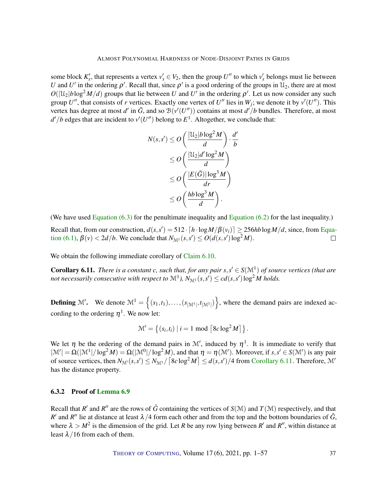some block  $K'_x$ , that represents a vertex  $v'_x \in V_2$ , then the group  $U''$  to which  $v'_x$  belongs must lie between *U* and *U'* in the ordering  $\rho'$ . Recall that, since  $\rho'$  is a good ordering of the groups in  $\mathcal{U}_2$ , there are at most  $O(|\mathcal{U}_2|b\log^2 M/d)$  groups that lie between *U* and *U'* in the ordering  $\rho'$ . Let us now consider any such group  $U''$ , that consists of *r* vertices. Exactly one vertex of  $U''$  lies in  $W_j$ ; we denote it by  $v'(U'')$ . This vertex has degree at most *d'* in  $\tilde{G}$ , and so  $\mathcal{B}(v'(U''))$  contains at most *d'*/*b* bundles. Therefore, at most  $d'/b$  edges that are incident to  $v'(U'')$  belong to  $E^1$ . Altogether, we conclude that:

$$
N(s, s') \le O\left(\frac{|\mathcal{U}_2|b\log^2 M}{d}\right) \cdot \frac{d'}{b}
$$
  
\n
$$
\le O\left(\frac{|\mathcal{U}_2|d'\log^2 M}{d}\right)
$$
  
\n
$$
\le O\left(\frac{|E(\tilde{G})|\log^3 M}{dr}\right)
$$
  
\n
$$
\le O\left(\frac{hb\log^3 M}{d}\right).
$$

(We have used Equation  $(6.3)$  for the penultimate inequality and Equation  $(6.2)$  for the last inequality.)

Recall that, from our construction,  $d(s, s') = 512 \cdot [h \cdot \log M/\beta(v_i)] \geq 256hb \log M/d$ , since, from [Equa](#page-29-1)[tion \(6.1\),](#page-29-1)  $\beta(v) < 2d/b$ . We conclude that  $N_{\mathcal{M}^1}(s, s') \le O(d(s, s') \log^2 M)$ .  $\Box$ 

We obtain the following immediate corollary of [Claim](#page-35-1) [6.10.](#page-35-1)

<span id="page-36-1"></span>**Corollary 6.11.** *There is a constant c, such that, for any pair*  $s, s' \in S(\mathbb{M}^1)$  *of source vertices (that are* not necessarily consecutive with respect to  $\mathcal{M}^1$ ),  $N_{\mathcal{M}^1}(s,s')\leq cd(s,s')\log^2 M$  holds.

**Defining** M'. We denote  $M^1 = \{(s_1,t_1),\ldots,(s_{|\mathcal{M}^1|},t_{|\mathcal{M}^1|})\}$ , where the demand pairs are indexed according to the ordering  $\eta^1$ . We now let:

$$
\mathcal{M}' = \left\{ (s_i, t_i) \mid i = 1 \mod \left\lceil 8c \log^2 M \right\rceil \right\}.
$$

We let  $\eta$  be the ordering of the demand pairs in M', induced by  $\eta$ <sup>1</sup>. It is immediate to verify that  $|\mathcal{M}'| = \Omega(|\mathcal{M}^1|/\log^2 M) = \Omega(|\mathcal{M}^0|/\log^2 M)$ , and that  $\eta = \eta(\mathcal{M}')$ . Moreover, if  $s, s' \in S(\mathcal{M}')$  is any pair of source vertices, then  $N_{\mathcal{M}'}(s,s') \leq N_{\mathcal{M}'}\left\lceil \frac{8c\log^2 M}{s'} \right\rceil \leq d(s,s')/4$  from [Corollary](#page-36-1) [6.11.](#page-36-1) Therefore,  $\mathcal{M}'$ has the distance property.

#### <span id="page-36-0"></span>6.3.2 Proof of [Lemma](#page-34-1) [6.9](#page-34-1)

Recall that *R'* and *R''* are the rows of  $\hat{G}$  containing the vertices of  $S(\mathcal{M})$  and  $T(\mathcal{M})$  respectively, and that *R*' and *R*'' lie at distance at least  $\lambda/4$  form each other and from the top and the bottom boundaries of  $\hat{G}$ , where  $\lambda > M^2$  is the dimension of the grid. Let *R* be any row lying between *R'* and *R''*, within distance at least  $\lambda/16$  from each of them.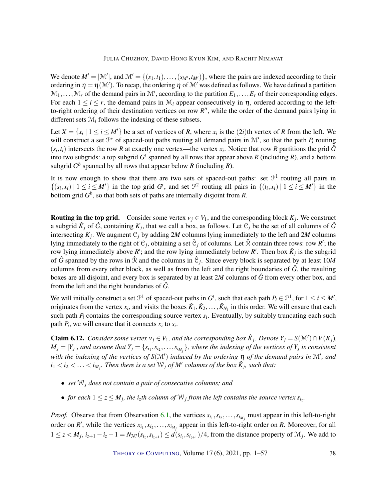We denote  $M' = |\mathcal{M}'|$ , and  $\mathcal{M}' = \{(s_1,t_1),\ldots,(s_{M'},t_{M'})\}$ , where the pairs are indexed according to their ordering in  $\eta = \eta(\mathcal{M}')$ . To recap, the ordering  $\eta$  of  $\mathcal{M}'$  was defined as follows. We have defined a partition  $\mathcal{M}_1, \ldots, \mathcal{M}_r$  of the demand pairs in  $\mathcal{M}'$ , according to the partition  $E_1, \ldots, E_r$  of their corresponding edges. For each  $1 \le i \le r$ , the demand pairs in  $\mathcal{M}_i$  appear consecutively in  $\eta$ , ordered according to the leftto-right ordering of their destination vertices on row  $R''$ , while the order of the demand pairs lying in different sets M*<sup>i</sup>* follows the indexing of these subsets.

Let  $X = \{x_i | 1 \le i \le M'\}$  be a set of vertices of *R*, where  $x_i$  is the  $(2i)$ th vertex of *R* from the left. We will construct a set  $\mathbb{P}^*$  of spaced-out paths routing all demand pairs in  $\mathcal{M}'$ , so that the path  $P_i$  routing  $(s_i, t_i)$  intersects the row *R* at exactly one vertex—the vertex  $x_i$ . Notice that row *R* partitions the grid  $\hat{G}$ into two subgrids: a top subgrid  $G^t$  spanned by all rows that appear above  $R$  (including  $R$ ), and a bottom subgrid  $G^b$  spanned by all rows that appear below *R* (including *R*).

It is now enough to show that there are two sets of spaced-out paths: set  $\mathcal{P}^1$  routing all pairs in  $\{(s_i, x_i) \mid 1 \le i \le M'\}$  in the top grid  $G^t$ , and set  $\mathcal{P}^2$  routing all pairs in  $\{(t_i, x_i) \mid 1 \le i \le M'\}$  in the bottom grid *G b* , so that both sets of paths are internally disjoint from *R*.

**Routing in the top grid.** Consider some vertex  $v_j \in V_1$ , and the corresponding block  $K_j$ . We construct a subgrid  $\hat{K}_j$  of  $\hat{G}$ , containing  $K_j$ , that we call a box, as follows. Let  $\mathfrak{C}_j$  be the set of all columns of  $\hat{G}$ intersecting  $K_j$ . We augment  $\mathcal{C}_j$  by adding 2*M* columns lying immediately to the left and 2*M* columns lying immediately to the right of  $C_j$ , obtaining a set  $\hat{C}_j$  of columns. Let  $\hat{\mathcal{R}}$  contain three rows: row *R'*; the row lying immediately above  $R'$ ; and the row lying immediately below  $R'$ . Then box  $\hat{K}_j$  is the subgrid of  $\hat{G}$  spanned by the rows in  $\hat{\mathcal{R}}$  and the columns in  $\hat{C}_j$ . Since every block is separated by at least 10*M* columns from every other block, as well as from the left and the right boundaries of  $\hat{G}$ , the resulting boxes are all disjoint, and every box is separated by at least 2*M* columns of *G*ˆ from every other box, and from the left and the right boundaries of  $\hat{G}$ .

We will initially construct a set  $\mathcal{P}^1$  of spaced-out paths in  $G^t$ , such that each path  $P_i \in \mathcal{P}^1$ , for  $1 \le i \le M'$ , originates from the vertex  $x_i$ , and visits the boxes  $\hat{K}_1, \hat{K}_2, \ldots, \hat{K}_{N_1}$  in this order. We will ensure that each such path  $P_i$  contains the corresponding source vertex  $s_i$ . Eventually, by suitably truncating each such path  $P_i$ , we will ensure that it connects  $x_i$  to  $s_i$ .

**Claim 6.12.** *Consider some vertex*  $v_j \in V_1$ *, and the corresponding box*  $\hat{K}_j$ *. Denote*  $Y_j = S(\mathcal{M}') \cap V(K_j)$ *,*  $M_j=|Y_j|$ , and assume that  $Y_j=\{s_{i_1},s_{i_2},\ldots,s_{i_{M_j}}\}$ , where the indexing of the vertices of  $Y_j$  is consistent with the indexing of the vertices of  $S(M')$  induced by the ordering  $\eta$  of the demand pairs in  $\mathcal{M}'$ , and  $i_1 < i_2 < \ldots < i_{M_j}$ . Then there is a set  $\mathcal{W}_j$  of  $M'$  columns of the box  $\hat{K}_j$ , such that:

- *set* W*<sup>j</sup> does not contain a pair of consecutive columns; and*
- *for each*  $1 \le z \le M_j$ , the *i*<sub>z</sub>th column of  $W_j$  from the left contains the source vertex  $s_{i_z}$ .

*Proof.* Observe that from Observation [6.1,](#page-31-0) the vertices  $s_{i_1}, s_{i_2}, \ldots, s_{i_{M_j}}$  must appear in this left-to-right order on *R'*, while the vertices  $x_{i_1}, x_{i_2}, \ldots, x_{i_{M_j}}$  appear in this left-to-right order on *R*. Moreover, for all  $1 \le z < M_j$ ,  $i_{z+1} - i_z - 1 = N_{\mathcal{M}'}(s_{i_z}, s_{i_{z+1}}) \le d(s_{i_z}, s_{i_{z+1}})/4$ , from the distance property of  $\mathcal{M}_j$ . We add to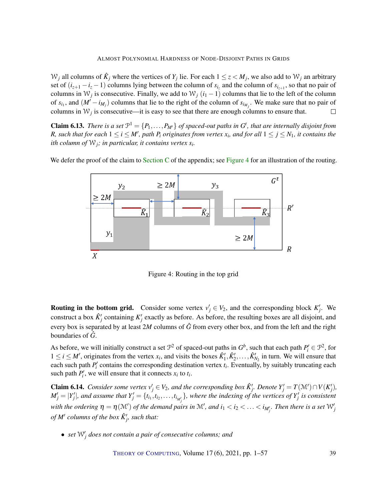$W_j$  all columns of  $\hat{K}_j$  where the vertices of  $Y_j$  lie. For each  $1 \le z < M_j$ , we also add to  $W_j$  an arbitrary set of  $(i_{z+1} - i_z - 1)$  columns lying between the column of  $s_{i_z}$  and the column of  $s_{i_{z+1}}$ , so that no pair of columns in  $W_j$  is consecutive. Finally, we add to  $W_j$   $(i_1 - 1)$  columns that lie to the left of the column of  $s_{i_1}$ , and  $(M' - i_{M_j})$  columns that lie to the right of the column of  $s_{i_{M_j}}$ . We make sure that no pair of columns in  $W_j$  is consecutive—it is easy to see that there are enough columns to ensure that.  $\Box$ 

<span id="page-38-0"></span>**Claim 6.13.** *There is a set*  $\mathcal{P}^1 = \{P_1, \ldots, P_{M'}\}$  *of spaced-out paths in*  $G^t$ *, that are internally disjoint from R*, such that for each  $1 \le i \le M'$ , path  $P_i$  originates from vertex  $x_i$ , and for all  $1 \le j \le N_1$ , it contains the *ith column of* W*j; in particular, it contains vertex s<sup>i</sup> .*

We defer the proof of the claim to [Section](#page-48-1) [C](#page-48-1) of the appendix; see [Figure](#page-38-1) [4](#page-38-1) for an illustration of the routing.



<span id="page-38-1"></span>Figure 4: Routing in the top grid

**Routing in the bottom grid.** Consider some vertex  $v'_j \in V_2$ , and the corresponding block  $K'_j$ . We construct a box  $\hat{K}'_j$  containing  $K'_j$  exactly as before. As before, the resulting boxes are all disjoint, and every box is separated by at least 2*M* columns of  $\hat{G}$  from every other box, and from the left and the right boundaries of *G*ˆ.

As before, we will initially construct a set  $\mathcal{P}^2$  of spaced-out paths in  $G^b$ , such that each path  $P'_i \in \mathcal{P}^2$ , for  $1 \le i \le M'$ , originates from the vertex  $x_i$ , and visits the boxes  $\hat{K}'_1, \hat{K}'_2, \dots, \hat{K}'_{N_2}$  in turn. We will ensure that each such path  $P_i'$  contains the corresponding destination vertex  $t_i$ . Eventually, by suitably truncating each such path  $P'_i$ , we will ensure that it connects  $x_i$  to  $t_i$ .

**Claim 6.14.** Consider some vertex  $v'_j \in V_2$ , and the corresponding box  $\hat{K}'_j$ . Denote  $Y'_j = T(\mathcal{M}') \cap V(K'_j)$ ,  $M'_j=|Y'_j|$ , and assume that  $Y'_j=\{t_{i_1},t_{i_2},\ldots,t_{i_{M'_j}}\}$ , where the indexing of the vertices of  $Y'_j$  is consistent with the ordering  $\eta = \eta(\mathcal{M}')$  of the demand pairs in  $\mathcal{M}'$ , and  $i_1 < i_2 < \ldots < i_{M'_j}$ . Then there is a set  $\mathcal{W}'_j$ *of*  $M'$  columns of the box  $\hat{K}'_j$ , such that:

•  $\mathcal{A}$  *set*  $\mathcal{W}'_j$  does not contain a pair of consecutive columns; and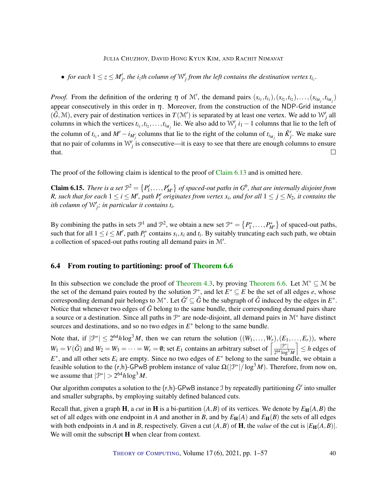• *for each*  $1 \le z \le M'_j$ , the *i*<sub>z</sub>th column of  $W'_j$  from the left contains the destination vertex  $t_{i_z}$ .

*Proof.* From the definition of the ordering  $\eta$  of  $\mathcal{M}'$ , the demand pairs  $(s_{i_1}, t_{i_1}), (s_{i_2}, t_{i_2}), \ldots, (s_{i_{M_j}}, t_{i_{M_j}})$ appear consecutively in this order in  $\eta$ . Moreover, from the construction of the NDP-Grid instance  $(\hat{G}, \mathcal{M})$ , every pair of destination vertices in  $T(\mathcal{M}')$  is separated by at least one vertex. We add to  $\mathcal{W}'_j$  all columns in which the vertices  $t_{i_1}, t_{i_2}, \ldots, t_{i_{M_j}}$  lie. We also add to  $\mathcal{W}'_j$   $i_1 - 1$  columns that lie to the left of the column of  $t_{i_1}$ , and  $M' - i_{M'_j}$  columns that lie to the right of the column of  $t_{i_{M_j}}$  in  $\hat{K}'_j$ . We make sure that no pair of columns in  $W'_j$  is consecutive—it is easy to see that there are enough columns to ensure that.  $\Box$ 

The proof of the following claim is identical to the proof of [Claim](#page-38-0) [6.13](#page-38-0) and is omitted here.

**Claim 6.15.** There is a set  $\mathcal{P}^2 = \{P'_1, \ldots, P'_{M'}\}$  of spaced-out paths in  $G^b$ , that are internally disjoint from *R*, such that for each  $1 \le i \le M'$ , path  $P'_i$  originates from vertex  $x_i$ , and for all  $1 \le j \le N_2$ , it contains the *ith column of*  $W'_j$ ; *in particular it contains t<sub>i</sub>.* 

By combining the paths in sets  $\mathcal{P}^1$  and  $\mathcal{P}^2$ , we obtain a new set  $\mathcal{P}^* = \{P_1^*, \ldots, P_{M'}^*\}$  of spaced-out paths, such that for all  $1 \le i \le M'$ , path  $P_i^*$  contains  $s_i, x_i$  and  $t_i$ . By suitably truncating each such path, we obtain a collection of spaced-out paths routing all demand pairs in  $\mathcal{M}'$ .

### <span id="page-39-0"></span>6.4 From routing to partitioning: proof of [Theorem](#page-33-2) [6.6](#page-33-2)

In this subsection we conclude the proof of [Theorem](#page-33-2) [4.3,](#page-17-1) by proving Theorem [6.6.](#page-33-2) Let  $\mathcal{M}^* \subseteq \mathcal{M}$  be the set of the demand pairs routed by the solution  $\mathcal{P}^*$ , and let  $E^* \subseteq E$  be the set of all edges *e*, whose corresponding demand pair belongs to  $\mathcal{M}^*$ . Let  $\tilde{G}' \subseteq \tilde{G}$  be the subgraph of  $\tilde{G}$  induced by the edges in  $E^*$ . Notice that whenever two edges of  $\tilde{G}$  belong to the same bundle, their corresponding demand pairs share a source or a destination. Since all paths in  $\mathcal{P}^*$  are node-disjoint, all demand pairs in  $\mathcal{M}^*$  have distinct sources and destinations, and so no two edges in  $E^*$  belong to the same bundle.

Note that, if  $|\mathcal{P}^*| \le 2^{64}h \log^3 M$ , then we can return the solution  $((W_1,\ldots,W_r),(E_1,\ldots,E_r))$ , where  $W_1 = V(\tilde{G})$  and  $W_2 = W_3 = \cdots = W_r = \emptyset$ ; set  $E_1$  contains an arbitrary subset of  $\left[\frac{|\mathcal{P}^*|}{2^{64} \log^3 |G|}\right]$  $2^{64}$   $\log^3 M$  $\Big] \leq h$  edges of  $E^*$ , and all other sets  $E_i$  are empty. Since no two edges of  $E^*$  belong to the same bundle, we obtain a feasible solution to the (r,h)-GPwB problem instance of value  $\Omega(|\mathcal{P}^*|/\log^3 M)$ . Therefore, from now on, we assume that  $|\mathcal{P}^*| > 2^{64}h \log^3 M$ .

Our algorithm computes a solution to the  $(r,h)$ -GPwB instance J by repeatedly partitioning  $\tilde{G}'$  into smaller and smaller subgraphs, by employing suitably defined balanced cuts.

Recall that, given a graph **H**, a *cut* in **H** is a bi-partition  $(A, B)$  of its vertices. We denote by  $E_H(A, B)$  the set of all edges with one endpoint in *A* and another in *B*, and by  $E_H(A)$  and  $E_H(B)$  the sets of all edges with both endpoints in *A* and in *B*, respectively. Given a cut  $(A, B)$  of **H**, the *value* of the cut is  $|E_H(A, B)|$ . We will omit the subscript **H** when clear from context.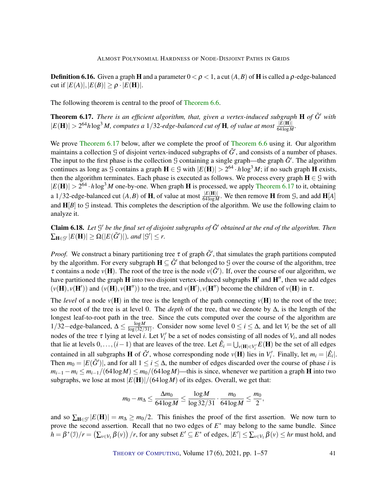**Definition 6.16.** Given a graph H and a parameter  $0 < \rho < 1$ , a cut  $(A, B)$  of H is called a  $\rho$ -edge-balanced cut if  $|E(A)|, |E(B)| \ge \rho \cdot |E(H)|$ .

The following theorem is central to the proof of [Theorem](#page-33-2) [6.6.](#page-33-2)

<span id="page-40-0"></span>Theorem 6.17. *There is an efficient algorithm, that, given a vertex-induced subgraph* H *of G*˜<sup>0</sup> *with*  $|E(H)| > 2^{64}h \log^3 M$ , computes a 1/32-edge-balanced cut of H, of value at most  $\frac{|E(H)|}{64 \log M}$ .

We prove [Theorem](#page-33-2) [6.17](#page-40-0) below, after we complete the proof of Theorem [6.6](#page-33-2) using it. Our algorithm maintains a collection  $\mathcal G$  of disjoint vertex-induced subgraphs of  $\tilde G'$ , and consists of a number of phases. The input to the first phase is the collection  $\mathcal G$  containing a single graph—the graph  $\tilde G'$ . The algorithm continues as long as G contains a graph  $H \in \mathcal{G}$  with  $|E(H)| > 2^{64} \cdot h \log^3 M$ ; if no such graph H exists, then the algorithm terminates. Each phase is executed as follows. We process every graph  $H \in \mathcal{G}$  with  $|E(H)| > 2^{64} \cdot h \log^3 M$  one-by-one. When graph **H** is processed, we apply [Theorem](#page-40-0) [6.17](#page-40-0) to it, obtaining a 1/32-edge-balanced cut  $(A, B)$  of **H**, of value at most  $\frac{|E(H)|}{64 \log M}$ . We then remove **H** from *G*, and add **H**[A] and  $H[B]$  to  $G$  instead. This completes the description of the algorithm. We use the following claim to analyze it.

<span id="page-40-1"></span>Claim 6.18. Let  $G'$  be the final set of disjoint subgraphs of  $\tilde{G}'$  obtained at the end of the algorithm. Then  $\sum_{\mathbf{H}\in\mathcal{G}'}|E(\mathbf{H})|\geq \Omega(|E(\tilde{G}')|)$ *, and*  $|\mathcal{G}'|\leq r$ *.* 

*Proof.* We construct a binary partitioning tree  $\tau$  of graph  $\tilde{G}'$ , that simulates the graph partitions computed by the algorithm. For every subgraph  $\mathbf{H} \subseteq \tilde{G}'$  that belonged to  $\mathcal G$  over the course of the algorithm, tree  $\tau$  contains a node  $v(H)$ . The root of the tree is the node  $v(\tilde{G}')$ . If, over the course of our algorithm, we have partitioned the graph **H** into two disjoint vertex-induced subgraphs  $H'$  and  $H''$ , then we add edges  $(v(H), v(H'))$  and  $(v(H), v(H''))$  to the tree, and  $v(H'), v(H'')$  become the children of  $v(H)$  in  $\tau$ .

The *level* of a node  $v(H)$  in the tree is the length of the path connecting  $v(H)$  to the root of the tree; so the root of the tree is at level 0. The *depth* of the tree, that we denote by ∆, is the length of the longest leaf-to-root path in the tree. Since the cuts computed over the course of the algorithm are 1/32–edge-balanced,  $Δ ≤ \frac{log M}{log (32/8)}$  $\frac{\log M}{\log(32/31)}$ . Consider now some level  $0 \le i \le \Delta$ , and let  $V_i$  be the set of all nodes of the tree  $\tau$  lying at level *i*. Let  $V_i'$  be a set of nodes consisting of all nodes of  $V_i$ , and all nodes that lie at levels  $0, \ldots, (i-1)$  that are leaves of the tree. Let  $\hat{E}_i = \bigcup_{v(\mathbf{H}) \in V'_i} E(\mathbf{H})$  be the set of all edges contained in all subgraphs **H** of  $\tilde{G}'$ , whose corresponding node  $v(H)$  lies in  $V'_i$ . Finally, let  $m_i = |\tilde{E}_i|$ . Then  $m_0 = |E(\tilde{G}')|$ , and for all  $1 \le i \le \Delta$ , the number of edges discarded over the course of phase *i* is  $m_{i-1} - m_i \leq m_{i-1}/(64 \log M) \leq m_0/(64 \log M)$ —this is since, whenever we partition a graph **H** into two subgraphs, we lose at most  $|E(H)|/(64 \log M)$  of its edges. Overall, we get that:

$$
m_0-m_\Delta\leq \frac{\Delta m_0}{64\log M}\leq \frac{\log M}{\log 32/31}\cdot \frac{m_0}{64\log M}\leq \frac{m_0}{2},
$$

and so  $\sum_{\mathbf{H} \in \mathcal{G}} |E(\mathbf{H})| = m_{\Delta} \ge m_0/2$ . This finishes the proof of the first assertion. We now turn to prove the second assertion. Recall that no two edges of *E* <sup>∗</sup> may belong to the same bundle. Since  $h = \beta^*(\mathcal{I})/r = (\sum_{v \in V_1} \beta(v))/r$ , for any subset  $E' \subseteq E^*$  of edges,  $|E'| \leq \sum_{v \in V_1} \beta(v) \leq hr$  must hold, and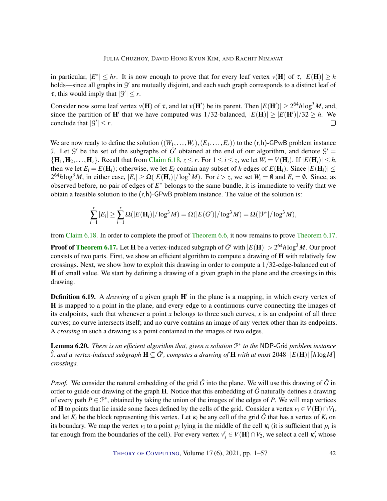in particular,  $|E^*| \leq hr$ . It is now enough to prove that for every leaf vertex  $v(H)$  of  $\tau$ ,  $|E(H)| \geq h$ holds—since all graphs in  $G'$  are mutually disjoint, and each such graph corresponds to a distinct leaf of  $\tau$ , this would imply that  $|S'| \leq r$ .

Consider now some leaf vertex  $v(H)$  of  $\tau$ , and let  $v(H')$  be its parent. Then  $|E(H')| \ge 2^{64}h \log^3 M$ , and, since the partition of **H**' that we have computed was  $1/32$ -balanced,  $|E(H)| \ge |E(H')|/32 \ge h$ . We conclude that  $|S'| \leq r$ .  $\Box$ 

We are now ready to define the solution  $((W_1, \ldots, W_r), (E_1, \ldots, E_r))$  to the  $(r,h)$ -GPwB problem instance J. Let  $\mathcal{G}'$  be the set of the subgraphs of  $\tilde{G}'$  obtained at the end of our algorithm, and denote  $\mathcal{G}'$  =  $\{H_1, H_2, \ldots, H_z\}$ . Recall that from [Claim](#page-40-1) [6.18,](#page-40-1)  $z \le r$ . For  $1 \le i \le z$ , we let  $W_i = V(H_i)$ . If  $|E(H_i)| \le h$ , then we let  $E_i = E(\mathbf{H}_i)$ ; otherwise, we let  $E_i$  contain any subset of *h* edges of  $E(\mathbf{H}_i)$ . Since  $|E(\mathbf{H}_i)| \le$  $2^{64}h \log^3 M$ , in either case,  $|E_i| \ge \Omega(|E(H_i)|/\log^3 M)$ . For  $i > z$ , we set  $W_i = \emptyset$  and  $E_i = \emptyset$ . Since, as observed before, no pair of edges of *E* <sup>∗</sup> belongs to the same bundle, it is immediate to verify that we obtain a feasible solution to the  $(r,h)$ -GPwB problem instance. The value of the solution is:

$$
\sum_{i=1}^r |E_i| \geq \sum_{i=1}^r \Omega(|E(\mathbf{H}_i)|/\log^3 M) = \Omega(|E(\tilde{G}')|/\log^3 M) = \Omega(|\mathcal{P}^*|/\log^3 M),
$$

from [Claim](#page-40-1) [6.18.](#page-40-1) In order to complete the proof of [Theorem](#page-33-2) [6.6,](#page-33-2) it now remains to prove [Theorem](#page-40-0) [6.17.](#page-40-0)

**Proof of [Theorem](#page-40-0) [6.17.](#page-40-0)** Let **H** be a vertex-induced subgraph of  $\tilde{G}'$  with  $|E(H)| > 2^{64}h\log^3 M$ . Our proof consists of two parts. First, we show an efficient algorithm to compute a drawing of  $H$  with relatively few crossings. Next, we show how to exploit this drawing in order to compute a 1/32-edge-balanced cut of H of small value. We start by defining a drawing of a given graph in the plane and the crossings in this drawing.

**Definition 6.19.** A *drawing* of a given graph H' in the plane is a mapping, in which every vertex of H is mapped to a point in the plane, and every edge to a continuous curve connecting the images of its endpoints, such that whenever a point *x* belongs to three such curves, *x* is an endpoint of all three curves; no curve intersects itself; and no curve contains an image of any vertex other than its endpoints. A *crossing* in such a drawing is a point contained in the images of two edges.

<span id="page-41-0"></span>**Lemma 6.20.** There is an efficient algorithm that, given a solution  $\mathcal{P}^*$  to the NDP-Grid problem instance  $\hat{\beta}$ , and a vertex-induced subgraph  $\mathbf{H} \subseteq \tilde{G}'$ , computes a drawing of  $\mathbf{H}$  with at most 2048  $\cdot$   $|E(\mathbf{H})|$   $\lceil h \log M \rceil$ *crossings.*

*Proof.* We consider the natural embedding of the grid  $\hat{G}$  into the plane. We will use this drawing of  $\hat{G}$  in order to guide our drawing of the graph **H**. Notice that this embedding of  $\hat{G}$  naturally defines a drawing of every path  $P \in \mathcal{P}^*$ , obtained by taking the union of the images of the edges of *P*. We will map vertices of **H** to points that lie inside some faces defined by the cells of the grid. Consider a vertex  $v_i \in V(H) \cap V_1$ , and let  $K_i$  be the block representing this vertex. Let  $\kappa_i$  be any cell of the grid  $\hat{G}$  that has a vertex of  $K_i$  on its boundary. We map the vertex  $v_i$  to a point  $p_i$  lying in the middle of the cell  $\kappa_i$  (it is sufficient that  $p_i$  is far enough from the boundaries of the cell). For every vertex  $v'_j \in V(H) \cap V_2$ , we select a cell  $\kappa'_j$  whose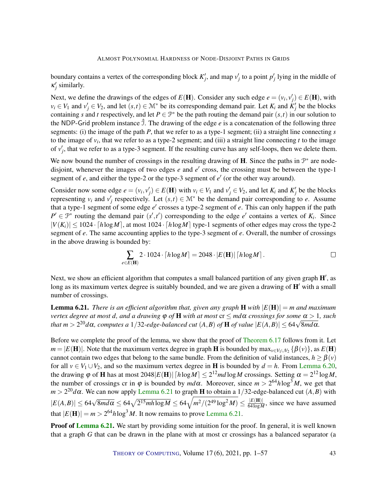boundary contains a vertex of the corresponding block  $K'_j$ , and map  $v'_j$  to a point  $p'_j$  lying in the middle of  $\kappa'_j$  similarly.

Next, we define the drawings of the edges of  $E(\mathbf{H})$ . Consider any such edge  $e = (v_i, v'_j) \in E(\mathbf{H})$ , with  $v_i \in V_1$  and  $v'_j \in V_2$ , and let  $(s,t) \in \mathcal{M}^*$  be its corresponding demand pair. Let  $K_i$  and  $K'_j$  be the blocks containing *s* and *t* respectively, and let  $P \in \mathcal{P}^*$  be the path routing the demand pair  $(s, t)$  in our solution to the NDP-Grid problem instance  $\hat{\mathcal{I}}$ . The drawing of the edge *e* is a concatenation of the following three segments: (i) the image of the path *P*, that we refer to as a type-1 segment; (ii) a straight line connecting *s* to the image of  $v_i$ , that we refer to as a type-2 segment; and (iii) a straight line connecting  $t$  to the image of  $v'_{j}$ , that we refer to as a type-3 segment. If the resulting curve has any self-loops, then we delete them.

We now bound the number of crossings in the resulting drawing of  $H$ . Since the paths in  $\mathcal{P}^*$  are nodedisjoint, whenever the images of two edges  $e$  and  $e'$  cross, the crossing must be between the type-1 segment of  $e$ , and either the type-2 or the type-3 segment of  $e'$  (or the other way around).

Consider now some edge  $e = (v_i, v'_j) \in E(H)$  with  $v_i \in V_1$  and  $v'_j \in V_2$ , and let  $K_i$  and  $K'_j$  be the blocks representing  $v_i$  and  $v'_j$  respectively. Let  $(s,t) \in \mathcal{M}^*$  be the demand pair corresponding to *e*. Assume that a type-1 segment of some edge *e'* crosses a type-2 segment of *e*. This can only happen if the path  $P' \in \mathcal{P}^*$  routing the demand pair  $(s', t')$  corresponding to the edge *e*' contains a vertex of  $K_i$ . Since  $|V(K_i)| \leq 1024 \cdot \lceil h \log M \rceil$ , at most  $1024 \cdot \lceil h \log M \rceil$  type-1 segments of other edges may cross the type-2 segment of *e*. The same accounting applies to the type-3 segment of *e*. Overall, the number of crossings in the above drawing is bounded by:

$$
\sum_{e \in E(\mathbf{H})} 2 \cdot 1024 \cdot \lceil h \log M \rceil = 2048 \cdot |E(\mathbf{H})| \lceil h \log M \rceil.
$$

Next, we show an efficient algorithm that computes a small balanced partition of any given graph  $H'$ , as long as its maximum vertex degree is suitably bounded, and we are given a drawing of  $H<sup>'</sup>$  with a small number of crossings.

<span id="page-42-0"></span>**Lemma 6.21.** *There is an efficient algorithm that, given any graph*  $\bf{H}$  *with*  $|E(\bf{H})| = m$  *and maximum vertex degree at most d, and a drawing*  $\varphi$  *of* **H** *with at most*  $cr \leq md\alpha$  *crossings for some*  $\alpha > 1$ *, such that m* > 2 <sup>20</sup>*d*α*, computes a* <sup>1</sup>/32*-edge-balanced cut* (*A*,*B*) *of* <sup>H</sup> *of value* <sup>|</sup>*E*(*A*,*B*)| ≤ <sup>64</sup><sup>√</sup> 8*md*α*.*

Before we complete the proof of the lemma, we show that the proof of [Theorem](#page-40-0) [6.17](#page-40-0) follows from it. Let  $m = |E(H)|$ . Note that the maximum vertex degree in graph **H** is bounded by  $\max_{v \in V_1 \cup V_2} {\{\beta(v)\}}$ , as  $E(H)$ cannot contain two edges that belong to the same bundle. From the definition of valid instances,  $h \ge \beta(v)$ for all  $v \in V_1 \cup V_2$ , and so the maximum vertex degree in **H** is bounded by  $d = h$ . From [Lemma](#page-41-0) [6.20,](#page-41-0) the drawing  $\varphi$  of **H** has at most 2048|E(**H**)| [hlogM]  $\leq 2^{12}$ mdlogM crossings. Setting  $\alpha = 2^{12} \log M$ , the number of crossings cr in  $\varphi$  is bounded by  $md\alpha$ . Moreover, since  $m > 2^{64}h \log^3 M$ , we get that *m* >  $2^{20}d\alpha$ . We can now apply [Lemma](#page-42-0) [6.21](#page-42-0) to graph **H** to obtain a 1/32-edge-balanced cut (*A*, *B*) with  $|E(A,B)| \leq 64\sqrt{8md\alpha} \leq 64\sqrt{2^{15}m h \log M} \leq 64\sqrt{m^2/(2^{49}\log^2 M)} \leq \frac{|E(H)|}{64\log M}$  $\frac{|E(\mathbf{H})|}{64 \log M}$ , since we have assumed that  $|E(H)| = m > 2^{64}h \log^3 M$ . It now remains to prove [Lemma](#page-42-0) [6.21.](#page-42-0)

**Proof of [Lemma](#page-42-0) [6.21.](#page-42-0)** We start by providing some intuition for the proof. In general, it is well known that a graph *G* that can be drawn in the plane with at most cr crossings has a balanced separator (a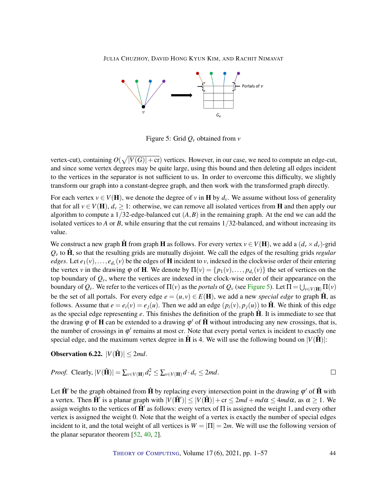<span id="page-43-1"></span>

<span id="page-43-0"></span>Figure 5: Grid *Q<sup>v</sup>* obtained from *v*

vertex-cut), containing  $O(\sqrt{|V(G)|+c})$  vertices. However, in our case, we need to compute an edge-cut, and since some vertex degrees may be quite large, using this bound and then deleting all edges incident to the vertices in the separator is not sufficient to us. In order to overcome this difficulty, we slightly transform our graph into a constant-degree graph, and then work with the transformed graph directly.

For each vertex  $v \in V(H)$ , we denote the degree of *v* in H by  $d_v$ . We assume without loss of generality that for all  $v \in V(H)$ ,  $d_v \ge 1$ : otherwise, we can remove all isolated vertices from **H** and then apply our algorithm to compute a  $1/32$ -edge-balanced cut  $(A, B)$  in the remaining graph. At the end we can add the isolated vertices to *A* or *B*, while ensuring that the cut remains  $1/32$ -balanced, and without increasing its value.

We construct a new graph  $\hat{H}$  from graph H as follows. For every vertex  $v \in V(H)$ , we add a  $(d_v \times d_v)$ -grid  $Q<sub>v</sub>$  to  $\hat{H}$ , so that the resulting grids are mutually disjoint. We call the edges of the resulting grids *regular edges*. Let  $e_1(v),...,e_{d_v}(v)$  be the edges of **H** incident to *v*, indexed in the clockwise order of their entering the vertex *v* in the drawing  $\varphi$  of **H**. We denote by  $\Pi(v) = \{p_1(v), \dots, p_{d_v}(v)\}\$  the set of vertices on the top boundary of  $Q_v$ , where the vertices are indexed in the clock-wise order of their appearance on the boundary of  $Q_v$ . We refer to the vertices of  $\Pi(v)$  as the *portals* of  $Q_v$  (see [Figure](#page-43-0) [5\)](#page-43-0). Let  $\Pi = \bigcup_{v \in V(H)} \Pi(v)$ be the set of all portals. For every edge  $e = (u, v) \in E(H)$ , we add a new *special edge* to graph  $\hat{H}$ , as follows. Assume that  $e = e_i(v) = e_i(u)$ . Then we add an edge  $(p_i(v), p_i(u))$  to  $\hat{H}$ . We think of this edge as the special edge representing *e*. This finishes the definition of the graph  $\hat{H}$ . It is immediate to see that the drawing  $\varphi$  of **H** can be extended to a drawing  $\varphi'$  of  $\hat{H}$  without introducing any new crossings, that is, the number of crossings in  $\varphi'$  remains at most cr. Note that every portal vertex is incident to exactly one special edge, and the maximum vertex degree in  $\hat{H}$  is 4. We will use the following bound on  $|V(\hat{H})|$ :

**Observation 6.22.**  $|V(\hat{\mathbf{H}})| \leq 2md$ .

*Proof.* Clearly, 
$$
|V(\hat{\mathbf{H}})| = \sum_{v \in V(\mathbf{H})} d_v^2 \le \sum_{v \in V(\mathbf{H})} d \cdot d_v \le 2md
$$
.

Let  $\hat{H}'$  be the graph obtained from  $\hat{H}$  by replacing every intersection point in the drawing  $\varphi'$  of  $\hat{H}$  with a vertex. Then  $\hat{H}'$  is a planar graph with  $|V(\hat{H}')| \le |V(\hat{H})| + \text{cr} \le 2md + md\alpha \le 4md\alpha$ , as  $\alpha \ge 1$ . We assign weights to the vertices of  $\hat{H}'$  as follows: every vertex of  $\Pi$  is assigned the weight 1, and every other vertex is assigned the weight 0. Note that the weight of a vertex is exactly the number of special edges incident to it, and the total weight of all vertices is  $W = |\Pi| = 2m$ . We will use the following version of the planar separator theorem [\[52,](#page-55-7) [40,](#page-54-13) [2\]](#page-51-7).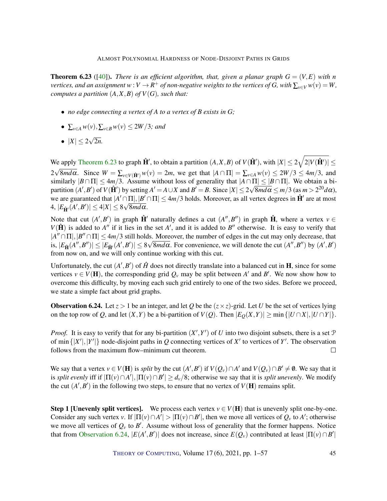<span id="page-44-2"></span><span id="page-44-0"></span>**Theorem 6.23** ([\[40\]](#page-54-13)). *There is an efficient algorithm, that, given a planar graph*  $G = (V, E)$  *with n vertices, and an assignment*  $w:V\to R^+$  *of non-negative weights to the vertices of*  $G$ *, with*  $\sum_{v\in V}w(v)=W$ *, computes a partition*  $(A, X, B)$  *of*  $V(G)$ *, such that:* 

- *no edge connecting a vertex of A to a vertex of B exists in G;*
- $\bullet$  ∑<sub>*v*∈*A*</sub>  $w(v)$ , ∑<sub>*v*∈*B*</sub>  $w(v)$  ≤ 2*W* /3*;* and
- $|X| \leq 2$ √ 2*n.*

We apply [Theorem](#page-44-0) [6.23](#page-44-0) to graph  $\hat{\mathbf{H}}'$ , to obtain a partition  $(A, X, B)$  of  $V(\hat{\mathbf{H}}')$ , with  $|X| \leq 2\sqrt{2|V(\hat{\mathbf{H}}')|} \leq$ 2√8*md*α. Since  $W = \sum_{v \in V(\hat{\mathbf{H}}')} w(v) = 2m$ , we get that  $|A ∩ \Pi| = \sum_{v \in A} w(v) \le 2W/3 \le 4m/3$ , and similarly  $|B \cap \Pi| \leq 4m/3$ . Assume without loss of generality that  $|A \cap \Pi| \leq |B \cap \Pi|$ . We obtain a bipartition  $(A', B')$  of  $V(\hat{H}')$  by setting  $A' = A \cup X$  and  $B' = B$ . Since  $|X| \leq 2\sqrt{8md\alpha} \leq m/3$  (as  $m > 2^{20}d\alpha$ ), we are guaranteed that  $|A' \cap \Pi|, |B' \cap \Pi| \leq 4m/3$  holds. Moreover, as all vertex degrees in  $\hat{H}'$  are at most  $4, |E_{\hat{\mathbf{H}}'}(A', B')| \leq 4|X| \leq 8\sqrt{8md\alpha}.$ 

Note that cut  $(A', B')$  in graph  $\hat{H}'$  naturally defines a cut  $(A'', B'')$  in graph  $\hat{H}$ , where a vertex  $v \in$  $V(\hat{H})$  is added to *A*<sup>*n*</sup> if it lies in the set *A'*, and it is added to *B''* otherwise. It is easy to verify that  $|A'' \cap \Pi|, |B'' \cap \Pi| \leq 4m/3$  still holds. Moreover, the number of edges in the cut may only decrease, that is,  $|E_{\hat{\mathbf{H}}}(A'',B'')| \leq |E_{\hat{\mathbf{H}}'}(A',B')| \leq 8\sqrt{8md\alpha}$ . For convenience, we will denote the cut  $(A'',B'')$  by  $(A',B')$ from now on, and we will only continue working with this cut.

Unfortunately, the cut  $(A', B')$  of  $\hat{H}$  does not directly translate into a balanced cut in **H**, since for some vertices  $v \in V(H)$ , the corresponding grid  $Q_v$  may be split between A' and B'. We now show how to overcome this difficulty, by moving each such grid entirely to one of the two sides. Before we proceed, we state a simple fact about grid graphs.

<span id="page-44-1"></span>**Observation 6.24.** Let  $z > 1$  be an integer, and let *Q* be the  $(z \times z)$ -grid. Let *U* be the set of vertices lying on the top row of *Q*, and let  $(X, Y)$  be a bi-partition of  $V(Q)$ . Then  $|E_Q(X, Y)| \ge \min\{|U \cap X|, |U \cap Y|\}.$ 

*Proof.* It is easy to verify that for any bi-partition  $(X', Y')$  of *U* into two disjoint subsets, there is a set  $P$ of min  $\{|X'|, |Y'|\}$  node-disjoint paths in *Q* connecting vertices of *X'* to vertices of *Y'*. The observation follows from the maximum flow–minimum cut theorem.  $\Box$ 

We say that a vertex  $v \in V(H)$  is *split* by the cut  $(A', B')$  if  $V(Q_v) \cap A'$  and  $V(Q_v) \cap B' \neq \emptyset$ . We say that it is *split evenly* iff if  $|\Pi(v) \cap A'|$ ,  $|\Pi(v) \cap B'| \ge d_v/8$ ; otherwise we say that it is *split unevenly*. We modify the cut  $(A', B')$  in the following two steps, to ensure that no vertex of  $V(H)$  remains split.

**Step 1 [Unevenly split vertices].** We process each vertex  $v \in V(H)$  that is unevenly split one-by-one. Consider any such vertex *v*. If  $|\Pi(v) \cap A'| > |\Pi(v) \cap B'|$ , then we move all vertices of  $Q_v$  to  $A'$ ; otherwise we move all vertices of  $Q_v$  to  $B'$ . Assume without loss of generality that the former happens. Notice that from [Observation](#page-44-1) [6.24,](#page-44-1)  $|E(A', B')|$  does not increase, since  $E(Q_v)$  contributed at least  $|\Pi(v) \cap B'|$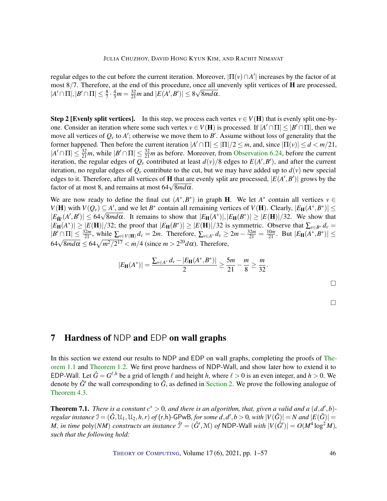regular edges to the cut before the current iteration. Moreover,  $|\Pi(v) \cap A'|$  increases by the factor of at most 8/7. Therefore, at the end of this procedure, once all unevenly split vertices of **H** are processed,  $|A' \cap \Pi|, |B' \cap \Pi| \le \frac{8}{7} \cdot \frac{4}{3}m = \frac{32}{21}m$  and  $|E(A', B')| \le 8\sqrt{8md\alpha}$ .

**Step 2 [Evenly split vertices].** In this step, we process each vertex  $v \in V(H)$  that is evenly split one-byone. Consider an iteration where some such vertex  $v \in V(H)$  is processed. If  $|A' \cap \Pi| \leq |B' \cap \Pi|$ , then we move all vertices of  $Q_v$  to  $A'$ ; otherwise we move them to  $B'$ . Assume without loss of generality that the former happened. Then before the current iteration  $|A' \cap \Pi| \leq |\Pi|/2 \leq m$ , and, since  $|\Pi(v)| \leq d < m/21$ ,  $|A' \cap \Pi| \leq \frac{32}{21}m$ , while  $|B' \cap \Pi| \leq \frac{32}{21}m$  as before. Moreover, from [Observation](#page-44-1) [6.24,](#page-44-1) before the current iteration, the regular edges of  $Q_v$  contributed at least  $d(v)/8$  edges to  $E(A', B')$ , and after the current iteration, no regular edges of  $Q_v$  contribute to the cut, but we may have added up to  $d(v)$  new special edges to it. Therefore, after all vertices of **H** that are evenly split are processed,  $|E(A', B')|$  grows by the factor of at most 8, and remains at most 64<sup>√</sup> 8*md*α.

We are now ready to define the final cut  $(A^*, B^*)$  in graph **H**. We let  $A^*$  contain all vertices  $v \in$ *V*(**H**) with  $V(Q_v) \subseteq A'$ , and we let *B*<sup>\*</sup> contain all remaining vertices of *V*(**H**). Clearly,  $|E_H(A^*,B^*)| \le$  $|E_{\hat{\mathbf{H}}'}(A', B')| \leq 64\sqrt{8md\alpha}$ . It remains to show that  $|E_{\mathbf{H}}(A^*)|, |E_{\mathbf{H}}(B^*)| \geq |E(\mathbf{H})|/32$ . We show that  $|E_{\hat{\mathbf{H}}'}(A', B')| \leq 64\sqrt{8md\alpha}$ . It remains to show that  $|E_{\mathbf{H}}(A^*)|, |E_{\mathbf{H}}(B^*)| \geq |E(\mathbf{H$  $|E_{\mathbf{H}}(A^*)| \ge |E(\mathbf{H})|/32$ ; the proof that  $|E_{\mathbf{H}}(B^*)| \ge |E(\mathbf{H})|/32$  is symmetric. Observe that  $\sum_{v \in B^*} d_v =$  $|B' \cap \Pi| \le \frac{32m}{21}$ , while  $\sum_{v \in V(H)} d_v = 2m$ . Therefore,  $\sum_{v \in A^*} d_v \ge 2m - \frac{32m}{21} = \frac{10m}{21}$ . But  $|E_H(A^*, B^*)| \le$  $64√8mdα \leq 64√m<sup>2</sup>/2<sup>17</sup> < m/4$  (since *m* > 2<sup>20</sup>*d*α). Therefore,

$$
|E_{\mathbf{H}}(A^*)| = \frac{\sum_{v \in A^*} d_v - |E_{\mathbf{H}}(A^*, B^*)|}{2} \ge \frac{5m}{21} - \frac{m}{8} \ge \frac{m}{32}.
$$

# <span id="page-45-0"></span>7 Hardness of NDP and EDP on wall graphs

In this section we extend our results to NDP and EDP on wall graphs, completing the proofs of [The](#page-4-1)[orem](#page-4-1) [1.1](#page-4-1) and [Theorem](#page-5-0) [1.2.](#page-5-0) We first prove hardness of NDP-Wall, and show later how to extend it to EDP-Wall. Let  $\hat{G} = G^{\ell,h}$  be a grid of length  $\ell$  and height *h*, where  $\ell > 0$  is an even integer, and  $h > 0$ . We denote by  $\hat{G}^{\prime}$  the wall corresponding to  $\hat{G}$ , as defined in [Section](#page-6-0) [2.](#page-6-0) We prove the following analogue of [Theorem](#page-17-1) [4.3.](#page-17-1)

<span id="page-45-1"></span>**Theorem 7.1.** *There is a constant*  $c^* > 0$ *, and there is an algorithm, that, given a valid and a*  $(d, d', b)$ *regular instance*  $\mathfrak{I} = (\tilde{G}, \mathfrak{U}_1, \mathfrak{U}_2, h, r)$  *of* (r,h)-GPwB, for some  $d, d', b > 0$ , with  $|V(\tilde{G})| = N$  and  $|E(\tilde{G})| =$ *M*, in time  $poly(NM)$  constructs an instance  $\hat{\mathcal{I}}' = (\hat{G}', \mathcal{M})$  of NDP-Wall with  $|V(\hat{G}')| = O(M^4 \log^2 M)$ , *such that the following hold:*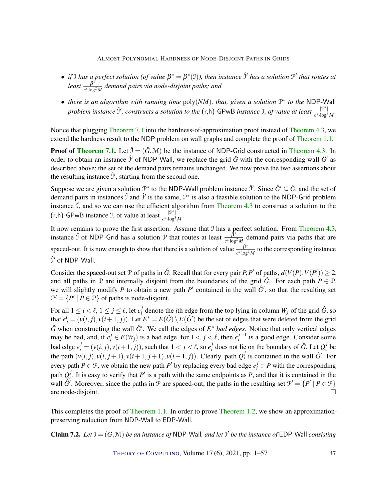- *if* I has a perfect solution (of value  $\beta^* = \beta^*(1)$ ), then instance  $\hat{\beta}'$  has a solution  $\mathcal{P}'$  that routes at  $least = \frac{\beta^*}{\beta^*}$ *c* ∗ log<sup>2</sup> *M demand pairs via node-disjoint paths; and*
- *there is an algorithm with running time* poly(*NM*)*, that, given a solution* P ∗ *to the* NDP-Wall *problem instance*  $\hat{J}'$ , constructs a solution to the  $(r,h)$ -GPwB instance I, of value at least  $\frac{|\mathcal{P}^*|}{r^*h}$  $\frac{|J'|}{c^*\cdot \log^3 M}$ .

Notice that plugging [Theorem](#page-45-1) [7.1](#page-45-1) into the hardness-of-approximation proof instead of [Theorem](#page-17-1) [4.3,](#page-17-1) we extend the hardness result to the NDP problem on wall graphs and complete the proof of [Theorem](#page-4-1) [1.1.](#page-4-1)

**Proof of [Theorem](#page-17-1) [7.1.](#page-45-1)** Let  $\hat{\mathcal{I}} = (\hat{G}, \mathcal{M})$  be the instance of NDP-Grid constructed in Theorem [4.3.](#page-17-1) In order to obtain an instance  $\hat{\jmath}'$  of NDP-Wall, we replace the grid  $\hat{G}$  with the corresponding wall  $\hat{G}'$  as described above; the set of the demand pairs remains unchanged. We now prove the two assertions about the resulting instance  $\hat{\mathcal{I}}'$ , starting from the second one.

Suppose we are given a solution  $\mathcal{P}^*$  to the NDP-Wall problem instance  $\hat{\mathcal{I}}'$ . Since  $\hat{G}' \subseteq \hat{G}$ , and the set of demand pairs in instances  $\hat{\jmath}$  and  $\hat{\jmath}'$  is the same,  $\mathcal{P}^*$  is also a feasible solution to the NDP-Grid problem instance  $\hat{J}$ , and so we can use the efficient algorithm from [Theorem](#page-17-1) [4.3](#page-17-1) to construct a solution to the  $(r,h)$ -GPwB instance J, of value at least  $\frac{p^*}{r^*}$ *c* ∗ ·log<sup>3</sup> *M* .

It now remains to prove the first assertion. Assume that J has a perfect solution. From [Theorem](#page-17-1) [4.3,](#page-17-1) instance  $\hat{J}$  of NDP-Grid has a solution  $\hat{J}$  that routes at least  $\frac{\hat{J}^*}{g}$  $\frac{p}{c^* \log^2 M}$  demand pairs via paths that are spaced-out. It is now enough to show that there is a solution of value  $\frac{\beta^*}{\sigma^* \log n}$  $\frac{p}{c^* \log^2 M}$  to the corresponding instance  $\hat{\jmath}'$  of NDP-Wall.

Consider the spaced-out set  $P$  of paths in  $\hat{G}$ . Recall that for every pair  $P, P'$  of paths,  $d(V(P), V(P')) \geq 2$ , and all paths in  $\mathcal P$  are internally disjoint from the boundaries of the grid  $\hat G$ . For each path  $P \in \mathcal P$ , we will slightly modify *P* to obtain a new path  $P'$  contained in the wall  $\hat{G}'$ , so that the resulting set  $\mathcal{P}' = \{P' \mid P \in \mathcal{P}\}\$  of paths is node-disjoint.

For all  $1 \leq i < \ell, 1 \leq j \leq \ell$ , let  $e_i^j$ *i i*denote the *i*th edge from the top lying in column  $W_j$  of the grid  $\hat{G}$ , so that  $e^i_j = (v(i, j), v(i+1, j))$ . Let  $E^* = E(\hat{G}) \setminus E(\hat{G}')$  be the set of edges that were deleted from the grid  $\hat{G}$  when constructing the wall  $\hat{G}'$ . We call the edges of  $E^*$  *bad edges*. Notice that only vertical edges may be bad, and, if  $e_i^j \in E(W_j)$  is a bad edge, for  $1 < j < \ell$ , then  $e_i^{j+1}$  $i^{j+1}$  is a good edge. Consider some bad edge  $e_i^j = (v(i, j), v(i+1, j))$ , such that  $1 < j < \ell$ , so  $e_i^j$  $\hat{g}$ <sup>*i*</sup> does not lie on the boundary of  $\hat{G}$ . Let  $Q_i^j$  $\int\limits_i^j$  be the path  $(v(i, j), v(i, j+1), v(i+1, j+1), v(i+1, j)$ ). Clearly, path  $Q_i^j$  $i$ <sup> $j$ </sup> is contained in the wall  $\hat{G}'$ . For every path  $P \in \mathcal{P}$ , we obtain the new path  $P'$  by replacing every bad edge  $e_i^j \in P$  with the corresponding path  $Q_i^j$  $i<sub>i</sub>$ . It is easy to verify that *P*<sup> $\prime$ </sup> is a path with the same endpoints as *P*, and that it is contained in the wall  $\hat{G}$ <sup>*'*</sup>. Moreover, since the paths in  $\mathcal P$  are spaced-out, the paths in the resulting set  $\mathcal P' = \{P' | P \in \mathcal P\}$ are node-disjoint.

This completes the proof of [Theorem](#page-5-0) [1.1.](#page-4-1) In order to prove Theorem [1.2,](#page-5-0) we show an approximationpreserving reduction from NDP-Wall to EDP-Wall.

<span id="page-46-0"></span>**Claim 7.2.** Let  $\mathcal{I} = (G, \mathcal{M})$  be an instance of NDP-Wall, and let  $\mathcal{I}'$  be the instance of EDP-Wall consisting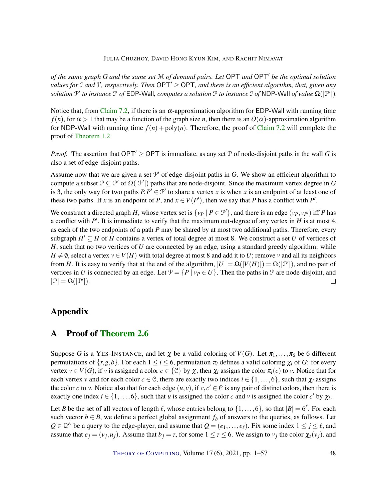*of the same graph G and the same set* M *of demand pairs. Let* OPT *and* OPT<sup>0</sup> *be the optimal solution values for* J and J', respectively. Then OPT<sup>'</sup> ≥ OPT, and there is an efficient algorithm, that, given any *solution*  $\mathcal{P}'$  *to instance*  $\mathcal{I}'$  *of* EDP-Wall, *computes a solution*  $\mathcal{P}$  *to instance*  $\mathcal{I}$  *of* NDP-Wall *of value*  $\Omega(|\mathcal{P}'|)$ *.* 

Notice that, from [Claim](#page-46-0) [7.2,](#page-46-0) if there is an  $\alpha$ -approximation algorithm for EDP-Wall with running time *f*(*n*), for  $\alpha > 1$  that may be a function of the graph size *n*, then there is an  $O(\alpha)$ -approximation algorithm for NDP-Wall with running time  $f(n) + poly(n)$ . Therefore, the proof of [Claim](#page-46-0) [7.2](#page-46-0) will complete the proof of [Theorem](#page-5-0) [1.2](#page-5-0)

*Proof.* The assertion that OPT<sup>'</sup> > OPT is immediate, as any set P of node-disjoint paths in the wall *G* is also a set of edge-disjoint paths.

Assume now that we are given a set  $\mathcal{P}'$  of edge-disjoint paths in  $G$ . We show an efficient algorithm to compute a subset  $P \subseteq P'$  of  $\Omega(|P'|)$  paths that are node-disjoint. Since the maximum vertex degree in *G* is 3, the only way for two paths  $P, P' \in \mathcal{P}'$  to share a vertex *x* is when *x* is an endpoint of at least one of these two paths. If *x* is an endpoint of *P*, and  $x \in V(P')$ , then we say that *P* has a conflict with *P'*.

We construct a directed graph *H*, whose vertex set is  $\{v_P \mid P \in \mathcal{P}'\}$ , and there is an edge  $(v_P, v_{P'})$  iff *P* has a conflict with  $P'$ . It is immediate to verify that the maximum out-degree of any vertex in  $H$  is at most 4, as each of the two endpoints of a path *P* may be shared by at most two additional paths. Therefore, every subgraph  $H' \subseteq H$  of *H* contains a vertex of total degree at most 8. We construct a set *U* of vertices of *H*, such that no two vertices of *U* are connected by an edge, using a standard greedy algorithm: while  $H \neq \emptyset$ , select a vertex  $v \in V(H)$  with total degree at most 8 and add it to *U*; remove *v* and all its neighbors from *H*. It is easy to verify that at the end of the algorithm,  $|U| = \Omega(|V(H)|) = \Omega(|\mathcal{P}'|)$ , and no pair of vertices in *U* is connected by an edge. Let  $\mathcal{P} = \{P \mid \nu_P \in U\}$ . Then the paths in  $\mathcal P$  are node-disjoint, and  $|\mathcal{P}| = \Omega(|\mathcal{P}'|).$  $\Box$ 

# Appendix

# <span id="page-47-0"></span>A Proof of [Theorem](#page-10-0) [2.6](#page-10-0)

Suppose *G* is a YES-INSTANCE, and let  $\chi$  be a valid coloring of  $V(G)$ . Let  $\pi_1, \ldots, \pi_6$  be 6 different permutations of  $\{r, g, b\}$ . For each  $1 \le i \le 6$ , permutation  $\pi_i$  defines a valid coloring  $\chi_i$  of *G*: for every vertex  $v \in V(G)$ , if *v* is assigned a color  $c \in \{C\}$  by  $\chi$ , then  $\chi_i$  assigns the color  $\pi_i(c)$  to *v*. Notice that for each vertex *v* and for each color  $c \in \mathcal{C}$ , there are exactly two indices  $i \in \{1, \ldots, 6\}$ , such that  $\chi_i$  assigns the color *c* to *v*. Notice also that for each edge  $(u, v)$ , if  $c, c' \in C$  is any pair of distinct colors, then there is exactly one index  $i \in \{1, \ldots, 6\}$ , such that *u* is assigned the color *c* and *v* is assigned the color *c'* by  $\chi_i$ .

Let *B* be the set of all vectors of length  $\ell$ , whose entries belong to  $\{1,\ldots,6\}$ , so that  $|B| = 6^{\ell}$ . For each such vector  $b \in B$ , we define a perfect global assignment  $f_b$  of answers to the queries, as follows. Let  $Q \in \mathbb{Q}^E$  be a query to the edge-player, and assume that  $Q = (e_1, \ldots, e_\ell)$ . Fix some index  $1 \le j \le \ell$ , and assume that  $e_j = (v_j, u_j)$ . Assume that  $b_j = z$ , for some  $1 \le z \le 6$ . We assign to  $v_j$  the color  $\chi_z(v_j)$ , and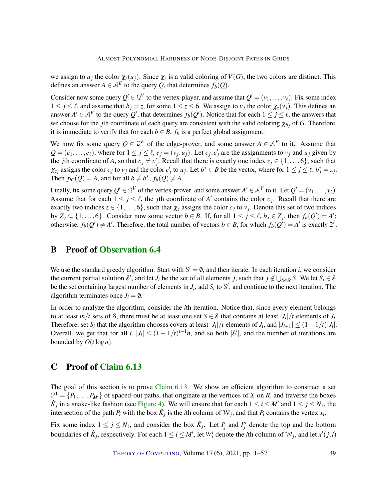we assign to  $u_j$  the color  $\chi_z(u_j)$ . Since  $\chi_z$  is a valid coloring of  $V(G)$ , the two colors are distinct. This defines an answer  $A \in \mathcal{A}^E$  to the query Q, that determines  $f_b(Q)$ .

Consider now some query  $Q' \in Q^V$  to the vertex-player, and assume that  $Q' = (v_1, \ldots, v_\ell)$ . Fix some index  $1 \le j \le \ell$ , and assume that  $b_j = z$ , for some  $1 \le z \le 6$ . We assign to  $v_j$  the color  $\chi_z(v_j)$ . This defines an answer  $A' \in A^V$  to the query  $Q'$ , that determines  $f_b(Q')$ . Notice that for each  $1 \le j \le \ell$ , the answers that we choose for the *j*th coordinate of each query are consistent with the valid coloring  $\chi_{b_j}$  of *G*. Therefore, it is immediate to verify that for each  $b \in B$ ,  $f_b$  is a perfect global assignment.

We now fix some query  $Q \in \mathbb{Q}^E$  of the edge-prover, and some answer  $A \in \mathcal{A}^E$  to it. Assume that  $Q = (e_1, \ldots, e_\ell)$ , where for  $1 \le j \le \ell$ ,  $e_j = (v_j, u_j)$ . Let  $c_j, c'_j$  are the assignments to  $v_j$  and  $u_j$  given by the *j*th coordinate of *A*, so that  $c_j \neq c'_j$ . Recall that there is exactly one index  $z_j \in \{1, \ldots, 6\}$ , such that  $\chi_{z_j}$  assigns the color  $c_j$  to  $v_j$  and the color  $c'_j$  to  $u_j$ . Let  $b^* \in B$  be the vector, where for  $1 \le j \le \ell$ ,  $b_j^* = z_j$ . Then  $f_{b^*}(Q) = A$ , and for all  $b \neq b^*$ ,  $f_b(Q) \neq A$ .

Finally, fix some query  $Q' \in Q^V$  of the vertex-prover, and some answer  $A' \in A^V$  to it. Let  $Q' = (v_1, \ldots, v_\ell)$ . Assume that for each  $1 \le j \le \ell$ , the *j*th coordinate of *A'* contains the color  $c_j$ . Recall that there are exactly two indices  $z \in \{1, \ldots, 6\}$ , such that  $\chi_z$  assigns the color  $c_j$  to  $v_j$ . Denote this set of two indices by  $Z_j$  ⊆ {1,...,6}. Consider now some vector *b* ∈ *B*. If, for all  $1 \le j \le \ell$ , *b<sub>j</sub>* ∈  $Z_j$ , then  $f_b(Q') = A'$ ; otherwise,  $f_b(Q') \neq A'$ . Therefore, the total number of vectors  $b \in B$ , for which  $f_b(Q') = A'$  is exactly  $2^{\ell}$ .

### <span id="page-48-0"></span>B Proof of [Observation](#page-32-0) [6.4](#page-32-0)

We use the standard greedy algorithm. Start with  $S' = \emptyset$ , and then iterate. In each iteration *i*, we consider the current partial solution S', and let *J<sub>i</sub>* be the set of all elements *j*, such that  $j \notin \bigcup_{S \in S'} S$ . We let  $S_i \in S$ be the set containing largest number of elements in  $J_i$ , add  $S_i$  to  $S'$ , and continue to the next iteration. The algorithm terminates once  $J_i = \emptyset$ .

In order to analyze the algorithm, consider the *i*th iteration. Notice that, since every element belongs to at least  $m/t$  sets of S, there must be at least one set  $S \in S$  that contains at least  $|J_i|/t$  elements of  $J_i$ . Therefore, set *S*<sup>*i*</sup> that the algorithm chooses covers at least  $|J_i|/t$  elements of  $J_i$ , and  $|J_{i+1}| \leq (1 - 1/t)|J_i|$ . Overall, we get that for all *i*,  $|J_i| \le (1 - 1/t)^{i-1}n$ , and so both  $|S'|$ , and the number of iterations are bounded by  $O(t \log n)$ .

# <span id="page-48-1"></span>C Proof of [Claim](#page-38-0) [6.13](#page-38-0)

The goal of this section is to prove [Claim](#page-38-0) [6.13.](#page-38-0) We show an efficient algorithm to construct a set  $\mathcal{P}^1 = \{P_1, \ldots, P_{M'}\}$  of spaced-out paths, that originate at the vertices of *X* on *R*, and traverse the boxes  $\hat{K}_j$  in a snake-like fashion (see [Figure](#page-38-1) [4\)](#page-38-1). We will ensure that for each  $1 \le i \le M'$  and  $1 \le j \le N_1$ , the intersection of the path  $P_i$  with the box  $\hat{K}_j$  is the *i*th column of  $W_j$ , and that  $P_i$  contains the vertex  $x_i$ .

Fix some index  $1 \le j \le N_1$ , and consider the box  $\hat{K}_j$ . Let  $I'_j$  and  $I''_j$  denote the top and the bottom boundaries of  $\hat{K}_j$ , respectively. For each  $1 \le i \le M'$ , let  $W^i_j$  denote the *i*th column of  $W_j$ , and let  $x'(j, i)$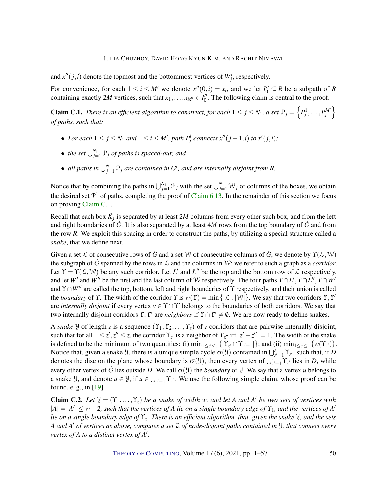<span id="page-49-2"></span>and  $x''(j,i)$  denote the topmost and the bottommost vertices of  $W_j^i$ , respectively.

For convenience, for each  $1 \le i \le M'$  we denote  $x''(0,i) = x_i$ , and we let  $I''_0 \subseteq R$  be a subpath of *R* containing exactly 2*M* vertices, such that  $x_1, \ldots, x_{M'} \in I_0''$ . The following claim is central to the proof.

<span id="page-49-0"></span>**Claim C.1.** There is an efficient algorithm to construct, for each  $1 \le j \le N_1$ , a set  $\mathcal{P}_j = \left\{P_j^1, \ldots, P_j^{M'}\right\}$ *of paths, such that:*

- For each  $1 \leq j \leq N_1$  and  $1 \leq i \leq M'$ , path  $P^i_j$  connects  $x''(j-1,i)$  to  $x'(j,i)$ ;
- *the set*  $\bigcup_{j=1}^{N_1} \mathcal{P}_j$  *of paths is spaced-out; and*
- *all paths in*  $\bigcup_{j=1}^{N_1} \mathcal{P}_j$  *are contained in*  $G^t$ *, and are internally disjoint from R.*

Notice that by combining the paths in  $\bigcup_{j=1}^{N_1} \mathcal{P}_j$  with the set  $\bigcup_{j=1}^{N_1} \mathcal{W}_j$  of columns of the boxes, we obtain the desired set  $\mathcal{P}^1$  of paths, completing the proof of [Claim](#page-38-0) [6.13.](#page-38-0) In the remainder of this section we focus on proving [Claim](#page-49-0) [C.1.](#page-49-0)

Recall that each box  $\hat{K}_j$  is separated by at least 2*M* columns from every other such box, and from the left and right boundaries of  $\hat{G}$ . It is also separated by at least 4*M* rows from the top boundary of  $\hat{G}$  and from the row *R*. We exploit this spacing in order to construct the paths, by utilizing a special structure called a *snake*, that we define next.

Given a set L of consecutive rows of  $\hat{G}$  and a set W of consecutive columns of  $\hat{G}$ , we denote by  $\Upsilon(\mathcal{L}, \mathcal{W})$ the subgraph of  $\hat{G}$  spanned by the rows in  $\mathcal L$  and the columns in W; we refer to such a graph as a *corridor*. Let  $\Upsilon = \Upsilon(\mathcal{L}, \mathcal{W})$  be any such corridor. Let *L'* and *L''* be the top and the bottom row of  $\mathcal{L}$  respectively, and let *W*<sup>*'*</sup> and *W*<sup>*''*</sup> be the first and the last column of W respectively. The four paths  $\Upsilon \cap L', \Upsilon \cap L'', \Upsilon \cap W'$ and  $\Upsilon ∩ W''$  are called the top, bottom, left and right boundaries of  $\Upsilon$  respectively, and their union is called the *boundary* of Y. The width of the corridor Y is  $w(Y) = \min\{|\mathcal{L}|, |\mathcal{W}|\}$ . We say that two corridors Y, Y' are *internally disjoint* if every vertex  $v \in \Upsilon \cap \Upsilon'$  belongs to the boundaries of both corridors. We say that two internally disjoint corridors  $\Upsilon, \Upsilon'$  are *neighbors* if  $\Upsilon \cap \Upsilon' \neq \emptyset$ . We are now ready to define snakes.

A *snake*  $\forall$  of length *z* is a sequence  $(Y_1, Y_2, \ldots, Y_z)$  of *z* corridors that are pairwise internally disjoint, such that for all  $1 \le z', z'' \le z$ , the corridor  $\Upsilon_{z'}$  is a neighbor of  $\Upsilon_{z''}$  iff  $|z'-z''|=1$ . The width of the snake is defined to be the minimum of two quantities: (i)  $\min_{1 \le z' < z} \{ |Y_{z'} \cap Y_{z'+1}| \}$ ; and (ii)  $\min_{1 \le z' \le z} \{ w(Y_{z'}) \}$ . Notice that, given a snake *Y*, there is a unique simple cycle  $\sigma(\mathcal{Y})$  contained in  $\bigcup_{z'=1}^z \Upsilon_{z'}$ , such that, if *D* denotes the disc on the plane whose boundary is  $\sigma(\theta)$ , then every vertex of  $\bigcup_{z'=1}^{\infty} \Upsilon_{z'}$  lies in *D*, while every other vertex of  $\hat{G}$  lies outside *D*. We call  $\sigma(\mathcal{Y})$  the *boundary* of  $\mathcal{Y}$ . We say that a vertex *u* belongs to a snake *Y*, and denote  $u \in \mathcal{Y}$ , if  $u \in \bigcup_{z'=1}^z \Upsilon_{z'}$ . We use the following simple claim, whose proof can be found, e. g., in [\[19\]](#page-52-1).

<span id="page-49-1"></span>**Claim C.2.** Let  $\mathcal{Y} = (Y_1, \ldots, Y_z)$  be a snake of width *w*, and let A and A' be two sets of vertices with  $|A| = |A'| \leq w - 2$ , such that the vertices of A lie on a single boundary edge of  $\Upsilon_1$ , and the vertices of A' *lie on a single boundary edge of* ϒ*<sup>z</sup> . There is an efficient algorithm, that, given the snake* Y*, and the sets A and A* <sup>0</sup> *of vertices as above, computes a set* Q *of node-disjoint paths contained in* Y*, that connect every vertex of A to a distinct vertex of A'.* 

THEORY OF C[OMPUTING](http://dx.doi.org/10.4086/toc), Volume 17(6), 2021, pp. 1–57 50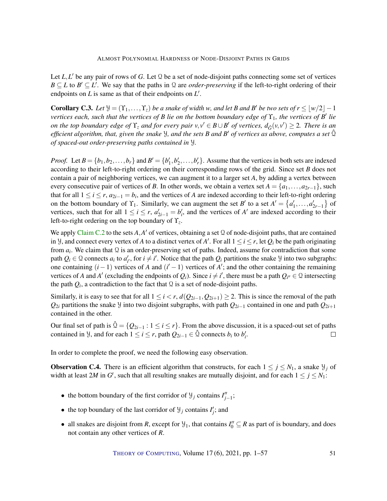Let  $L, L'$  be any pair of rows of  $G$ . Let  $\mathcal Q$  be a set of node-disjoint paths connecting some set of vertices  $B \subseteq L$  to  $B' \subseteq L'$ . We say that the paths in Q are *order-preserving* if the left-to-right ordering of their endpoints on  $L$  is same as that of their endpoints on  $L'$ .

<span id="page-50-0"></span>**Corollary C.3.** Let  $\mathcal{Y} = (Y_1, \ldots, Y_z)$  be a snake of width *w*, and let *B* and *B*<sup>*'*</sup> be two sets of  $r \leq \lfloor w/2 \rfloor - 1$ *vertices each, such that the vertices of B lie on the bottom boundary edge of*  $\Upsilon_1$ *, the vertices of B' lie on the top boundary edge of*  $\Upsilon_z$  *and for every pair*  $v, v' \in B \cup B'$  *of vertices,*  $d_{\hat{G}}(v, v') \geq 2$ *. There is an efficient algorithm, that, given the snake* Y*, and the sets B and B* <sup>0</sup> *of vertices as above, computes a set* Qˆ *of spaced-out order-preserving paths contained in* Y*.*

*Proof.* Let  $B = \{b_1, b_2, \ldots, b_r\}$  and  $B' = \{b'_1, b'_2, \ldots, b'_r\}$ . Assume that the vertices in both sets are indexed according to their left-to-right ordering on their corresponding rows of the grid. Since set *B* does not contain a pair of neighboring vertices, we can augment it to a larger set *A*, by adding a vertex between every consecutive pair of vertices of *B*. In other words, we obtain a vertex set  $A = \{a_1, \ldots, a_{2r-1}\}$ , such that for all  $1 \le i \le r$ ,  $a_{2i-1} = b_i$ , and the vertices of *A* are indexed according to their left-to-right ordering on the bottom boundary of  $\Upsilon_1$ . Similarly, we can augment the set *B*<sup>*'*</sup> to a set  $A' = \{a'_1, \ldots, a'_{2r-1}\}$  of vertices, such that for all  $1 \le i \le r$ ,  $a'_{2i-1} = b'_{i}$ , and the vertices of *A'* are indexed according to their left-to-right ordering on the top boundary of ϒ*<sup>z</sup>* .

We apply [Claim](#page-49-1) [C.2](#page-49-1) to the sets  $A$ , $A'$  of vertices, obtaining a set  $\Omega$  of node-disjoint paths, that are contained in *Y*, and connect every vertex of *A* to a distinct vertex of *A'*. For all  $1 \le i \le r$ , let  $Q_i$  be the path originating from  $a_i$ . We claim that  $\Omega$  is an order-preserving set of paths. Indeed, assume for contradiction that some path  $Q_i \in \mathcal{Q}$  connects  $a_i$  to  $a'_i$ , for  $i \neq i'$ . Notice that the path  $Q_i$  partitions the snake *y* into two subgraphs: one containing  $(i-1)$  vertices of *A* and  $(i' - 1)$  vertices of *A'*; and the other containing the remaining vertices of *A* and *A'* (excluding the endpoints of  $Q_i$ ). Since  $i \neq i'$ , there must be a path  $Q_{i''} \in \mathcal{Q}$  intersecting the path  $Q_i$ , a contradiction to the fact that  $\Omega$  is a set of node-disjoint paths.

Similarly, it is easy to see that for all  $1 \le i < r$ ,  $d(Q_{2i-1}, Q_{2i+1}) \ge 2$ . This is since the removal of the path *Q*2*<sup>i</sup>* partitions the snake Y into two disjoint subgraphs, with path *Q*2*i*−<sup>1</sup> contained in one and path *Q*2*i*+<sup>1</sup> contained in the other.

Our final set of path is  $\hat{Q} = \{Q_{2i-1} : 1 \le i \le r\}$ . From the above discussion, it is a spaced-out set of paths contained in *Y*, and for each  $1 \le i \le r$ , path  $Q_{2i-1} \in \hat{Q}$  connects  $b_i$  to  $b'_i$ .  $\Box$ 

In order to complete the proof, we need the following easy observation.

**Observation C.4.** There is an efficient algorithm that constructs, for each  $1 \le j \le N_1$ , a snake  $\mathcal{Y}_j$  of width at least 2*M* in  $G^t$ , such that all resulting snakes are mutually disjoint, and for each  $1 \le j \le N_1$ :

- the bottom boundary of the first corridor of  $\mathcal{Y}_j$  contains  $I''_{j-1}$ ;
- the top boundary of the last corridor of  $\mathcal{Y}_j$  contains  $I'_j$ ; and
- all snakes are disjoint from *R*, except for  $\mathcal{Y}_1$ , that contains  $I''_0 \subseteq R$  as part of is boundary, and does not contain any other vertices of *R*.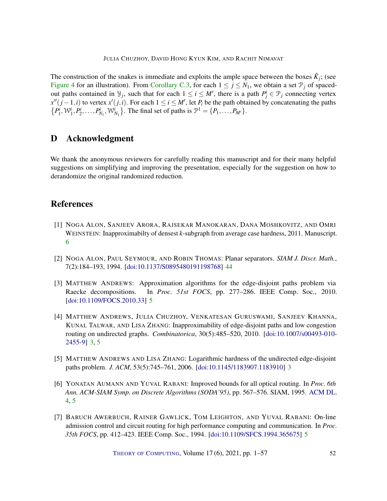The construction of the snakes is immediate and exploits the ample space between the boxes  $\hat{K}_j$ ; (see [Figure](#page-38-1) [4](#page-38-1) for an illustration). From [Corollary](#page-50-0) [C.3,](#page-50-0) for each  $1 \le j \le N_1$ , we obtain a set  $\mathcal{P}_j$  of spacedout paths contained in  $\mathcal{Y}_j$ , such that for each  $1 \leq i \leq M'$ , there is a path  $P^i_j \in \mathcal{P}_j$  connecting vertex  $x''(j-1,i)$  to vertex  $x'(j,i)$ . For each  $1 \le i \le M'$ , let  $P_i$  be the path obtained by concatenating the paths  ${P_1^i, W_1^i, P_2^i, \ldots, P_{N_1}^i, W_{N_1}^i}$ . The final set of paths is  $\mathcal{P}^1 = {P_1, \ldots, P_{M'}}$ .

# <span id="page-51-0"></span>D Acknowledgment

We thank the anonymous reviewers for carefully reading this manuscript and for their many helpful suggestions on simplifying and improving the presentation, especially for the suggestion on how to derandomize the original randomized reduction.

# References

- <span id="page-51-6"></span>[1] NOGA ALON, SANJEEV ARORA, RAJSEKAR MANOKARAN, DANA MOSHKOVITZ, AND OMRI WEINSTEIN: Inapproximabilty of densest *k*-subgraph from average case hardness, 2011. Manuscript. [6](#page-5-1)
- <span id="page-51-7"></span>[2] NOGA ALON, PAUL SEYMOUR, AND ROBIN THOMAS: Planar separators. *SIAM J. Discr. Math.*, 7(2):184–193, 1994. [\[doi:10.1137/S0895480191198768\]](http://dx.doi.org/10.1137/S0895480191198768) [44](#page-43-1)
- <span id="page-51-5"></span>[3] MATTHEW ANDREWS: Approximation algorithms for the edge-disjoint paths problem via Raecke decompositions. In *Proc. 51st FOCS*, pp. 277–286. IEEE Comp. Soc., 2010. [\[doi:10.1109/FOCS.2010.33\]](http://dx.doi.org/10.1109/FOCS.2010.33) [5](#page-4-2)
- <span id="page-51-2"></span>[4] MATTHEW ANDREWS, JULIA CHUZHOY, VENKATESAN GURUSWAMI, SANJEEV KHANNA, KUNAL TALWAR, AND LISA ZHANG: Inapproximability of edge-disjoint paths and low congestion routing on undirected graphs. *Combinatorica*, 30(5):485–520, 2010. [\[doi:10.1007/s00493-010-](http://dx.doi.org/10.1007/s00493-010-2455-9) [2455-9\]](http://dx.doi.org/10.1007/s00493-010-2455-9) [3,](#page-2-1) [5](#page-4-2)
- <span id="page-51-1"></span>[5] MATTHEW ANDREWS AND LISA ZHANG: Logarithmic hardness of the undirected edge-disjoint paths problem. *J. ACM*, 53(5):745–761, 2006. [\[doi:10.1145/1183907.1183910\]](http://dx.doi.org/10.1145/1183907.1183910) [3](#page-2-1)
- <span id="page-51-3"></span>[6] YONATAN AUMANN AND YUVAL RABANI: Improved bounds for all optical routing. In *Proc. 6th Ann. ACM-SIAM Symp. on Discrete Algorithms (SODA'95)*, pp. 567–576. SIAM, 1995. [ACM DL.](http://dl.acm.org/citation.cfm?id=313651.313820) [4,](#page-3-0) [5](#page-4-2)
- <span id="page-51-4"></span>[7] BARUCH AWERBUCH, RAINER GAWLICK, TOM LEIGHTON, AND YUVAL RABANI: On-line admission control and circuit routing for high performance computing and communication. In *Proc. 35th FOCS*, pp. 412–423. IEEE Comp. Soc., 1994. [\[doi:10.1109/SFCS.1994.365675\]](http://dx.doi.org/10.1109/SFCS.1994.365675) [5](#page-4-2)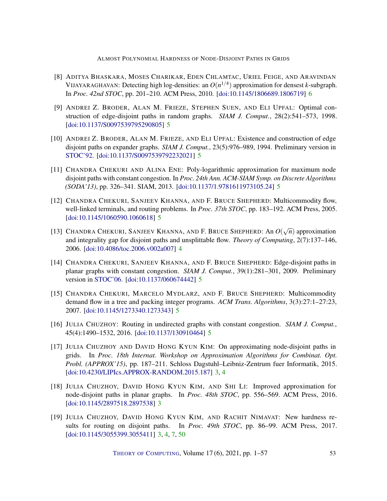- <span id="page-52-11"></span>[8] ADITYA BHASKARA, MOSES CHARIKAR, EDEN CHLAMTAC, URIEL FEIGE, AND ARAVINDAN VIJAYARAGHAVAN: Detecting high log-densities: an  $O(n^{1/4})$  approximation for densest *k*-subgraph. In *Proc. 42nd STOC*, pp. 201–210. ACM Press, 2010. [\[doi:10.1145/1806689.1806719\]](http://dx.doi.org/10.1145/1806689.1806719) [6](#page-5-1)
- <span id="page-52-5"></span>[9] ANDREI Z. BRODER, ALAN M. FRIEZE, STEPHEN SUEN, AND ELI UPFAL: Optimal construction of edge-disjoint paths in random graphs. *SIAM J. Comput.*, 28(2):541–573, 1998. [\[doi:10.1137/S0097539795290805\]](http://dx.doi.org/10.1137/S0097539795290805) [5](#page-4-2)
- <span id="page-52-4"></span>[10] ANDREI Z. BRODER, ALAN M. FRIEZE, AND ELI UPFAL: Existence and construction of edge disjoint paths on expander graphs. *SIAM J. Comput.*, 23(5):976–989, 1994. Preliminary version in [STOC'92.](https://doi.org/10.1145/129712.129727) [\[doi:10.1137/S0097539792232021\]](http://dx.doi.org/10.1137/S0097539792232021) [5](#page-4-2)
- <span id="page-52-9"></span>[11] CHANDRA CHEKURI AND ALINA ENE: Poly-logarithmic approximation for maximum node disjoint paths with constant congestion. In *Proc. 24th Ann. ACM-SIAM Symp. on Discrete Algorithms (SODA'13)*, pp. 326–341. SIAM, 2013. [\[doi:10.1137/1.9781611973105.24\]](http://dx.doi.org/10.1137/1.9781611973105.24) [5](#page-4-2)
- <span id="page-52-7"></span>[12] CHANDRA CHEKURI, SANJEEV KHANNA, AND F. BRUCE SHEPHERD: Multicommodity flow, well-linked terminals, and routing problems. In *Proc. 37th STOC*, pp. 183–192. ACM Press, 2005. [\[doi:10.1145/1060590.1060618\]](http://dx.doi.org/10.1145/1060590.1060618) [5](#page-4-2)
- <span id="page-52-3"></span>[13] CHANDRA CHEKURI, SANJEEV KHANNA, AND F. BRUCE SHEPHERD: An  $O(\sqrt{n})$  approximation and integrality gap for disjoint paths and unsplittable flow. *Theory of Computing*, 2(7):137–146, 2006. [\[doi:10.4086/toc.2006.v002a007\]](http://dx.doi.org/10.4086/toc.2006.v002a007) [4](#page-3-0)
- <span id="page-52-10"></span>[14] CHANDRA CHEKURI, SANJEEV KHANNA, AND F. BRUCE SHEPHERD: Edge-disjoint paths in planar graphs with constant congestion. *SIAM J. Comput.*, 39(1):281–301, 2009. Preliminary version in [STOC'06.](https://doi.org/10.1145/1132516.1132621) [\[doi:10.1137/060674442\]](http://dx.doi.org/10.1137/060674442) [5](#page-4-2)
- <span id="page-52-6"></span>[15] CHANDRA CHEKURI, MARCELO MYDLARZ, AND F. BRUCE SHEPHERD: Multicommodity demand flow in a tree and packing integer programs. *ACM Trans. Algorithms*, 3(3):27:1–27:23, 2007. [\[doi:10.1145/1273340.1273343\]](http://dx.doi.org/10.1145/1273340.1273343) [5](#page-4-2)
- <span id="page-52-8"></span>[16] JULIA CHUZHOY: Routing in undirected graphs with constant congestion. *SIAM J. Comput.*, 45(4):1490–1532, 2016. [\[doi:10.1137/130910464\]](http://dx.doi.org/10.1137/130910464) [5](#page-4-2)
- <span id="page-52-0"></span>[17] JULIA CHUZHOY AND DAVID HONG KYUN KIM: On approximating node-disjoint paths in grids. In *Proc. 18th Internat. Workshop on Approximation Algorithms for Combinat. Opt. Probl. (APPROX'15)*, pp. 187–211. Schloss Dagstuhl–Leibniz-Zentrum fuer Informatik, 2015. [\[doi:10.4230/LIPIcs.APPROX-RANDOM.2015.187\]](http://dx.doi.org/10.4230/LIPIcs.APPROX-RANDOM.2015.187) [3,](#page-2-1) [4](#page-3-0)
- <span id="page-52-2"></span>[18] JULIA CHUZHOY, DAVID HONG KYUN KIM, AND SHI LI: Improved approximation for node-disjoint paths in planar graphs. In *Proc. 48th STOC*, pp. 556–569. ACM Press, 2016. [\[doi:10.1145/2897518.2897538\]](http://dx.doi.org/10.1145/2897518.2897538) [3](#page-2-1)
- <span id="page-52-1"></span>[19] JULIA CHUZHOY, DAVID HONG KYUN KIM, AND RACHIT NIMAVAT: New hardness results for routing on disjoint paths. In *Proc. 49th STOC*, pp. 86–99. ACM Press, 2017. [\[doi:10.1145/3055399.3055411\]](http://dx.doi.org/10.1145/3055399.3055411) [3,](#page-2-1) [4,](#page-3-0) [7,](#page-6-1) [50](#page-49-2)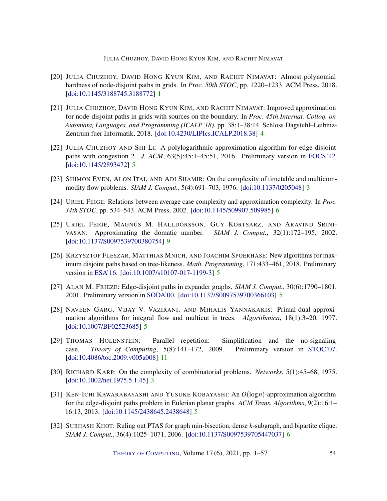- <span id="page-53-0"></span>[20] JULIA CHUZHOY, DAVID HONG KYUN KIM, AND RACHIT NIMAVAT: Almost polynomial hardness of node-disjoint paths in grids. In *Proc. 50th STOC*, pp. 1220–1233. ACM Press, 2018. [\[doi:10.1145/3188745.3188772\]](http://dx.doi.org/10.1145/3188745.3188772) [1](#page-0-0)
- <span id="page-53-3"></span>[21] JULIA CHUZHOY, DAVID HONG KYUN KIM, AND RACHIT NIMAVAT: Improved approximation for node-disjoint paths in grids with sources on the boundary. In *Proc. 45th Internat. Colloq. on Automata, Languages, and Programming (ICALP'18)*, pp. 38:1–38:14. Schloss Dagstuhl–Leibniz-Zentrum fuer Informatik, 2018. [\[doi:10.4230/LIPIcs.ICALP.2018.38\]](http://dx.doi.org/10.4230/LIPIcs.ICALP.2018.38) [4](#page-3-0)
- <span id="page-53-8"></span>[22] JULIA CHUZHOY AND SHI LI: A polylogarithmic approximation algorithm for edge-disjoint paths with congestion 2. *J. ACM*, 63(5):45:1–45:51, 2016. Preliminary version in [FOCS'12.](https://doi.org/10.1109/FOCS.2012.54) [\[doi:10.1145/2893472\]](http://dx.doi.org/10.1145/2893472) [5](#page-4-2)
- <span id="page-53-2"></span>[23] SHIMON EVEN, ALON ITAI, AND ADI SHAMIR: On the complexity of timetable and multicommodity flow problems. *SIAM J. Comput.*, 5(4):691–703, 1976. [\[doi:10.1137/0205048\]](http://dx.doi.org/10.1137/0205048) [3](#page-2-1)
- <span id="page-53-9"></span>[24] URIEL FEIGE: Relations between average case complexity and approximation complexity. In *Proc. 34th STOC*, pp. 534–543. ACM Press, 2002. [\[doi:10.1145/509907.509985\]](http://dx.doi.org/10.1145/509907.509985) [6](#page-5-1)
- <span id="page-53-11"></span>[25] URIEL FEIGE, MAGNÚS M. HALLDÓRSSON, GUY KORTSARZ, AND ARAVIND SRINI-VASAN: Approximating the domatic number. *SIAM J. Comput.*, 32(1):172–195, 2002. [\[doi:10.1137/S0097539700380754\]](http://dx.doi.org/10.1137/S0097539700380754) [9](#page-8-1)
- <span id="page-53-7"></span>[26] KRZYSZTOF FLESZAR, MATTHIAS MNICH, AND JOACHIM SPOERHASE: New algorithms for maximum disjoint paths based on tree-likeness. *Math. Programming*, 171:433–461, 2018. Preliminary version in [ESA'16.](https://doi.org/10.4230/LIPIcs.ESA.2016.42) [\[doi:10.1007/s10107-017-1199-3\]](http://dx.doi.org/10.1007/s10107-017-1199-3) [5](#page-4-2)
- <span id="page-53-5"></span>[27] ALAN M. FRIEZE: Edge-disjoint paths in expander graphs. *SIAM J. Comput.*, 30(6):1790–1801, 2001. Preliminary version in [SODA'00.](http://dl.acm.org/citation.cfm?id=338219.338631) [\[doi:10.1137/S0097539700366103\]](http://dx.doi.org/10.1137/S0097539700366103) [5](#page-4-2)
- <span id="page-53-6"></span>[28] NAVEEN GARG, VIJAY V. VAZIRANI, AND MIHALIS YANNAKAKIS: Primal-dual approximation algorithms for integral flow and multicut in trees. *Algorithmica*, 18(1):3–20, 1997. [\[doi:10.1007/BF02523685\]](http://dx.doi.org/10.1007/BF02523685) [5](#page-4-2)
- <span id="page-53-12"></span>[29] THOMAS HOLENSTEIN: Parallel repetition: Simplification and the no-signaling case. *Theory of Computing*, 5(8):141–172, 2009. Preliminary version in [STOC'07.](https://doi.org/10.1145/1250790.1250852) [\[doi:10.4086/toc.2009.v005a008\]](http://dx.doi.org/10.4086/toc.2009.v005a008) [11](#page-10-2)
- <span id="page-53-1"></span>[30] RICHARD KARP: On the complexity of combinatorial problems. *Networks*, 5(1):45–68, 1975. [\[doi:10.1002/net.1975.5.1.45\]](http://dx.doi.org/10.1002/net.1975.5.1.45) [3](#page-2-1)
- <span id="page-53-4"></span>[31] KEN-ICHI KAWARABAYASHI AND YUSUKE KOBAYASHI: An *O*(log*n*)-approximation algorithm for the edge-disjoint paths problem in Eulerian planar graphs. *ACM Trans. Algorithms*, 9(2):16:1– 16:13, 2013. [\[doi:10.1145/2438645.2438648\]](http://dx.doi.org/10.1145/2438645.2438648) [5](#page-4-2)
- <span id="page-53-10"></span>[32] SUBHASH KHOT: Ruling out PTAS for graph min-bisection, dense *k*-subgraph, and bipartite clique. *SIAM J. Comput.*, 36(4):1025–1071, 2006. [\[doi:10.1137/S0097539705447037\]](http://dx.doi.org/10.1137/S0097539705447037) [6](#page-5-1)

THEORY OF C[OMPUTING](http://dx.doi.org/10.4086/toc), Volume 17(6), 2021, pp. 1–57 54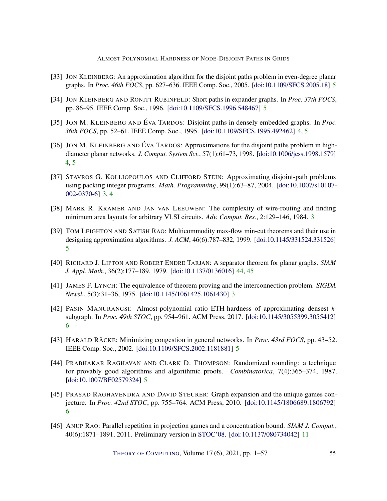- <span id="page-54-5"></span>[33] JON KLEINBERG: An approximation algorithm for the disjoint paths problem in even-degree planar graphs. In *Proc. 46th FOCS*, pp. 627–636. IEEE Comp. Soc., 2005. [\[doi:10.1109/SFCS.2005.18\]](http://dx.doi.org/10.1109/SFCS.2005.18) [5](#page-4-2)
- <span id="page-54-7"></span>[34] JON KLEINBERG AND RONITT RUBINFELD: Short paths in expander graphs. In *Proc. 37th FOCS*, pp. 86–95. IEEE Comp. Soc., 1996. [\[doi:10.1109/SFCS.1996.548467\]](http://dx.doi.org/10.1109/SFCS.1996.548467) [5](#page-4-2)
- <span id="page-54-4"></span>[35] JON M. KLEINBERG AND ÉVA TARDOS: Disjoint paths in densely embedded graphs. In *Proc. 36th FOCS*, pp. 52–61. IEEE Comp. Soc., 1995. [\[doi:10.1109/SFCS.1995.492462\]](http://dx.doi.org/10.1109/SFCS.1995.492462) [4,](#page-3-0) [5](#page-4-2)
- <span id="page-54-3"></span>[36] JON M. KLEINBERG AND ÉVA TARDOS: Approximations for the disjoint paths problem in highdiameter planar networks. *J. Comput. System Sci.*, 57(1):61–73, 1998. [\[doi:10.1006/jcss.1998.1579\]](http://dx.doi.org/10.1006/jcss.1998.1579) [4,](#page-3-0) [5](#page-4-2)
- <span id="page-54-2"></span>[37] STAVROS G. KOLLIOPOULOS AND CLIFFORD STEIN: Approximating disjoint-path problems using packing integer programs. *Math. Programming*, 99(1):63–87, 2004. [\[doi:10.1007/s10107-](http://dx.doi.org/10.1007/s10107-002-0370-6) [002-0370-6\]](http://dx.doi.org/10.1007/s10107-002-0370-6) [3,](#page-2-1) [4](#page-3-0)
- <span id="page-54-1"></span>[38] MARK R. KRAMER AND JAN VAN LEEUWEN: The complexity of wire-routing and finding minimum area layouts for arbitrary VLSI circuits. *Adv. Comput. Res.*, 2:129–146, 1984. [3](#page-2-1)
- <span id="page-54-6"></span>[39] TOM LEIGHTON AND SATISH RAO: Multicommodity max-flow min-cut theorems and their use in designing approximation algorithms. *J. ACM*, 46(6):787–832, 1999. [\[doi:10.1145/331524.331526\]](http://dx.doi.org/10.1145/331524.331526) [5](#page-4-2)
- <span id="page-54-13"></span>[40] RICHARD J. LIPTON AND ROBERT ENDRE TARJAN: A separator theorem for planar graphs. *SIAM J. Appl. Math.*, 36(2):177–189, 1979. [\[doi:10.1137/0136016\]](http://dx.doi.org/10.1137/0136016) [44,](#page-43-1) [45](#page-44-2)
- <span id="page-54-0"></span>[41] JAMES F. LYNCH: The equivalence of theorem proving and the interconnection problem. *SIGDA Newsl.*, 5(3):31–36, 1975. [\[doi:10.1145/1061425.1061430\]](http://dx.doi.org/10.1145/1061425.1061430) [3](#page-2-1)
- <span id="page-54-11"></span>[42] PASIN MANURANGSI: Almost-polynomial ratio ETH-hardness of approximating densest *k*subgraph. In *Proc. 49th STOC*, pp. 954–961. ACM Press, 2017. [\[doi:10.1145/3055399.3055412\]](http://dx.doi.org/10.1145/3055399.3055412) [6](#page-5-1)
- <span id="page-54-9"></span>[43] HARALD RÄCKE: Minimizing congestion in general networks. In *Proc. 43rd FOCS*, pp. 43–52. IEEE Comp. Soc., 2002. [\[doi:10.1109/SFCS.2002.1181881\]](http://dx.doi.org/10.1109/SFCS.2002.1181881) [5](#page-4-2)
- <span id="page-54-8"></span>[44] PRABHAKAR RAGHAVAN AND CLARK D. THOMPSON: Randomized rounding: a technique for provably good algorithms and algorithmic proofs. *Combinatorica*, 7(4):365–374, 1987. [\[doi:10.1007/BF02579324\]](http://dx.doi.org/10.1007/BF02579324) [5](#page-4-2)
- <span id="page-54-10"></span>[45] PRASAD RAGHAVENDRA AND DAVID STEURER: Graph expansion and the unique games conjecture. In *Proc. 42nd STOC*, pp. 755–764. ACM Press, 2010. [\[doi:10.1145/1806689.1806792\]](http://dx.doi.org/10.1145/1806689.1806792) [6](#page-5-1)
- <span id="page-54-12"></span>[46] ANUP RAO: Parallel repetition in projection games and a concentration bound. *SIAM J. Comput.*, 40(6):1871–1891, 2011. Preliminary version in [STOC'08.](https://doi.org/10.1145/1374376.1374378) [\[doi:10.1137/080734042\]](http://dx.doi.org/10.1137/080734042) [11](#page-10-2)

THEORY OF C[OMPUTING](http://dx.doi.org/10.4086/toc), Volume 17(6), 2021, pp. 1–57 55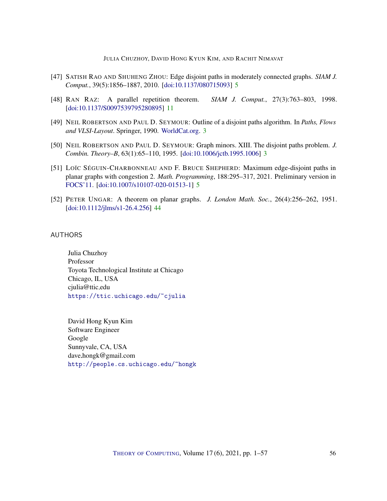- <span id="page-55-4"></span>[47] SATISH RAO AND SHUHENG ZHOU: Edge disjoint paths in moderately connected graphs. *SIAM J. Comput.*, 39(5):1856–1887, 2010. [\[doi:10.1137/080715093\]](http://dx.doi.org/10.1137/080715093) [5](#page-4-2)
- <span id="page-55-6"></span>[48] RAN RAZ: A parallel repetition theorem. *SIAM J. Comput.*, 27(3):763–803, 1998. [\[doi:10.1137/S0097539795280895\]](http://dx.doi.org/10.1137/S0097539795280895) [11](#page-10-2)
- <span id="page-55-2"></span>[49] NEIL ROBERTSON AND PAUL D. SEYMOUR: Outline of a disjoint paths algorithm. In *Paths, Flows and VLSI-Layout*. Springer, 1990. [WorldCat.org.](https://www.worldcat.org/title/paths-flows-and-vlsi-layout/oclc/22347123) [3](#page-2-1)
- <span id="page-55-3"></span>[50] NEIL ROBERTSON AND PAUL D. SEYMOUR: Graph minors. XIII. The disjoint paths problem. *J. Combin. Theory–B*, 63(1):65–110, 1995. [\[doi:10.1006/jctb.1995.1006\]](http://dx.doi.org/10.1006/jctb.1995.1006) [3](#page-2-1)
- <span id="page-55-5"></span>[51] LOÏC SÉGUIN-CHARBONNEAU AND F. BRUCE SHEPHERD: Maximum edge-disjoint paths in planar graphs with congestion 2. *Math. Programming*, 188:295–317, 2021. Preliminary version in [FOCS'11.](https://doi.org/10.1109/FOCS.2011.30) [\[doi:10.1007/s10107-020-01513-1\]](http://dx.doi.org/10.1007/s10107-020-01513-1) [5](#page-4-2)
- <span id="page-55-7"></span>[52] PETER UNGAR: A theorem on planar graphs. *J. London Math. Soc.*, 26(4):256–262, 1951. [\[doi:10.1112/jlms/s1-26.4.256\]](http://dx.doi.org/10.1112/jlms/s1-26.4.256) [44](#page-43-1)

#### <span id="page-55-0"></span>AUTHORS

Julia Chuzhoy Professor Toyota Technological Institute at Chicago Chicago, IL, USA cjulia@ttic.edu <https://ttic.uchicago.edu/~cjulia>

<span id="page-55-1"></span>David Hong Kyun Kim Software Engineer Google Sunnyvale, CA, USA  $d$ ave.hongk@gmail.com <http://people.cs.uchicago.edu/~hongk>